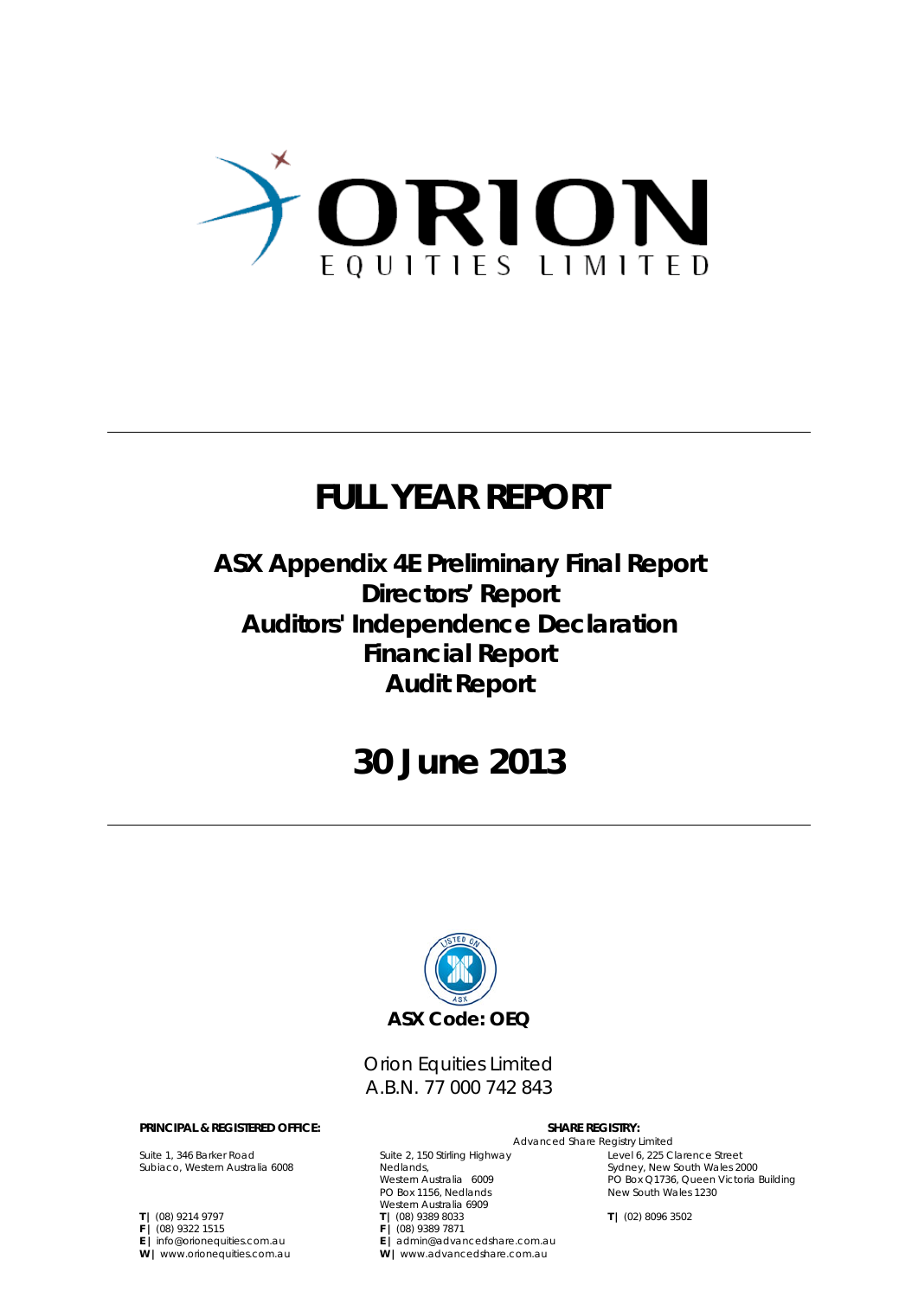

# **FULL YEAR REPORT**

**ASX Appendix 4E Preliminary Final Report Directors' Report Auditors' Independence Declaration Financial Report Audit Report** 

# **30 June 2013**



Orion Equities Limited A.B.N. 77 000 742 843

#### **PRINCIPAL & REGISTERED OFFICE: SHARE REGISTRY:**

Suite 1, 346 Barker Road Subiaco, Western Australia 6008

**T |** (08) 9214 9797 **F |** (08) 9322 1515 **E |** info@orionequities.com.au **W |** www.orionequities.com.au

# Advanced Share Registry Limited

Suite 2, 150 Stirling Highway Nedlands, Western Australia 6009 PO Box 1156, Nedlands Western Australia 6909 **T |** (08) 9389 8033 **F |** (08) 9389 7871 **E |** admin@advancedshare.com.au **W |** www.advancedshare.com.au

Level 6, 225 Clarence Street Sydney, New South Wales 2000 PO Box Q1736, Queen Victoria Building New South Wales 1230

**T |** (02) 8096 3502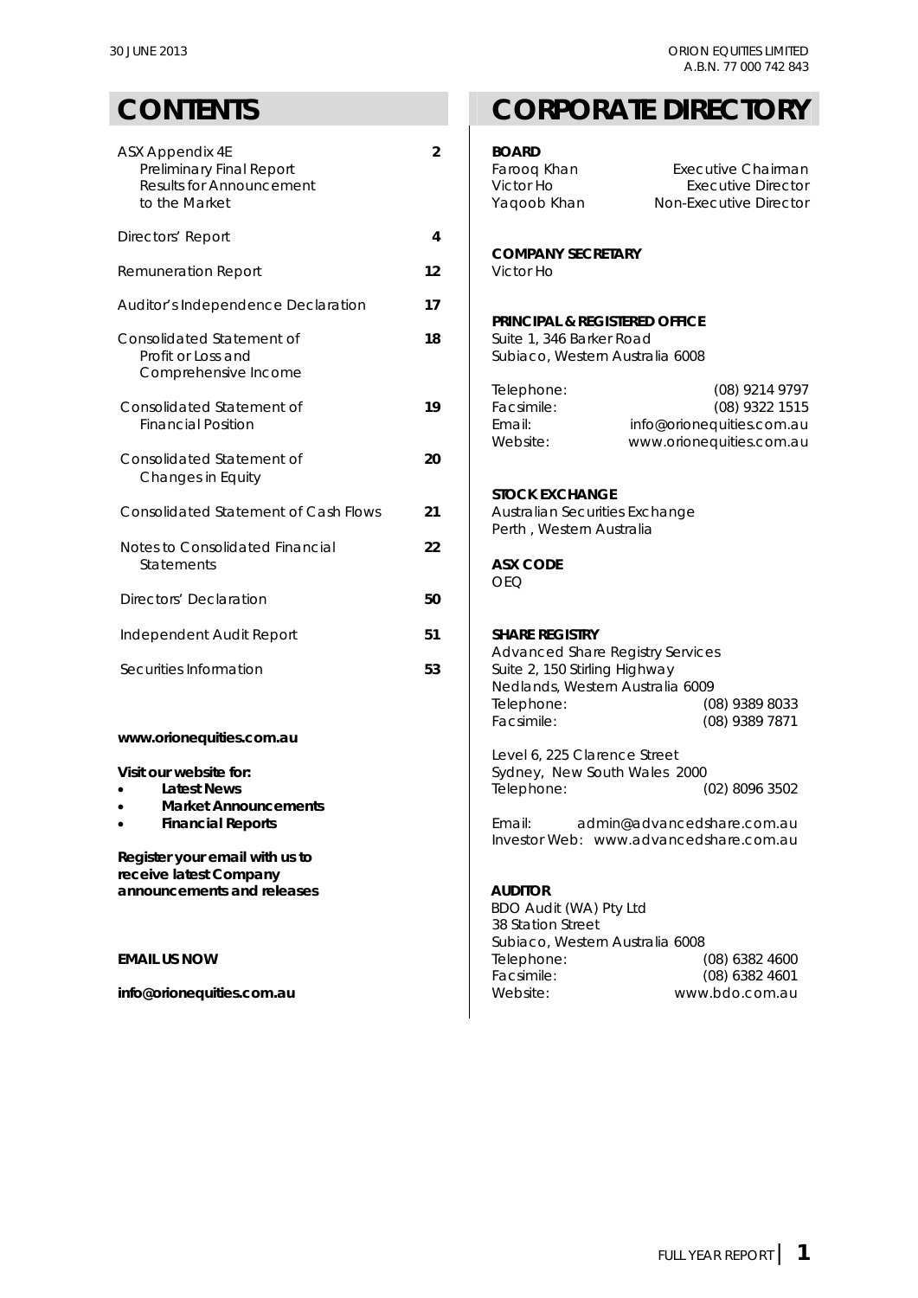| <b>ASX Appendix 4E</b><br>Preliminary Final Report<br><b>Results for Announcement</b><br>to the Market | $\overline{2}$ | <b>BOARD</b><br>Farooq k<br>Victor Ho<br>Yaqoob          |  |
|--------------------------------------------------------------------------------------------------------|----------------|----------------------------------------------------------|--|
| Directors' Report                                                                                      | 4              |                                                          |  |
| <b>Remuneration Report</b>                                                                             | 12             | <b>COMPAI</b><br>Victor Ho                               |  |
| Auditor's Independence Declaration                                                                     | 17             |                                                          |  |
| Consolidated Statement of<br>Profit or Loss and<br>Comprehensive Income                                | 18             | <b>PRINCIP</b><br>Suite 1, 3<br>Subiaco                  |  |
| Consolidated Statement of<br><b>Financial Position</b>                                                 | 19             | Telephor<br>Facsimile<br>Email:                          |  |
| Consolidated Statement of<br>Changes in Equity                                                         | 20             | Website:<br><b>STOCK E</b><br>Australia<br>Perth, W      |  |
| <b>Consolidated Statement of Cash Flows</b>                                                            | 21             |                                                          |  |
| Notes to Consolidated Financial<br><b>Statements</b>                                                   | 22             | <b>ASX COI</b>                                           |  |
| Directors' Declaration                                                                                 | 50             | <b>OEQ</b>                                               |  |
| Independent Audit Report                                                                               | 51             | <b>SHARE RI</b>                                          |  |
| Securities Information                                                                                 | 53             | Advanc<br>Suite 2, 1<br>Nedland<br>Telephor<br>Facsimile |  |
| www.orionequities.com.au                                                                               |                | Level 6, 2                                               |  |
| Visit our website for:<br><b>Latest News</b>                                                           |                | Sydney,<br>Telephor                                      |  |
| <b>Market Announcements</b><br><b>Financial Reports</b>                                                |                | Email:<br>Investor                                       |  |
| Register your email with us to<br>receive latest Company                                               |                |                                                          |  |
| announcements and releases                                                                             |                | <b>AUDITOR</b><br><b>BDO Aud</b><br>38 Statio<br>Subiaco |  |
| <b>EMAIL US NOW</b>                                                                                    |                | Telephor                                                 |  |

**info@orionequities.com.au biometrical comes and the vertices of vertices www.bdo.com.au au comes au comes au com** 

# **CONTENTS CORPORATE DIRECTORY**

# arooq Khan **Executive Chairman** The Tictor Ho **Executive Director** aqoob Khan Non-Executive Director **COMPANY SECRETARY**  *<u>Ictor</u>* Ho **PRINCIPAL & REGISTERED OFFICE**  uite 1, 346 Barker Road ubiaco, Western Australia 6008 elephone: (08) 9214 9797 Consolidated Statement of **19** Facsimile: (08) 9322 1515 mail: info@orionequities.com.au Website: www.orionequities.com.au **TOCK EXCHANGE Lustralian Securities Exchange** erth, Western Australia Statements **ASX CODE** OEQ Independent Audit Report **51 SHARE REGISTRY** Advanced Share Registry Services Securities Information **53** Suite 2, 150 Stirling Highway ledlands, Western Australia 6009 Telephone: (08) 9389 8033 Facsimile: (08) 9389 7871 evel 6, 225 Clarence Street **Visit our website for:** Sydney, New South Wales 2000 **Latest News** Telephone: (02) 8096 3502 **Financial Reports** Email: admin@advancedshare.com.au Investor Web: www.advancedshare.com.au BDO Audit (WA) Pty Ltd 8 Station Street ubiaco, Western Australia 6008 **EMAIL US NOW** Telephone: (08) 6382 4600

Facsimile: (08) 6382 4601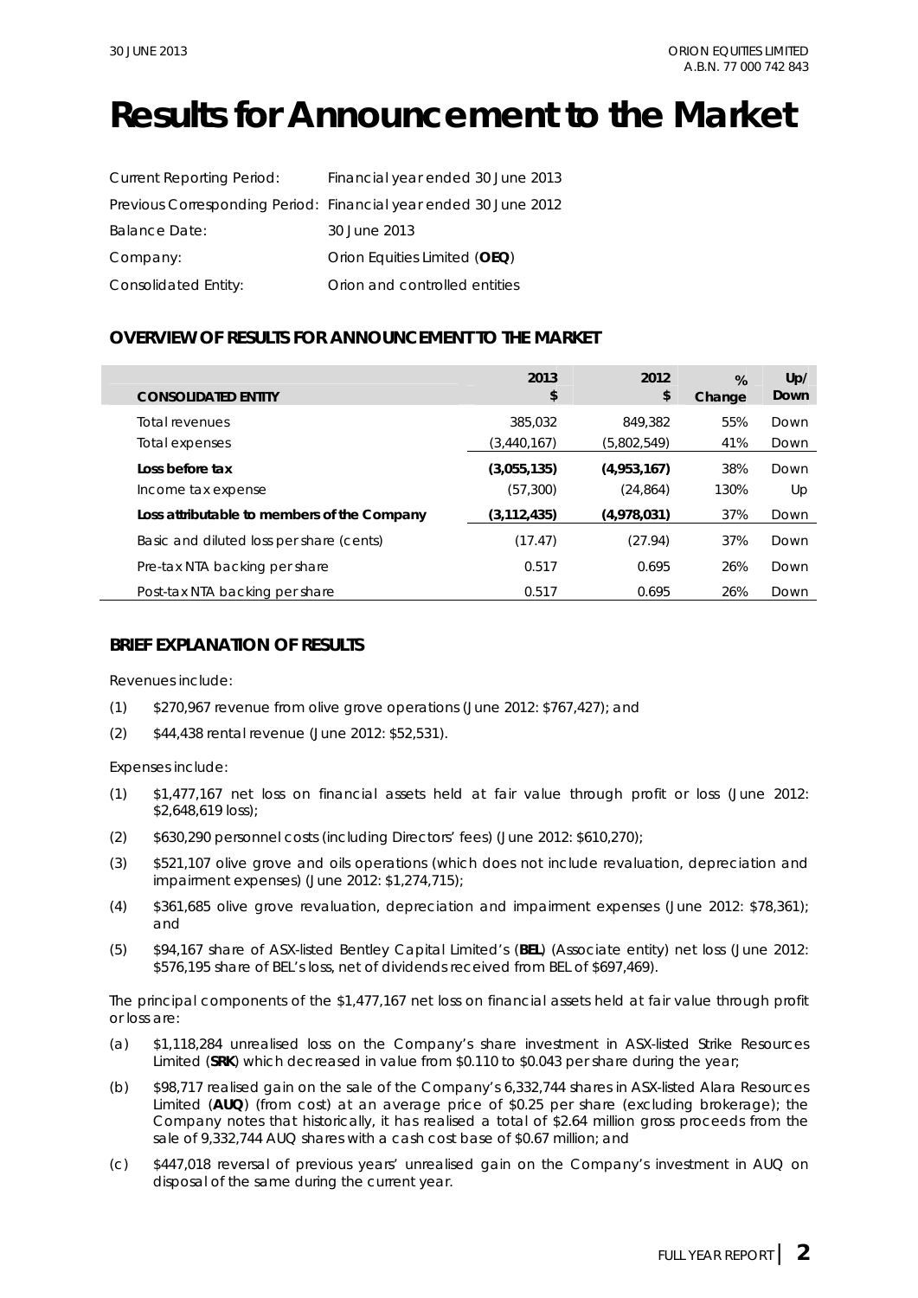# **Results for Announcement to the Market**

| <b>Current Reporting Period:</b> | Financial year ended 30 June 2013                                |
|----------------------------------|------------------------------------------------------------------|
|                                  | Previous Corresponding Period: Financial year ended 30 June 2012 |
| <b>Balance Date:</b>             | 30 June 2013                                                     |
| Company:                         | Orion Equities Limited (OEQ)                                     |
| <b>Consolidated Entity:</b>      | Orion and controlled entities                                    |

## **OVERVIEW OF RESULTS FOR ANNOUNCEMENT TO THE MARKET**

| <b>CONSOLIDATED ENTITY</b>                  | 2013<br>\$  | 2012<br>\$  | %<br>Change | Up/<br>Down |
|---------------------------------------------|-------------|-------------|-------------|-------------|
| Total revenues                              | 385.032     | 849.382     | 55%         | Down        |
| Total expenses                              | (3,440,167) | (5,802,549) | 41%         | Down        |
| Loss before tax                             | (3,055,135) | (4,953,167) | 38%         | Down        |
| Income tax expense                          | (57, 300)   | (24, 864)   | 130%        | Up          |
| Loss attributable to members of the Company | (3,112,435) | (4,978,031) | 37%         | Down        |
| Basic and diluted loss per share (cents)    | (17.47)     | (27.94)     | 37%         | Down        |
| Pre-tax NTA backing per share               | 0.517       | 0.695       | 26%         | Down        |
| Post-tax NTA backing per share              | 0.517       | 0.695       | 26%         | Down        |

## **BRIEF EXPLANATION OF RESULTS**

Revenues include:

- (1) \$270,967 revenue from olive grove operations (June 2012: \$767,427); and
- (2) \$44,438 rental revenue (June 2012: \$52,531).

Expenses include:

- (1) \$1,477,167 net loss on financial assets held at fair value through profit or loss (June 2012: \$2,648,619 loss);
- (2) \$630,290 personnel costs (including Directors' fees) (June 2012: \$610,270);
- (3) \$521,107 olive grove and oils operations (which does not include revaluation, depreciation and impairment expenses) (June 2012: \$1,274,715);
- (4) \$361,685 olive grove revaluation, depreciation and impairment expenses (June 2012: \$78,361); and
- (5) \$94,167 share of ASX-listed Bentley Capital Limited's (**BEL**) (Associate entity) net loss (June 2012: \$576,195 share of BEL's loss, net of dividends received from BEL of \$697,469).

The principal components of the \$1,477,167 net loss on financial assets held at fair value through profit or loss are:

- (a) \$1,118,284 unrealised loss on the Company's share investment in ASX-listed Strike Resources Limited (**SRK**) which decreased in value from \$0.110 to \$0.043 per share during the year;
- (b) \$98,717 realised gain on the sale of the Company's 6,332,744 shares in ASX-listed Alara Resources Limited (**AUQ**) (from cost) at an average price of \$0.25 per share (excluding brokerage); the Company notes that historically, it has realised a total of \$2.64 million gross proceeds from the sale of 9,332,744 AUQ shares with a cash cost base of \$0.67 million; and
- (c) \$447,018 reversal of previous years' unrealised gain on the Company's investment in AUQ on disposal of the same during the current year.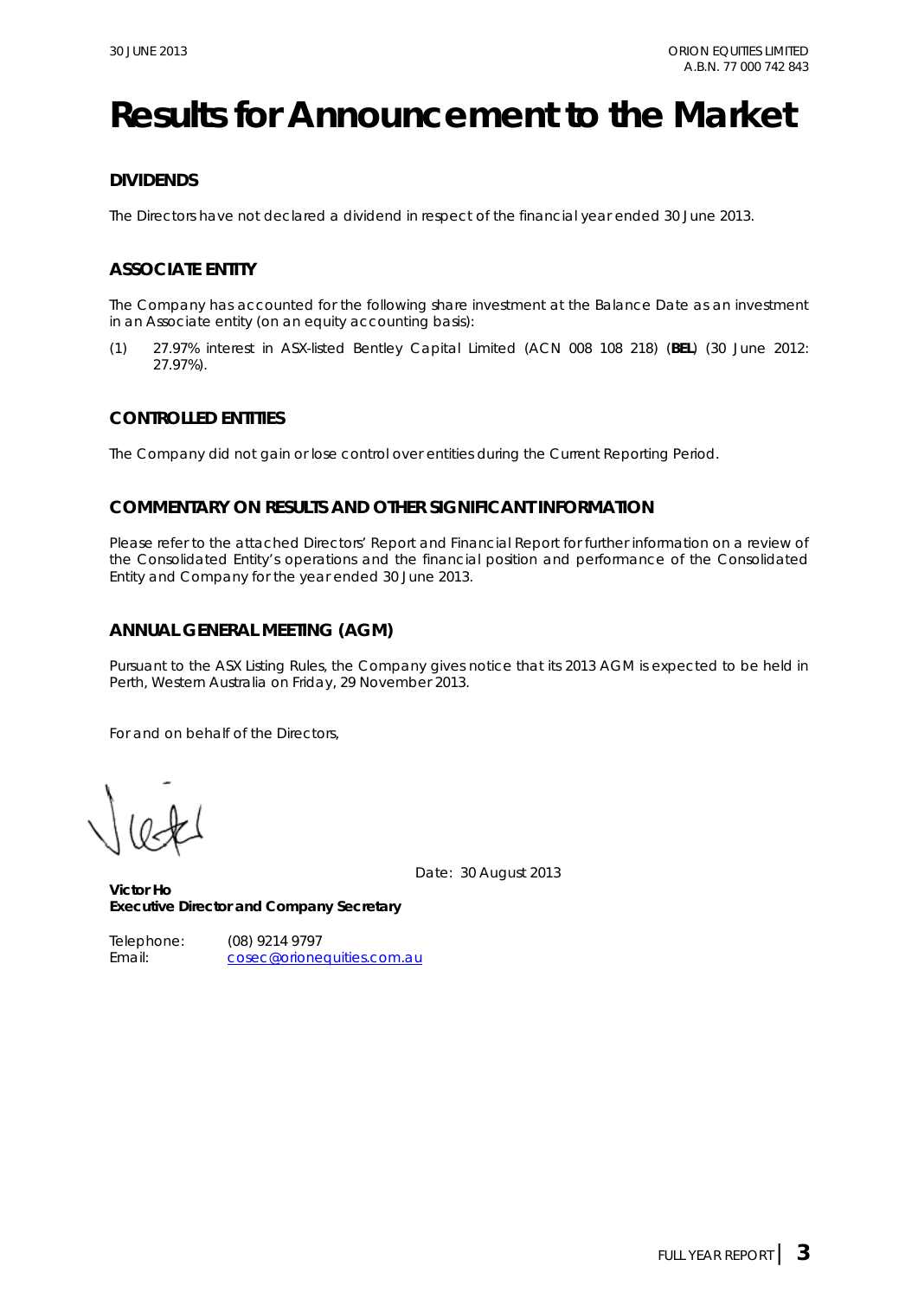# **Results for Announcement to the Market**

## **DIVIDENDS**

The Directors have not declared a dividend in respect of the financial year ended 30 June 2013.

# **ASSOCIATE ENTITY**

The Company has accounted for the following share investment at the Balance Date as an investment in an Associate entity (on an equity accounting basis):

(1) 27.97% interest in ASX-listed Bentley Capital Limited (ACN 008 108 218) (**BEL**) (30 June 2012: 27.97%).

## **CONTROLLED ENTITIES**

The Company did not gain or lose control over entities during the Current Reporting Period.

## **COMMENTARY ON RESULTS AND OTHER SIGNIFICANT INFORMATION**

Please refer to the attached Directors' Report and Financial Report for further information on a review of the Consolidated Entity's operations and the financial position and performance of the Consolidated Entity and Company for the year ended 30 June 2013.

## **ANNUAL GENERAL MEETING (AGM)**

Pursuant to the ASX Listing Rules, the Company gives notice that its 2013 AGM is expected to be held in Perth, Western Australia on Friday, 29 November 2013.

For and on behalf of the Directors,

Date: 30 August 2013

**Victor Ho Executive Director and Company Secretary** 

Telephone: (08) 9214 9797 Email: cosec@orionequities.com.au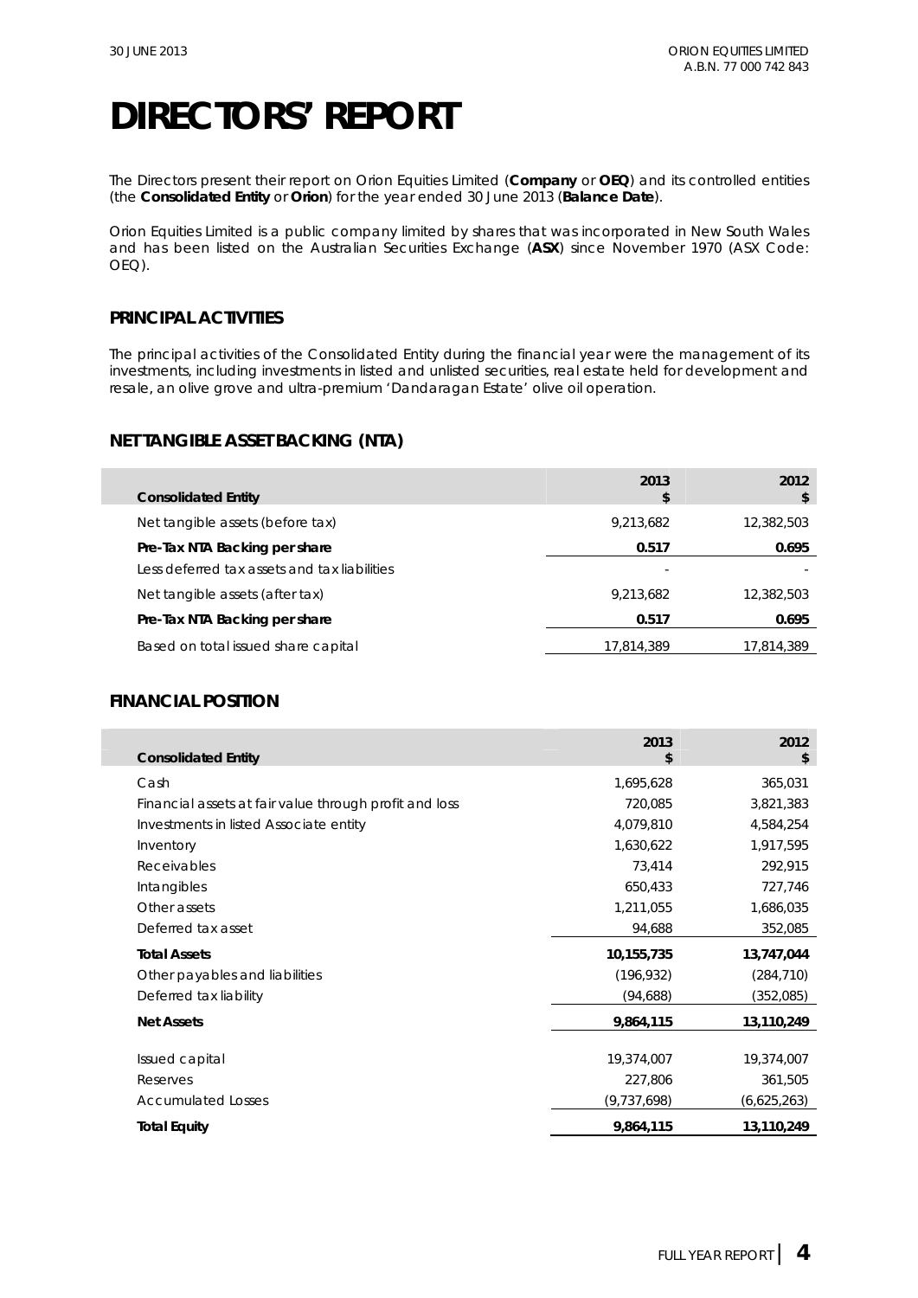The Directors present their report on Orion Equities Limited (**Company** or **OEQ**) and its controlled entities (the **Consolidated Entity** or **Orion**) for the year ended 30 June 2013 (**Balance Date**).

Orion Equities Limited is a public company limited by shares that was incorporated in New South Wales and has been listed on the Australian Securities Exchange (**ASX**) since November 1970 (ASX Code: OEQ).

# **PRINCIPAL ACTIVITIES**

The principal activities of the Consolidated Entity during the financial year were the management of its investments, including investments in listed and unlisted securities, real estate held for development and resale, an olive grove and ultra-premium 'Dandaragan Estate' olive oil operation.

## **NET TANGIBLE ASSET BACKING (NTA)**

| 2013<br>\$ | 2012<br>\$ |
|------------|------------|
| 9,213,682  | 12,382,503 |
| 0.517      | 0.695      |
|            |            |
| 9.213.682  | 12,382,503 |
| 0.517      | 0.695      |
| 17,814,389 | 17,814,389 |
|            |            |

## **FINANCIAL POSITION**

| <b>Consolidated Entity</b>                             | 2013<br>\$  | 2012<br>\$  |
|--------------------------------------------------------|-------------|-------------|
| Cash                                                   | 1,695,628   | 365,031     |
| Financial assets at fair value through profit and loss | 720,085     | 3,821,383   |
| Investments in listed Associate entity                 | 4,079,810   | 4,584,254   |
| Inventory                                              | 1,630,622   | 1,917,595   |
| Receivables                                            | 73,414      | 292,915     |
| Intangibles                                            | 650,433     | 727,746     |
| Other assets                                           | 1,211,055   | 1,686,035   |
| Deferred tax asset                                     | 94,688      | 352,085     |
| <b>Total Assets</b>                                    | 10,155,735  | 13,747,044  |
| Other payables and liabilities                         | (196, 932)  | (284, 710)  |
| Deferred tax liability                                 | (94,688)    | (352,085)   |
| <b>Net Assets</b>                                      | 9,864,115   | 13,110,249  |
| Issued capital                                         | 19,374,007  | 19,374,007  |
| Reserves                                               | 227,806     | 361,505     |
| <b>Accumulated Losses</b>                              | (9,737,698) | (6,625,263) |
| <b>Total Equity</b>                                    | 9,864,115   | 13,110,249  |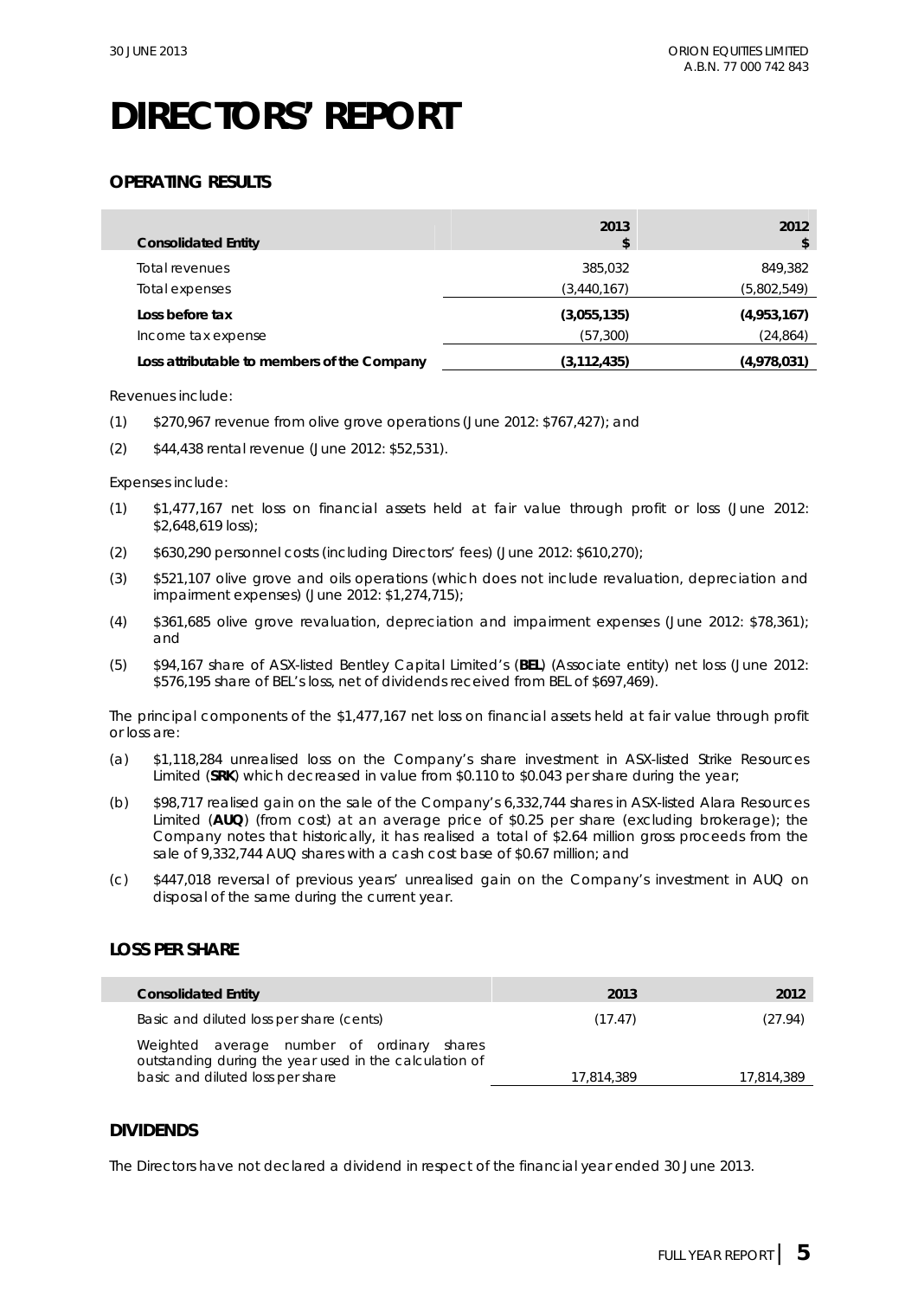## **OPERATING RESULTS**

| <b>Consolidated Entity</b>                  | 2013<br>\$    | 2012<br>\$  |
|---------------------------------------------|---------------|-------------|
| Total revenues                              | 385,032       | 849,382     |
| Total expenses                              | (3,440,167)   | (5,802,549) |
| Loss before tax                             | (3,055,135)   | (4,953,167) |
| Income tax expense                          | (57, 300)     | (24, 864)   |
| Loss attributable to members of the Company | (3, 112, 435) | (4,978,031) |

Revenues include:

- (1) \$270,967 revenue from olive grove operations (June 2012: \$767,427); and
- (2) \$44,438 rental revenue (June 2012: \$52,531).

Expenses include:

- (1) \$1,477,167 net loss on financial assets held at fair value through profit or loss (June 2012: \$2,648,619 loss);
- (2) \$630,290 personnel costs (including Directors' fees) (June 2012: \$610,270);
- (3) \$521,107 olive grove and oils operations (which does not include revaluation, depreciation and impairment expenses) (June 2012: \$1,274,715);
- (4) \$361,685 olive grove revaluation, depreciation and impairment expenses (June 2012: \$78,361); and
- (5) \$94,167 share of ASX-listed Bentley Capital Limited's (**BEL**) (Associate entity) net loss (June 2012: \$576,195 share of BEL's loss, net of dividends received from BEL of \$697,469).

The principal components of the \$1,477,167 net loss on financial assets held at fair value through profit or loss are:

- (a) \$1,118,284 unrealised loss on the Company's share investment in ASX-listed Strike Resources Limited (**SRK**) which decreased in value from \$0.110 to \$0.043 per share during the year;
- (b) \$98,717 realised gain on the sale of the Company's 6,332,744 shares in ASX-listed Alara Resources Limited (**AUQ**) (from cost) at an average price of \$0.25 per share (excluding brokerage); the Company notes that historically, it has realised a total of \$2.64 million gross proceeds from the sale of 9,332,744 AUQ shares with a cash cost base of \$0.67 million; and
- (c) \$447,018 reversal of previous years' unrealised gain on the Company's investment in AUQ on disposal of the same during the current year.

## **LOSS PER SHARE**

| <b>Consolidated Entity</b>                                                                                                               | 2013       | 2012       |
|------------------------------------------------------------------------------------------------------------------------------------------|------------|------------|
| Basic and diluted loss per share (cents)                                                                                                 | (17.47)    | (27.94)    |
| Weighted average number of ordinary shares<br>outstanding during the year used in the calculation of<br>basic and diluted loss per share | 17.814.389 | 17,814,389 |

## **DIVIDENDS**

The Directors have not declared a dividend in respect of the financial year ended 30 June 2013.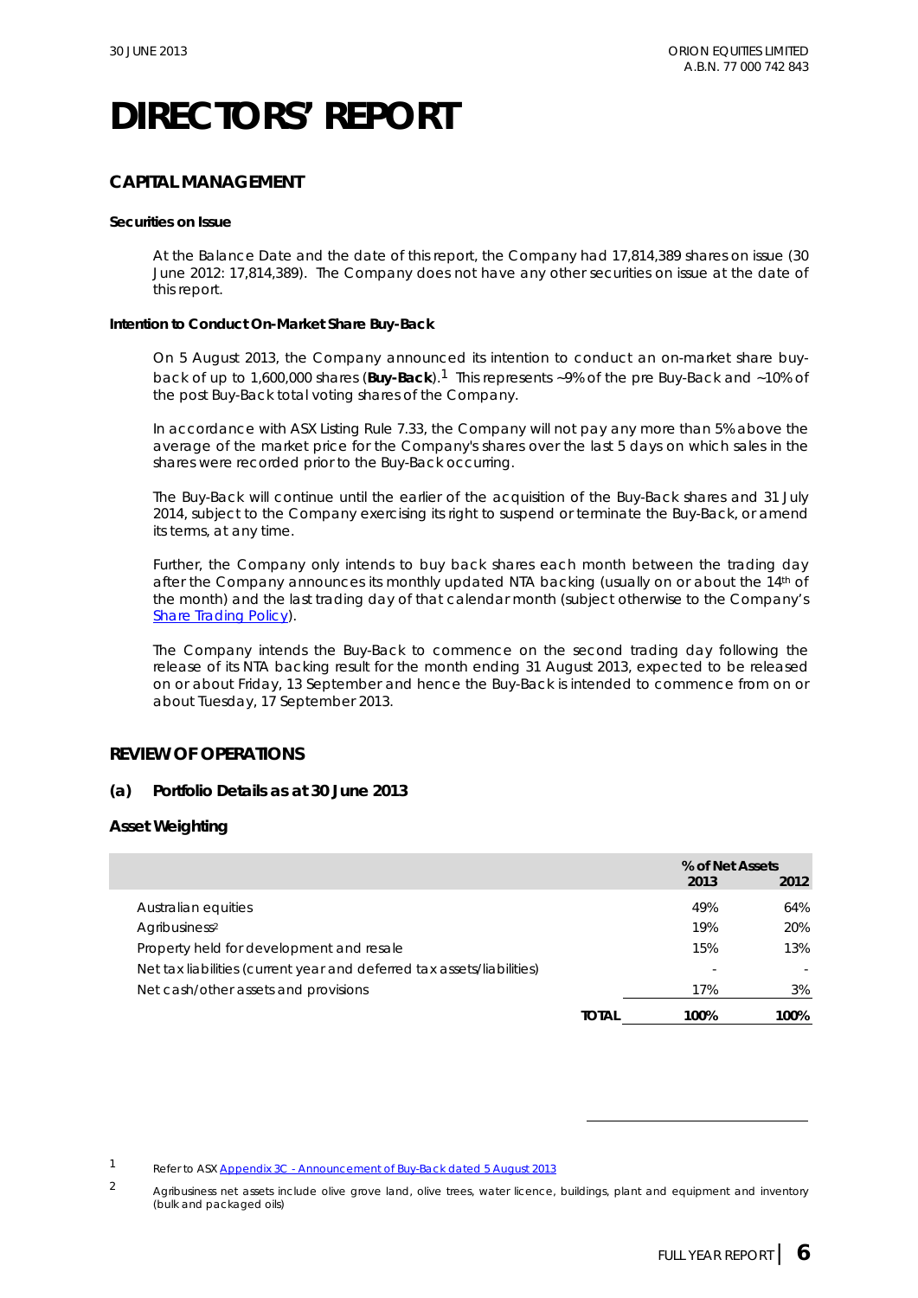## **CAPITAL MANAGEMENT**

### **Securities on Issue**

At the Balance Date and the date of this report, the Company had 17,814,389 shares on issue (30 June 2012: 17,814,389). The Company does not have any other securities on issue at the date of this report.

### **Intention to Conduct On-Market Share Buy-Back**

On 5 August 2013, the Company announced its intention to conduct an on-market share buyback of up to 1,600,000 shares (Buy-Back).<sup>1</sup> This represents ~9% of the pre Buy-Back and ~10% of the post Buy-Back total voting shares of the Company.

In accordance with ASX Listing Rule 7.33, the Company will not pay any more than 5% above the average of the market price for the Company's shares over the last 5 days on which sales in the shares were recorded prior to the Buy-Back occurring.

The Buy-Back will continue until the earlier of the acquisition of the Buy-Back shares and 31 July 2014, subject to the Company exercising its right to suspend or terminate the Buy-Back, or amend its terms, at any time.

Further, the Company only intends to buy back shares each month between the trading day after the Company announces its monthly updated NTA backing (usually on or about the 14th of the month) and the last trading day of that calendar month (subject otherwise to the Company's Share Trading Policy).

The Company intends the Buy-Back to commence on the second trading day following the release of its NTA backing result for the month ending 31 August 2013, expected to be released on or about Friday, 13 September and hence the Buy-Back is intended to commence from on or about Tuesday, 17 September 2013.

## **REVIEW OF OPERATIONS**

### **(a) Portfolio Details as at 30 June 2013**

### **Asset Weighting**

|                                                                        |       | % of Net Assets |      |
|------------------------------------------------------------------------|-------|-----------------|------|
|                                                                        |       | 2013            | 2012 |
| Australian equities                                                    |       | 49%             | 64%  |
| Agribusiness <sup>2</sup>                                              |       | 19%             | 20%  |
| Property held for development and resale                               |       | 15%             | 13%  |
| Net tax liabilities (current year and deferred tax assets/liabilities) |       |                 |      |
| Net cash/other assets and provisions                                   |       | 17%             | 3%   |
|                                                                        | TOTAL | 100%            | 100% |

-

<sup>1</sup> Refer to ASX Appendix 3C - Announcement of Buy-Back dated 5 August 2013

<sup>&</sup>lt;sup>2</sup> Agribusiness net assets include olive grove land, olive trees, water licence, buildings, plant and equipment and inventory (bulk and packaged oils)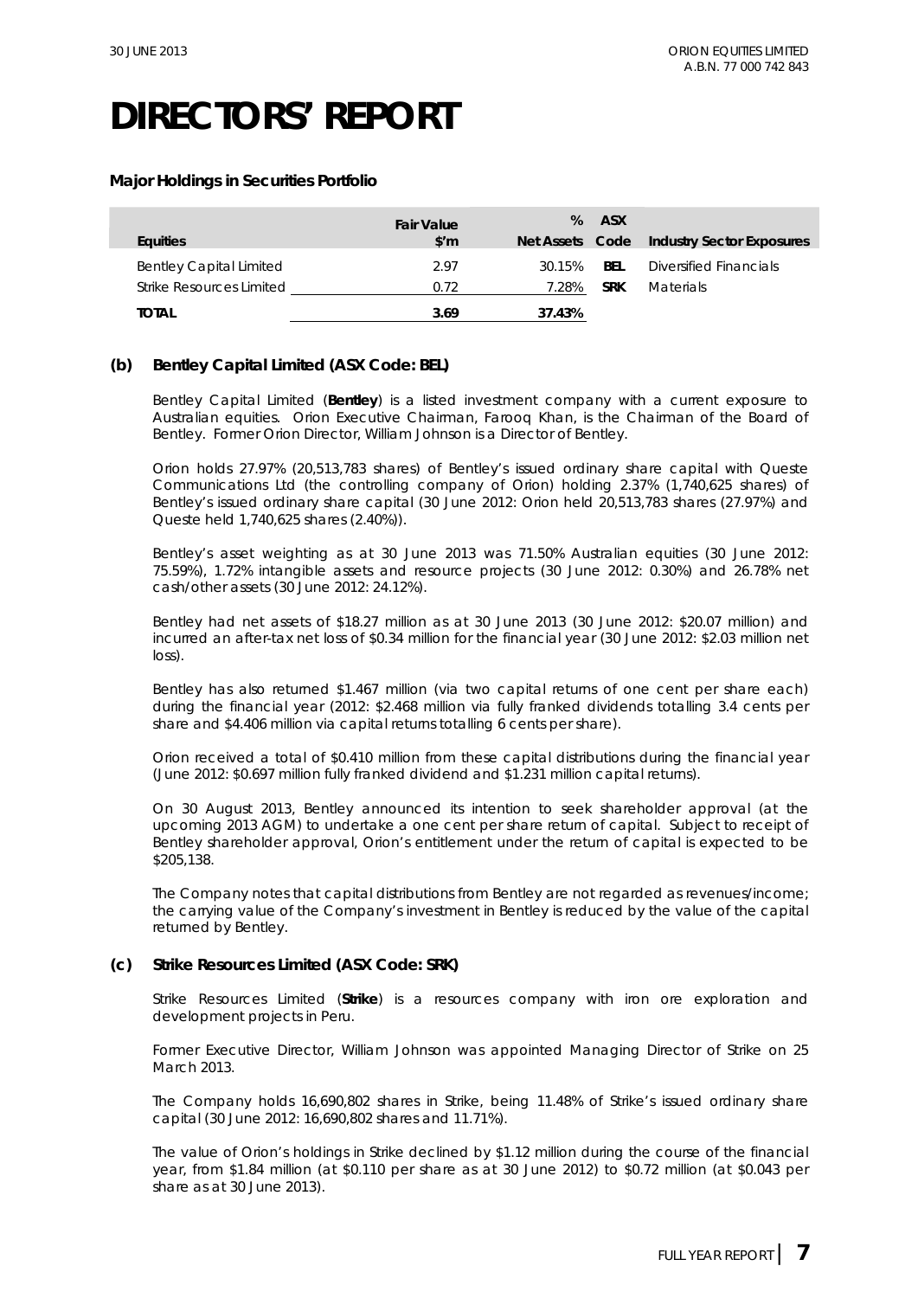|                                | <b>Fair Value</b> | %               | <b>ASX</b> |                                  |
|--------------------------------|-------------------|-----------------|------------|----------------------------------|
| <b>Equities</b>                | $\sin$            | Net Assets Code |            | <b>Industry Sector Exposures</b> |
| <b>Bentley Capital Limited</b> | 2.97              | 30.15%          | <b>BEL</b> | Diversified Financials           |
| Strike Resources Limited       | 0.72              | 7.28%           | <b>SRK</b> | <b>Materials</b>                 |
| <b>TOTAL</b>                   | 3.69              | 37.43%          |            |                                  |

### **Major Holdings in Securities Portfolio**

### **(b) Bentley Capital Limited (ASX Code: BEL)**

Bentley Capital Limited (**Bentley**) is a listed investment company with a current exposure to Australian equities. Orion Executive Chairman, Farooq Khan, is the Chairman of the Board of Bentley. Former Orion Director, William Johnson is a Director of Bentley.

Orion holds 27.97% (20,513,783 shares) of Bentley's issued ordinary share capital with Queste Communications Ltd (the controlling company of Orion) holding 2.37% (1,740,625 shares) of Bentley's issued ordinary share capital (30 June 2012: Orion held 20,513,783 shares (27.97%) and Queste held 1,740,625 shares (2.40%)).

Bentley's asset weighting as at 30 June 2013 was 71.50% Australian equities (30 June 2012: 75.59%), 1.72% intangible assets and resource projects (30 June 2012: 0.30%) and 26.78% net cash/other assets (30 June 2012: 24.12%).

Bentley had net assets of \$18.27 million as at 30 June 2013 (30 June 2012: \$20.07 million) and incurred an after-tax net loss of \$0.34 million for the financial year (30 June 2012: \$2.03 million net loss).

Bentley has also returned \$1.467 million (via two capital returns of one cent per share each) during the financial year (2012: \$2.468 million via fully franked dividends totalling 3.4 cents per share and \$4.406 million via capital returns totalling 6 cents per share).

Orion received a total of \$0.410 million from these capital distributions during the financial year (June 2012: \$0.697 million fully franked dividend and \$1.231 million capital returns).

On 30 August 2013, Bentley announced its intention to seek shareholder approval (at the upcoming 2013 AGM) to undertake a one cent per share return of capital. Subject to receipt of Bentley shareholder approval, Orion's entitlement under the return of capital is expected to be \$205,138.

The Company notes that capital distributions from Bentley are not regarded as revenues/income; the carrying value of the Company's investment in Bentley is reduced by the value of the capital returned by Bentley.

### **(c) Strike Resources Limited (ASX Code: SRK)**

Strike Resources Limited (**Strike**) is a resources company with iron ore exploration and development projects in Peru.

Former Executive Director, William Johnson was appointed Managing Director of Strike on 25 March 2013.

The Company holds 16,690,802 shares in Strike, being 11.48% of Strike's issued ordinary share capital (30 June 2012: 16,690,802 shares and 11.71%).

The value of Orion's holdings in Strike declined by \$1.12 million during the course of the financial year, from \$1.84 million (at \$0.110 per share as at 30 June 2012) to \$0.72 million (at \$0.043 per share as at 30 June 2013).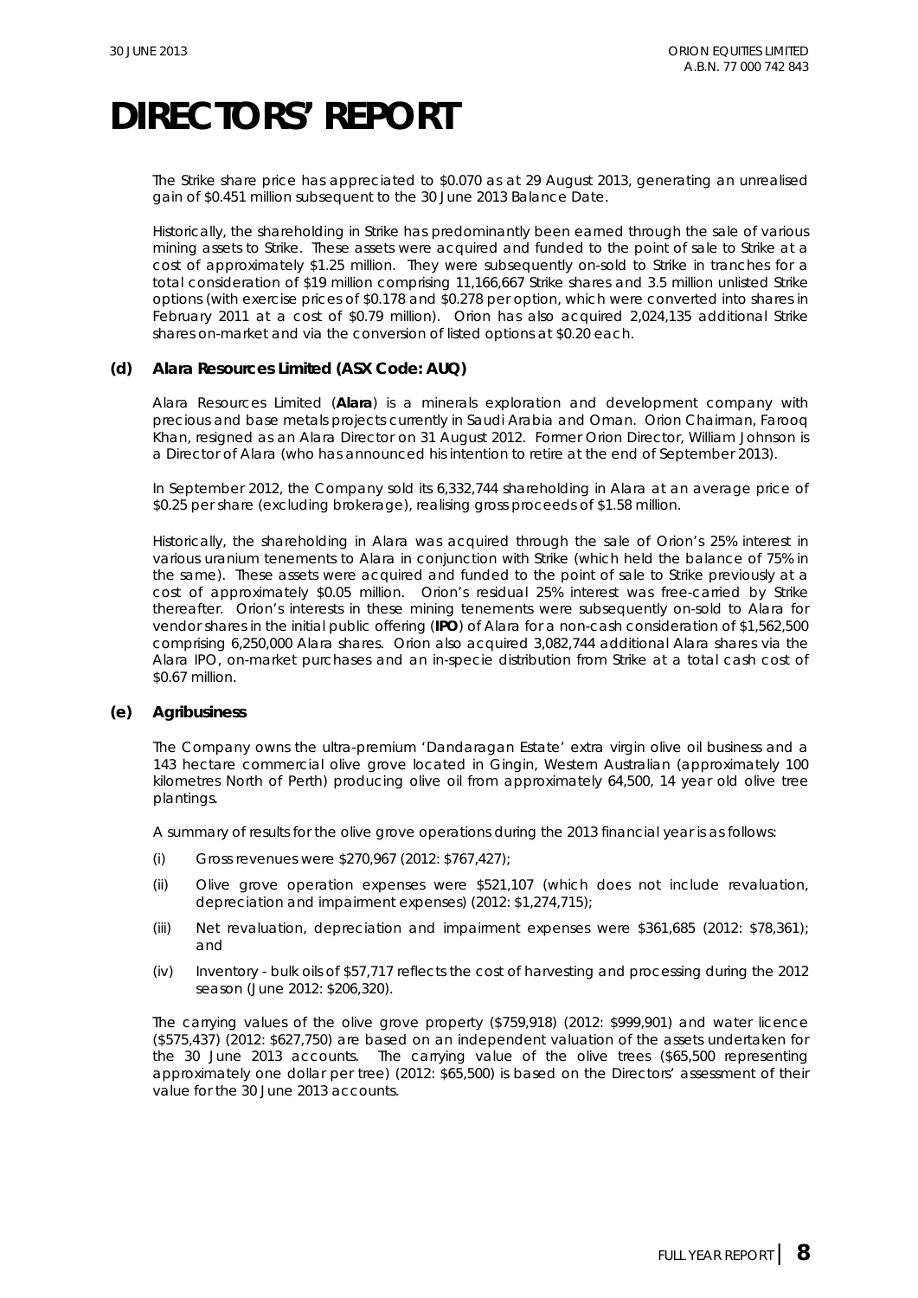The Strike share price has appreciated to \$0.070 as at 29 August 2013, generating an unrealised gain of \$0.451 million subsequent to the 30 June 2013 Balance Date.

Historically, the shareholding in Strike has predominantly been earned through the sale of various mining assets to Strike. These assets were acquired and funded to the point of sale to Strike at a cost of approximately \$1.25 million. They were subsequently on-sold to Strike in tranches for a total consideration of \$19 million comprising 11,166,667 Strike shares and 3.5 million unlisted Strike options (with exercise prices of \$0.178 and \$0.278 per option, which were converted into shares in February 2011 at a cost of \$0.79 million). Orion has also acquired 2,024,135 additional Strike shares on-market and via the conversion of listed options at \$0.20 each.

## **(d) Alara Resources Limited (ASX Code: AUQ)**

Alara Resources Limited (**Alara**) is a minerals exploration and development company with precious and base metals projects currently in Saudi Arabia and Oman. Orion Chairman, Farooq Khan, resigned as an Alara Director on 31 August 2012. Former Orion Director, William Johnson is a Director of Alara (who has announced his intention to retire at the end of September 2013).

In September 2012, the Company sold its 6,332,744 shareholding in Alara at an average price of \$0.25 per share (excluding brokerage), realising gross proceeds of \$1.58 million.

Historically, the shareholding in Alara was acquired through the sale of Orion's 25% interest in various uranium tenements to Alara in conjunction with Strike (which held the balance of 75% in the same). These assets were acquired and funded to the point of sale to Strike previously at a cost of approximately \$0.05 million. Orion's residual 25% interest was free-carried by Strike thereafter. Orion's interests in these mining tenements were subsequently on-sold to Alara for vendor shares in the initial public offering (**IPO**) of Alara for a non-cash consideration of \$1,562,500 comprising 6,250,000 Alara shares. Orion also acquired 3,082,744 additional Alara shares via the Alara IPO, on-market purchases and an in-specie distribution from Strike at a total cash cost of \$0.67 million.

## **(e) Agribusiness**

The Company owns the ultra-premium 'Dandaragan Estate' extra virgin olive oil business and a 143 hectare commercial olive grove located in Gingin, Western Australian (approximately 100 kilometres North of Perth) producing olive oil from approximately 64,500, 14 year old olive tree plantings.

A summary of results for the olive grove operations during the 2013 financial year is as follows:

- (i) Gross revenues were \$270,967 (2012: \$767,427);
- (ii) Olive grove operation expenses were \$521,107 (which does not include revaluation, depreciation and impairment expenses) (2012: \$1,274,715);
- (iii) Net revaluation, depreciation and impairment expenses were \$361,685 (2012: \$78,361); and
- (iv) Inventory bulk oils of \$57,717 reflects the cost of harvesting and processing during the 2012 season (June 2012: \$206,320).

The carrying values of the olive grove property (\$759,918) (2012: \$999,901) and water licence (\$575,437) (2012: \$627,750) are based on an independent valuation of the assets undertaken for the 30 June 2013 accounts. The carrying value of the olive trees (\$65,500 representing approximately one dollar per tree) (2012: \$65,500) is based on the Directors' assessment of their value for the 30 June 2013 accounts.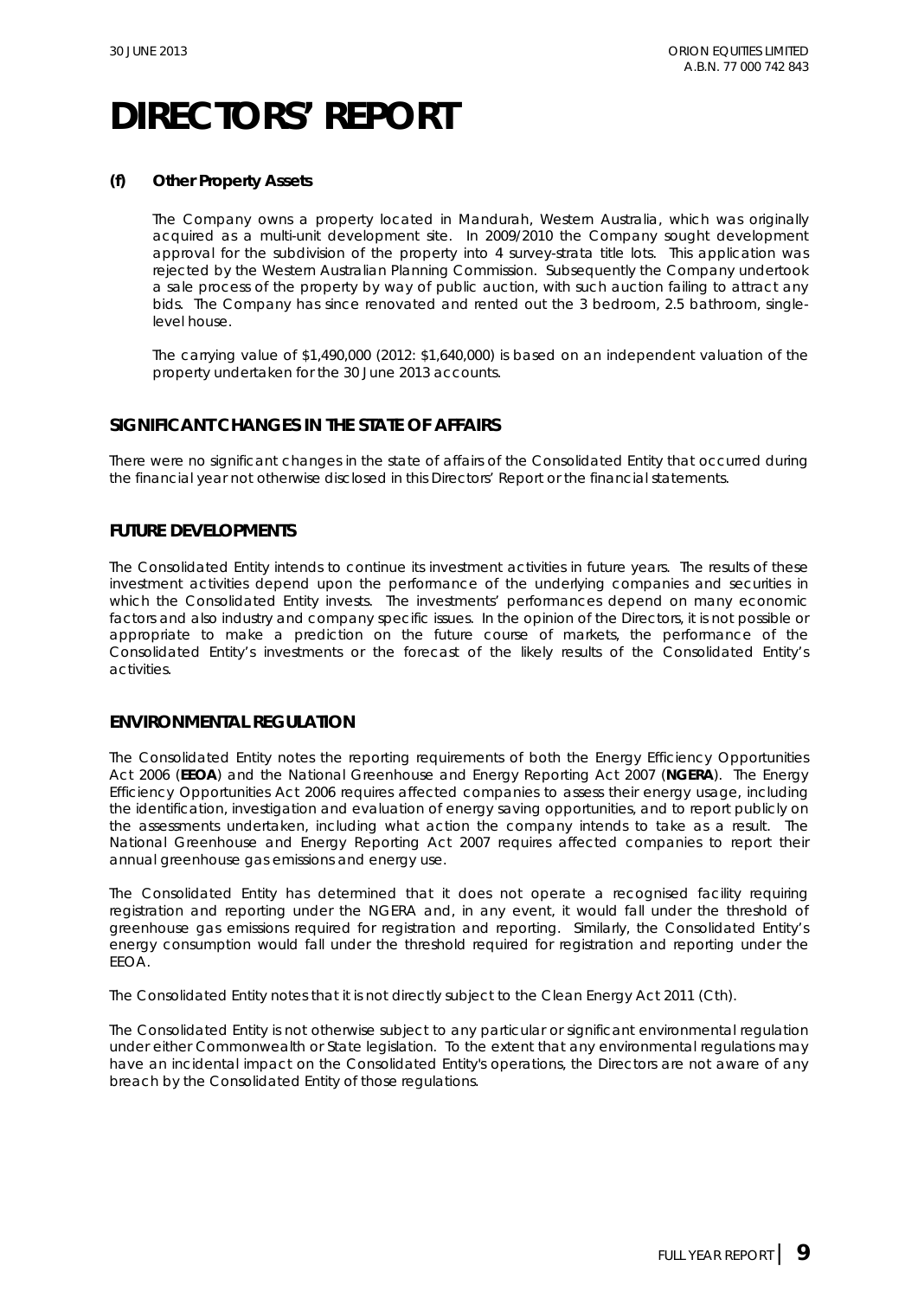## **(f) Other Property Assets**

The Company owns a property located in Mandurah, Western Australia, which was originally acquired as a multi-unit development site. In 2009/2010 the Company sought development approval for the subdivision of the property into 4 survey-strata title lots. This application was rejected by the Western Australian Planning Commission. Subsequently the Company undertook a sale process of the property by way of public auction, with such auction failing to attract any bids. The Company has since renovated and rented out the 3 bedroom, 2.5 bathroom, singlelevel house.

The carrying value of \$1,490,000 (2012: \$1,640,000) is based on an independent valuation of the property undertaken for the 30 June 2013 accounts.

## **SIGNIFICANT CHANGES IN THE STATE OF AFFAIRS**

There were no significant changes in the state of affairs of the Consolidated Entity that occurred during the financial year not otherwise disclosed in this Directors' Report or the financial statements.

## **FUTURE DEVELOPMENTS**

The Consolidated Entity intends to continue its investment activities in future years. The results of these investment activities depend upon the performance of the underlying companies and securities in which the Consolidated Entity invests. The investments' performances depend on many economic factors and also industry and company specific issues. In the opinion of the Directors, it is not possible or appropriate to make a prediction on the future course of markets, the performance of the Consolidated Entity's investments or the forecast of the likely results of the Consolidated Entity's activities.

## **ENVIRONMENTAL REGULATION**

The Consolidated Entity notes the reporting requirements of both the *Energy Efficiency Opportunities Act 2006* (**EEOA**) and the *National Greenhouse and Energy Reporting Act 2007* (**NGERA**).The *Energy Efficiency Opportunities Act 2006* requires affected companies to assess their energy usage, including the identification, investigation and evaluation of energy saving opportunities, and to report publicly on the assessments undertaken, including what action the company intends to take as a result. The *National Greenhouse and Energy Reporting Act 2007* requires affected companies to report their annual greenhouse gas emissions and energy use.

The Consolidated Entity has determined that it does not operate a recognised facility requiring registration and reporting under the NGERA and, in any event, it would fall under the threshold of greenhouse gas emissions required for registration and reporting. Similarly, the Consolidated Entity's energy consumption would fall under the threshold required for registration and reporting under the EEOA.

The Consolidated Entity notes that it is not directly subject to the *Clean Energy Act 2011 (Cth)*.

The Consolidated Entity is not otherwise subject to any particular or significant environmental regulation under either Commonwealth or State legislation. To the extent that any environmental regulations may have an incidental impact on the Consolidated Entity's operations, the Directors are not aware of any breach by the Consolidated Entity of those regulations.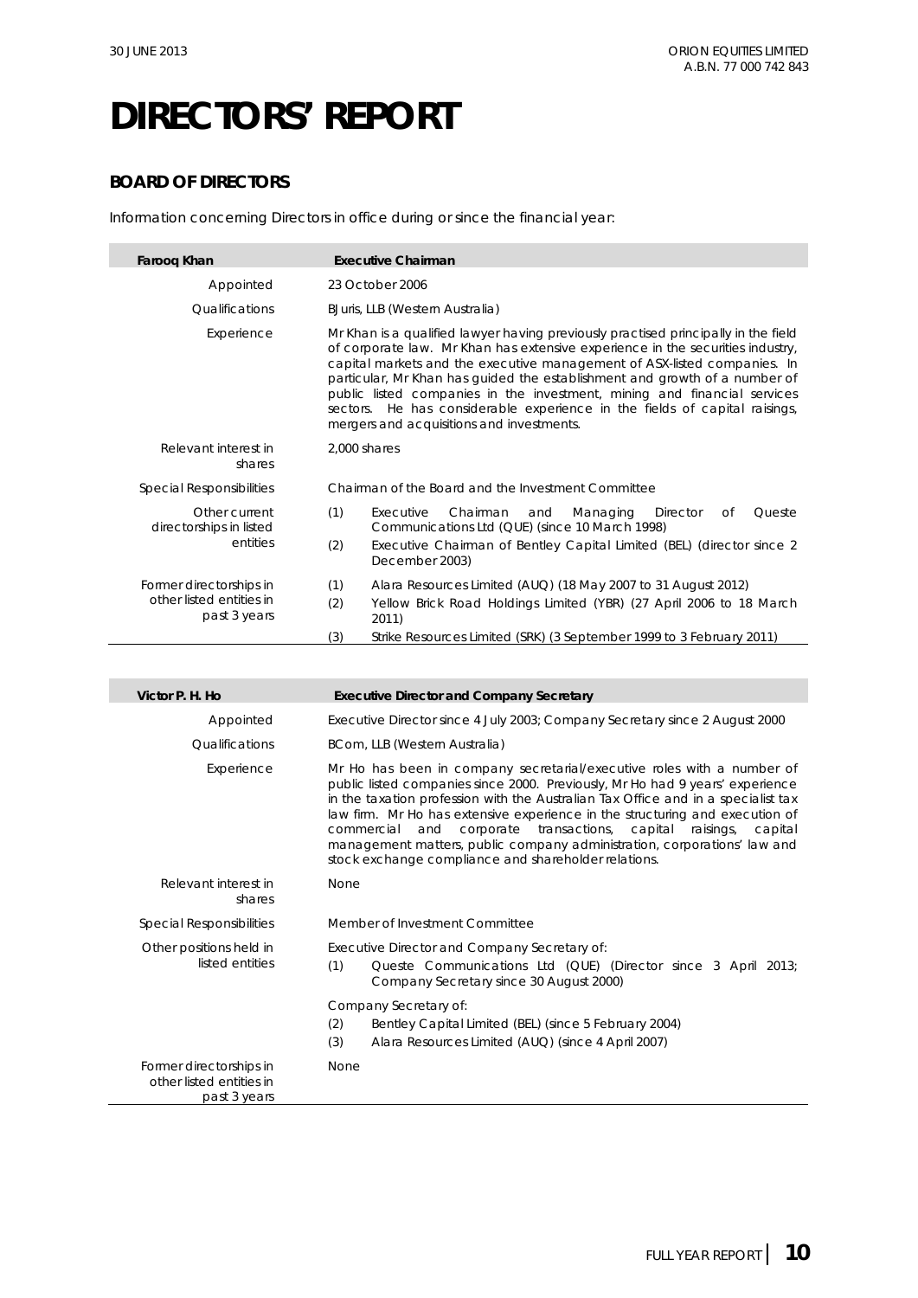# **BOARD OF DIRECTORS**

Information concerning Directors in office during or since the financial year:

| Faroog Khan                                                         | <b>Executive Chairman</b>                                                                                                                                                                                                                                                                                                                                                                                                                                                                                                             |
|---------------------------------------------------------------------|---------------------------------------------------------------------------------------------------------------------------------------------------------------------------------------------------------------------------------------------------------------------------------------------------------------------------------------------------------------------------------------------------------------------------------------------------------------------------------------------------------------------------------------|
| Appointed                                                           | 23 October 2006                                                                                                                                                                                                                                                                                                                                                                                                                                                                                                                       |
| <i><u><b>Oualifications</b></u></i>                                 | BJuris, LLB (Western Australia)                                                                                                                                                                                                                                                                                                                                                                                                                                                                                                       |
| Experience                                                          | Mr Khan is a qualified lawyer having previously practised principally in the field<br>of corporate law. Mr Khan has extensive experience in the securities industry,<br>capital markets and the executive management of ASX-listed companies. In<br>particular, Mr Khan has guided the establishment and growth of a number of<br>public listed companies in the investment, mining and financial services<br>sectors. He has considerable experience in the fields of capital raisings,<br>mergers and acquisitions and investments. |
| Relevant interest in<br>shares                                      | 2,000 shares                                                                                                                                                                                                                                                                                                                                                                                                                                                                                                                          |
| <b>Special Responsibilities</b>                                     | Chairman of the Board and the Investment Committee                                                                                                                                                                                                                                                                                                                                                                                                                                                                                    |
| Other current<br>directorships in listed<br>entities                | (1)<br>Executive<br>Chairman<br>Managing<br><b>Director</b><br>Queste<br>and<br><b>of</b><br>Communications Ltd (QUE) (since 10 March 1998)<br>Executive Chairman of Bentley Capital Limited (BEL) (director since 2<br>(2)<br>December 2003)                                                                                                                                                                                                                                                                                         |
| Former directorships in<br>other listed entities in<br>past 3 years | (1)<br>Alara Resources Limited (AUQ) (18 May 2007 to 31 August 2012)<br>Yellow Brick Road Holdings Limited (YBR) (27 April 2006 to 18 March<br>(2)<br>2011)<br>(3)<br>Strike Resources Limited (SRK) (3 September 1999 to 3 February 2011)                                                                                                                                                                                                                                                                                            |

| Victor P. H. Ho                                                     | <b>Executive Director and Company Secretary</b>                                                                                                                                                                                                                                                                                                                                                                                                                                                                                                        |
|---------------------------------------------------------------------|--------------------------------------------------------------------------------------------------------------------------------------------------------------------------------------------------------------------------------------------------------------------------------------------------------------------------------------------------------------------------------------------------------------------------------------------------------------------------------------------------------------------------------------------------------|
| Appointed                                                           | Executive Director since 4 July 2003; Company Secretary since 2 August 2000                                                                                                                                                                                                                                                                                                                                                                                                                                                                            |
| <i><b>Oualifications</b></i>                                        | BCom, LLB (Western Australia)                                                                                                                                                                                                                                                                                                                                                                                                                                                                                                                          |
| Experience                                                          | Mr Ho has been in company secretarial/executive roles with a number of<br>public listed companies since 2000. Previously, Mr Ho had 9 years' experience<br>in the taxation profession with the Australian Tax Office and in a specialist tax<br>law firm. Mr Ho has extensive experience in the structuring and execution of<br>corporate<br>transactions,<br>capital<br>commercial<br>and<br>raisings,<br>capital<br>management matters, public company administration, corporations' law and<br>stock exchange compliance and shareholder relations. |
| Relevant interest in<br>shares                                      | <b>None</b>                                                                                                                                                                                                                                                                                                                                                                                                                                                                                                                                            |
| <b>Special Responsibilities</b>                                     | Member of Investment Committee                                                                                                                                                                                                                                                                                                                                                                                                                                                                                                                         |
| Other positions held in<br>listed entities                          | Executive Director and Company Secretary of:<br>Queste Communications Ltd (QUE) (Director since 3 April 2013;<br>(1)<br>Company Secretary since 30 August 2000)                                                                                                                                                                                                                                                                                                                                                                                        |
|                                                                     | Company Secretary of:<br>(2)<br>Bentley Capital Limited (BEL) (since 5 February 2004)<br>(3)<br>Alara Resources Limited (AUQ) (since 4 April 2007)                                                                                                                                                                                                                                                                                                                                                                                                     |
| Former directorships in<br>other listed entities in<br>past 3 years | <b>None</b>                                                                                                                                                                                                                                                                                                                                                                                                                                                                                                                                            |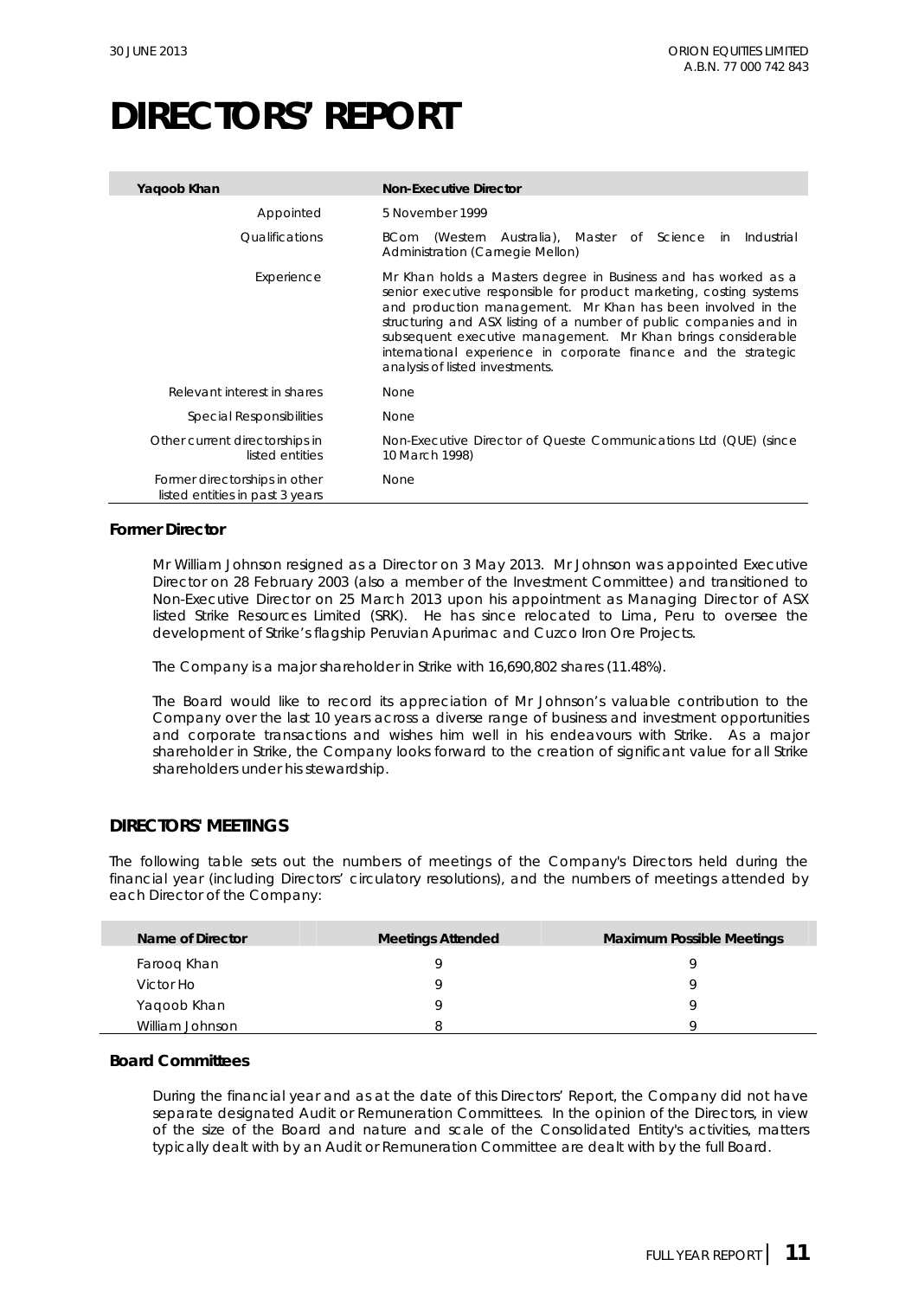| Yaqoob Khan                                                      | <b>Non-Executive Director</b>                                                                                                                                                                                                                                                                                                                                                                                                                    |
|------------------------------------------------------------------|--------------------------------------------------------------------------------------------------------------------------------------------------------------------------------------------------------------------------------------------------------------------------------------------------------------------------------------------------------------------------------------------------------------------------------------------------|
| Appointed                                                        | 5 November 1999                                                                                                                                                                                                                                                                                                                                                                                                                                  |
| <i><u><b>Oualifications</b></u></i>                              | (Western Australia), Master of Science<br>Industrial<br>BCom -<br>in<br>Administration (Carnegie Mellon)                                                                                                                                                                                                                                                                                                                                         |
| Experience                                                       | Mr Khan holds a Masters degree in Business and has worked as a<br>senior executive responsible for product marketing, costing systems<br>and production management. Mr Khan has been involved in the<br>structuring and ASX listing of a number of public companies and in<br>subsequent executive management. Mr Khan brings considerable<br>international experience in corporate finance and the strategic<br>analysis of listed investments. |
| Relevant interest in shares                                      | None                                                                                                                                                                                                                                                                                                                                                                                                                                             |
| <b>Special Responsibilities</b>                                  | None                                                                                                                                                                                                                                                                                                                                                                                                                                             |
| Other current directorships in<br>listed entities                | Non-Executive Director of Queste Communications Ltd (QUE) (since<br>10 March 1998)                                                                                                                                                                                                                                                                                                                                                               |
| Former directorships in other<br>listed entities in past 3 years | None                                                                                                                                                                                                                                                                                                                                                                                                                                             |

### **Former Director**

Mr William Johnson resigned as a Director on 3 May 2013. Mr Johnson was appointed Executive Director on 28 February 2003 (also a member of the Investment Committee) and transitioned to Non-Executive Director on 25 March 2013 upon his appointment as Managing Director of ASX listed Strike Resources Limited (SRK). He has since relocated to Lima, Peru to oversee the development of Strike's flagship Peruvian Apurimac and Cuzco Iron Ore Projects.

The Company is a major shareholder in Strike with 16,690,802 shares (11.48%).

The Board would like to record its appreciation of Mr Johnson's valuable contribution to the Company over the last 10 years across a diverse range of business and investment opportunities and corporate transactions and wishes him well in his endeavours with Strike. As a major shareholder in Strike, the Company looks forward to the creation of significant value for all Strike shareholders under his stewardship.

## **DIRECTORS' MEETINGS**

The following table sets out the numbers of meetings of the Company's Directors held during the financial year (including Directors' circulatory resolutions), and the numbers of meetings attended by each Director of the Company:

| Name of Director | <b>Meetings Attended</b> | <b>Maximum Possible Meetings</b> |
|------------------|--------------------------|----------------------------------|
| Faroog Khan      |                          |                                  |
| Victor Ho        |                          |                                  |
| Yagoob Khan      |                          |                                  |
| William Johnson  |                          | Ω                                |

### **Board Committees**

During the financial year and as at the date of this Directors' Report, the Company did not have separate designated Audit or Remuneration Committees. In the opinion of the Directors, in view of the size of the Board and nature and scale of the Consolidated Entity's activities, matters typically dealt with by an Audit or Remuneration Committee are dealt with by the full Board.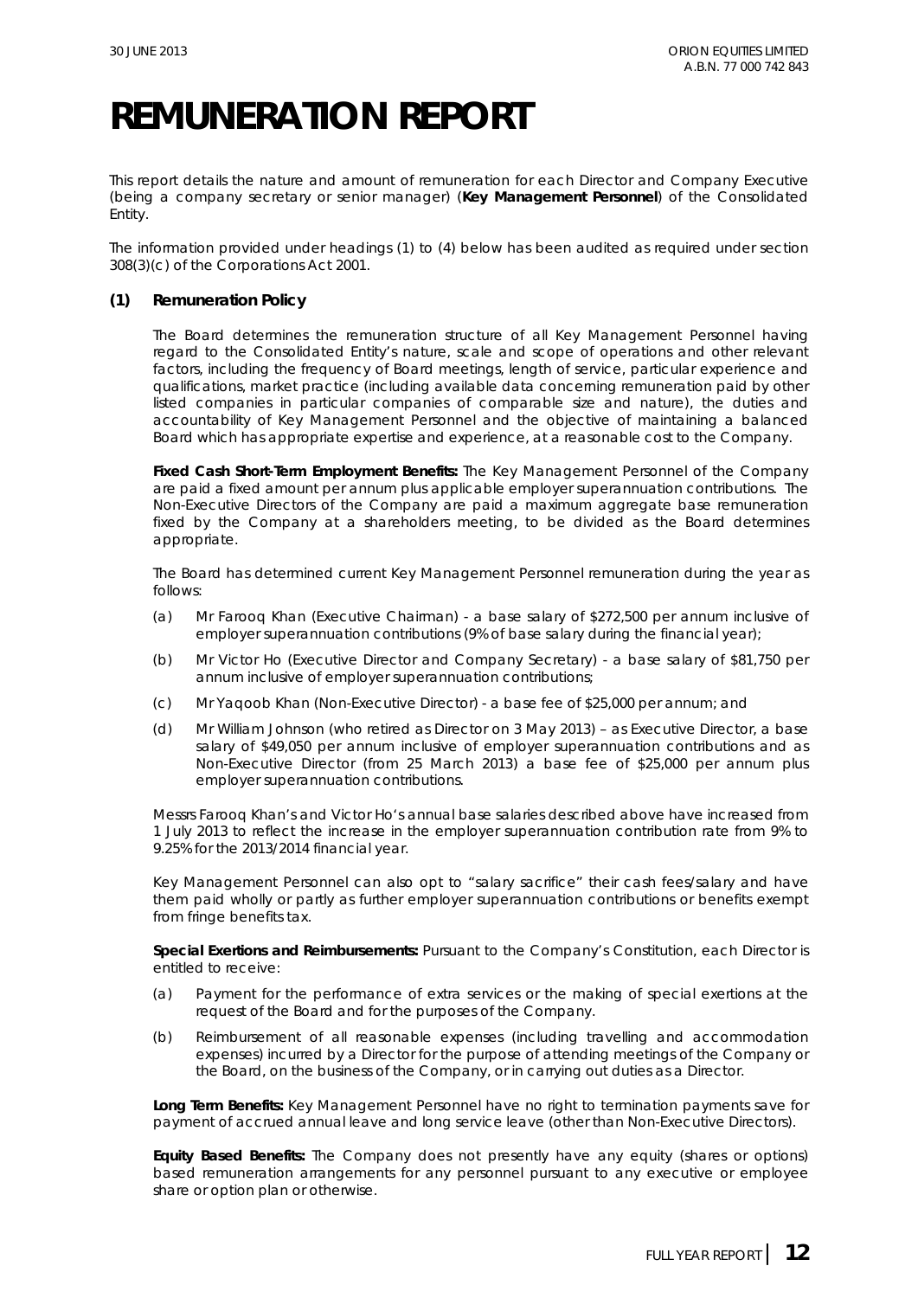# **REMUNERATION REPORT**

This report details the nature and amount of remuneration for each Director and Company Executive (being a company secretary or senior manager) (**Key Management Personnel**) of the Consolidated Entity.

The information provided under headings (1) to (4) below has been audited as required under section 308(3)(c) of the *Corporations Act 2001*.

## **(1) Remuneration Policy**

The Board determines the remuneration structure of all Key Management Personnel having regard to the Consolidated Entity's nature, scale and scope of operations and other relevant factors, including the frequency of Board meetings, length of service, particular experience and qualifications, market practice (including available data concerning remuneration paid by other listed companies in particular companies of comparable size and nature), the duties and accountability of Key Management Personnel and the objective of maintaining a balanced Board which has appropriate expertise and experience, at a reasonable cost to the Company.

**Fixed Cash Short-Term Employment Benefits:** The Key Management Personnel of the Company are paid a fixed amount per annum plus applicable employer superannuation contributions. The Non-Executive Directors of the Company are paid a maximum aggregate base remuneration fixed by the Company at a shareholders meeting, to be divided as the Board determines appropriate.

The Board has determined current Key Management Personnel remuneration during the year as follows:

- (a) Mr Farooq Khan (Executive Chairman) a base salary of \$272,500 per annum inclusive of employer superannuation contributions (9% of base salary during the financial year);
- (b) Mr Victor Ho (Executive Director and Company Secretary) a base salary of \$81,750 per annum inclusive of employer superannuation contributions;
- (c) Mr Yaqoob Khan (Non-Executive Director) a base fee of \$25,000 per annum; and
- (d) Mr William Johnson (who retired as Director on 3 May 2013) as Executive Director, a base salary of \$49,050 per annum inclusive of employer superannuation contributions and as Non-Executive Director (from 25 March 2013) a base fee of \$25,000 per annum plus employer superannuation contributions.

Messrs Farooq Khan's and Victor Ho's annual base salaries described above have increased from 1 July 2013 to reflect the increase in the employer superannuation contribution rate from 9% to 9.25% for the 2013/2014 financial year.

Key Management Personnel can also opt to "salary sacrifice" their cash fees/salary and have them paid wholly or partly as further employer superannuation contributions or benefits exempt from fringe benefits tax.

**Special Exertions and Reimbursements:** Pursuant to the Company's Constitution, each Director is entitled to receive:

- (a) Payment for the performance of extra services or the making of special exertions at the request of the Board and for the purposes of the Company.
- (b) Reimbursement of all reasonable expenses (including travelling and accommodation expenses) incurred by a Director for the purpose of attending meetings of the Company or the Board, on the business of the Company, or in carrying out duties as a Director.

**Long Term Benefits:** Key Management Personnel have no right to termination payments save for payment of accrued annual leave and long service leave (other than Non-Executive Directors).

**Equity Based Benefits:** The Company does not presently have any equity (shares or options) based remuneration arrangements for any personnel pursuant to any executive or employee share or option plan or otherwise.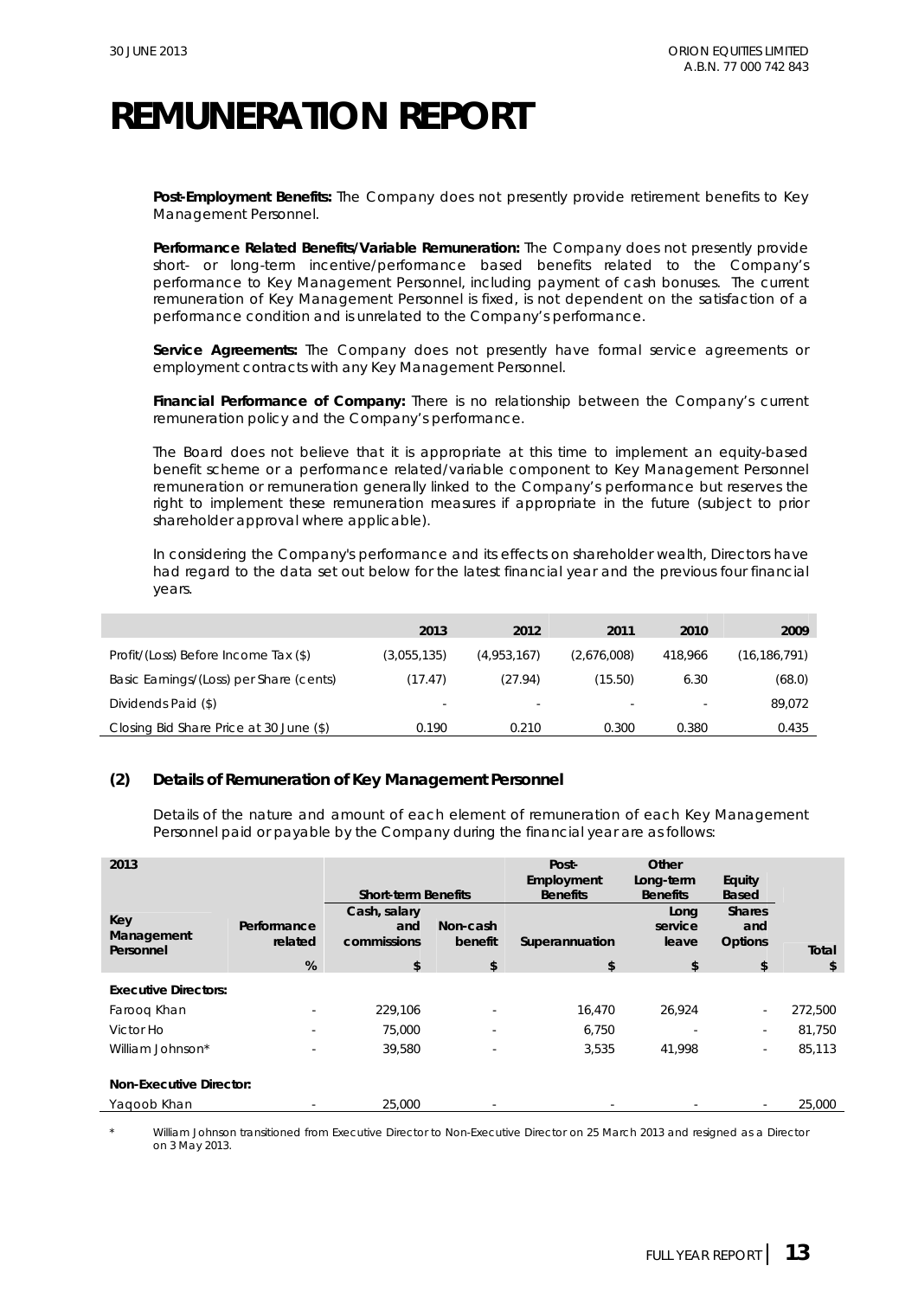# **REMUNERATION REPORT**

**Post-Employment Benefits:** The Company does not presently provide retirement benefits to Key Management Personnel.

**Performance Related Benefits/Variable Remuneration:** The Company does not presently provide short- or long-term incentive/performance based benefits related to the Company's performance to Key Management Personnel, including payment of cash bonuses. The current remuneration of Key Management Personnel is fixed, is not dependent on the satisfaction of a performance condition and is unrelated to the Company's performance.

**Service Agreements:** The Company does not presently have formal service agreements or employment contracts with any Key Management Personnel.

**Financial Performance of Company:** There is no relationship between the Company's current remuneration policy and the Company's performance.

The Board does not believe that it is appropriate at this time to implement an equity-based benefit scheme or a performance related/variable component to Key Management Personnel remuneration or remuneration generally linked to the Company's performance but reserves the right to implement these remuneration measures if appropriate in the future (subject to prior shareholder approval where applicable).

In considering the Company's performance and its effects on shareholder wealth, Directors have had regard to the data set out below for the latest financial year and the previous four financial years.

|                                         | 2013        | 2012                     | 2011                     | 2010    | 2009         |
|-----------------------------------------|-------------|--------------------------|--------------------------|---------|--------------|
| Profit/(Loss) Before Income Tax (\$)    | (3,055,135) | (4,953,167)              | (2,676,008)              | 418.966 | (16,186,791) |
| Basic Earnings/(Loss) per Share (cents) | (17.47)     | (27.94)                  | (15.50)                  | 6.30    | (68.0)       |
| Dividends Paid (\$)                     |             | $\overline{\phantom{a}}$ | $\overline{\phantom{a}}$ | -       | 89,072       |
| Closing Bid Share Price at 30 June (\$) | 0.190       | 0.210                    | 0.300                    | 0.380   | 0.435        |

## **(2) Details of Remuneration of Key Management Personnel**

Details of the nature and amount of each element of remuneration of each Key Management Personnel paid or payable by the Company during the financial year are as follows:

| 2013<br>Key<br>Management      | Performance<br>related   | <b>Short-term Benefits</b><br>Cash, salary<br>and<br>commissions | Non-cash<br>benefit      | Post-<br>Employment<br><b>Benefits</b><br>Superannuation | Other<br>Long-term<br><b>Benefits</b><br>Long<br>service<br>leave | Equity<br><b>Based</b><br><b>Shares</b><br>and<br><b>Options</b> |             |
|--------------------------------|--------------------------|------------------------------------------------------------------|--------------------------|----------------------------------------------------------|-------------------------------------------------------------------|------------------------------------------------------------------|-------------|
| Personnel                      | %                        | \$                                                               | \$                       | \$                                                       | \$                                                                | \$                                                               | Total<br>\$ |
| <b>Executive Directors:</b>    |                          |                                                                  |                          |                                                          |                                                                   |                                                                  |             |
| Faroog Khan                    |                          | 229,106                                                          |                          | 16,470                                                   | 26,924                                                            | $\overline{\phantom{a}}$                                         | 272,500     |
| Victor Ho                      | $\overline{\phantom{a}}$ | 75,000                                                           | $\overline{\phantom{a}}$ | 6.750                                                    |                                                                   | ۰                                                                | 81.750      |
| William Johnson*               | $\overline{\phantom{a}}$ | 39,580                                                           |                          | 3.535                                                    | 41.998                                                            | ۰                                                                | 85.113      |
| <b>Non-Executive Director:</b> |                          |                                                                  |                          |                                                          |                                                                   |                                                                  |             |
| Yagoob Khan                    |                          | 25,000                                                           |                          |                                                          |                                                                   |                                                                  | 25,000      |

William Johnson transitioned from Executive Director to Non-Executive Director on 25 March 2013 and resigned as a Director on 3 May 2013.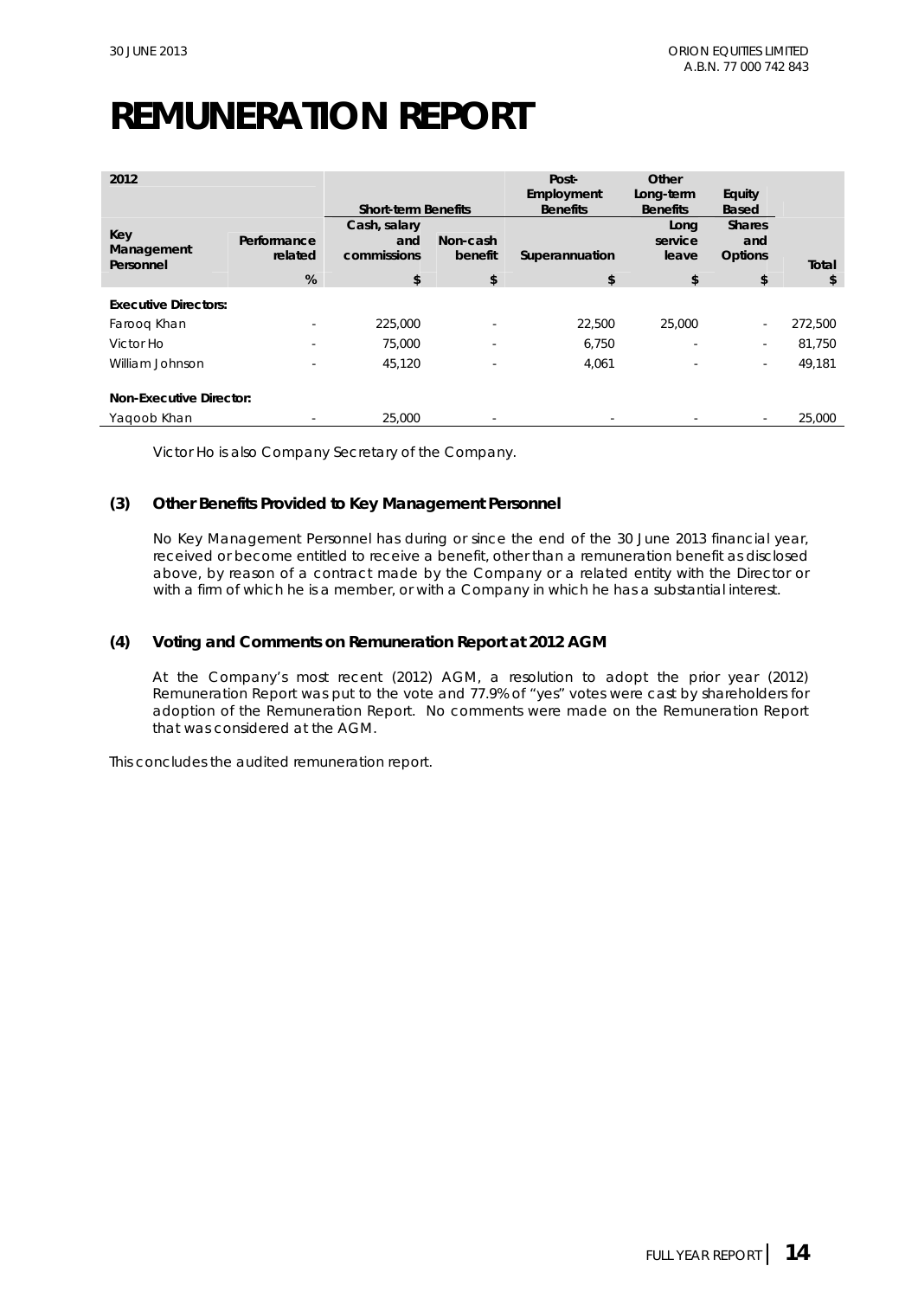# **REMUNERATION REPORT**

| 2012                           |                          | <b>Short-term Benefits</b>         |                          | Post-<br>Employment<br><b>Benefits</b> | Other<br>Long-term<br><b>Benefits</b> | Equity<br><b>Based</b>                 |         |
|--------------------------------|--------------------------|------------------------------------|--------------------------|----------------------------------------|---------------------------------------|----------------------------------------|---------|
| Key<br>Management<br>Personnel | Performance<br>related   | Cash, salary<br>and<br>commissions | Non-cash<br>benefit      | Superannuation                         | Long<br>service<br>leave              | <b>Shares</b><br>and<br><b>Options</b> | Total   |
|                                | %                        | \$                                 | \$                       | \$                                     | \$                                    | \$                                     | \$      |
| <b>Executive Directors:</b>    |                          |                                    |                          |                                        |                                       |                                        |         |
| Faroog Khan                    |                          | 225,000                            | $\overline{\phantom{a}}$ | 22,500                                 | 25,000                                | $\sim$                                 | 272,500 |
| Victor Ho                      | $\overline{\phantom{a}}$ | 75,000                             | ٠                        | 6,750                                  | ٠                                     | $\sim$                                 | 81.750  |
| William Johnson                | $\overline{\phantom{a}}$ | 45,120                             | ٠                        | 4,061                                  | $\overline{\phantom{0}}$              | $\overline{\phantom{a}}$               | 49,181  |
|                                |                          |                                    |                          |                                        |                                       |                                        |         |
| <b>Non-Executive Director:</b> |                          |                                    |                          |                                        |                                       |                                        |         |
| Yagoob Khan                    | $\overline{\phantom{a}}$ | 25,000                             | $\overline{\phantom{a}}$ |                                        |                                       | $\overline{\phantom{a}}$               | 25,000  |

Victor Ho is also Company Secretary of the Company.

## **(3) Other Benefits Provided to Key Management Personnel**

No Key Management Personnel has during or since the end of the 30 June 2013 financial year, received or become entitled to receive a benefit, other than a remuneration benefit as disclosed above, by reason of a contract made by the Company or a related entity with the Director or with a firm of which he is a member, or with a Company in which he has a substantial interest.

## **(4) Voting and Comments on Remuneration Report at 2012 AGM**

At the Company's most recent (2012) AGM, a resolution to adopt the prior year (2012) Remuneration Report was put to the vote and 77.9% of "yes" votes were cast by shareholders for adoption of the Remuneration Report. No comments were made on the Remuneration Report that was considered at the AGM.

This concludes the audited remuneration report.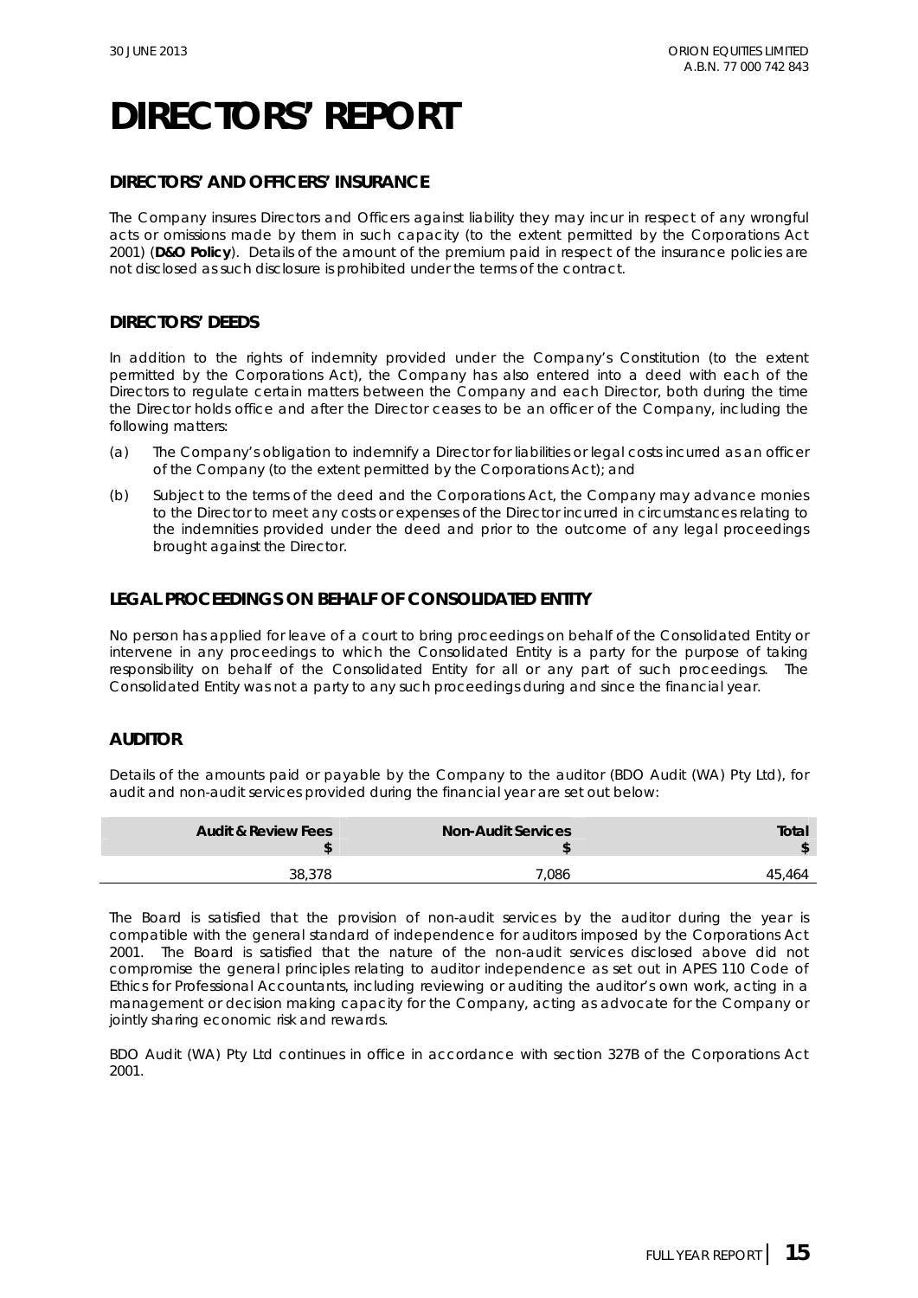## **DIRECTORS' AND OFFICERS' INSURANCE**

The Company insures Directors and Officers against liability they may incur in respect of any wrongful acts or omissions made by them in such capacity (to the extent permitted by the *Corporations Act 2001*) (**D&O Policy**). Details of the amount of the premium paid in respect of the insurance policies are not disclosed as such disclosure is prohibited under the terms of the contract.

## **DIRECTORS' DEEDS**

In addition to the rights of indemnity provided under the Company's Constitution (to the extent permitted by the Corporations Act), the Company has also entered into a deed with each of the Directors to regulate certain matters between the Company and each Director, both during the time the Director holds office and after the Director ceases to be an officer of the Company, including the following matters:

- (a) The Company's obligation to indemnify a Director for liabilities or legal costs incurred as an officer of the Company (to the extent permitted by the Corporations Act); and
- (b) Subject to the terms of the deed and the Corporations Act, the Company may advance monies to the Director to meet any costs or expenses of the Director incurred in circumstances relating to the indemnities provided under the deed and prior to the outcome of any legal proceedings brought against the Director.

## **LEGAL PROCEEDINGS ON BEHALF OF CONSOLIDATED ENTITY**

No person has applied for leave of a court to bring proceedings on behalf of the Consolidated Entity or intervene in any proceedings to which the Consolidated Entity is a party for the purpose of taking responsibility on behalf of the Consolidated Entity for all or any part of such proceedings. The Consolidated Entity was not a party to any such proceedings during and since the financial year.

## **AUDITOR**

Details of the amounts paid or payable by the Company to the auditor (BDO Audit (WA) Pty Ltd), for audit and non-audit services provided during the financial year are set out below:

| <b>Audit &amp; Review Fees</b> | <b>Non-Audit Services</b> | Total     |
|--------------------------------|---------------------------|-----------|
| 38,378                         | ' 086                     | 45<br>464 |

The Board is satisfied that the provision of non-audit services by the auditor during the year is compatible with the general standard of independence for auditors imposed by the *Corporations Act 2001.* The Board is satisfied that the nature of the non-audit services disclosed above did not compromise the general principles relating to auditor independence as set out in APES 110 Code of Ethics for Professional Accountants, including reviewing or auditing the auditor's own work, acting in a management or decision making capacity for the Company, acting as advocate for the Company or jointly sharing economic risk and rewards.

BDO Audit (WA) Pty Ltd continues in office in accordance with section 327B of the *Corporations Act 2001*.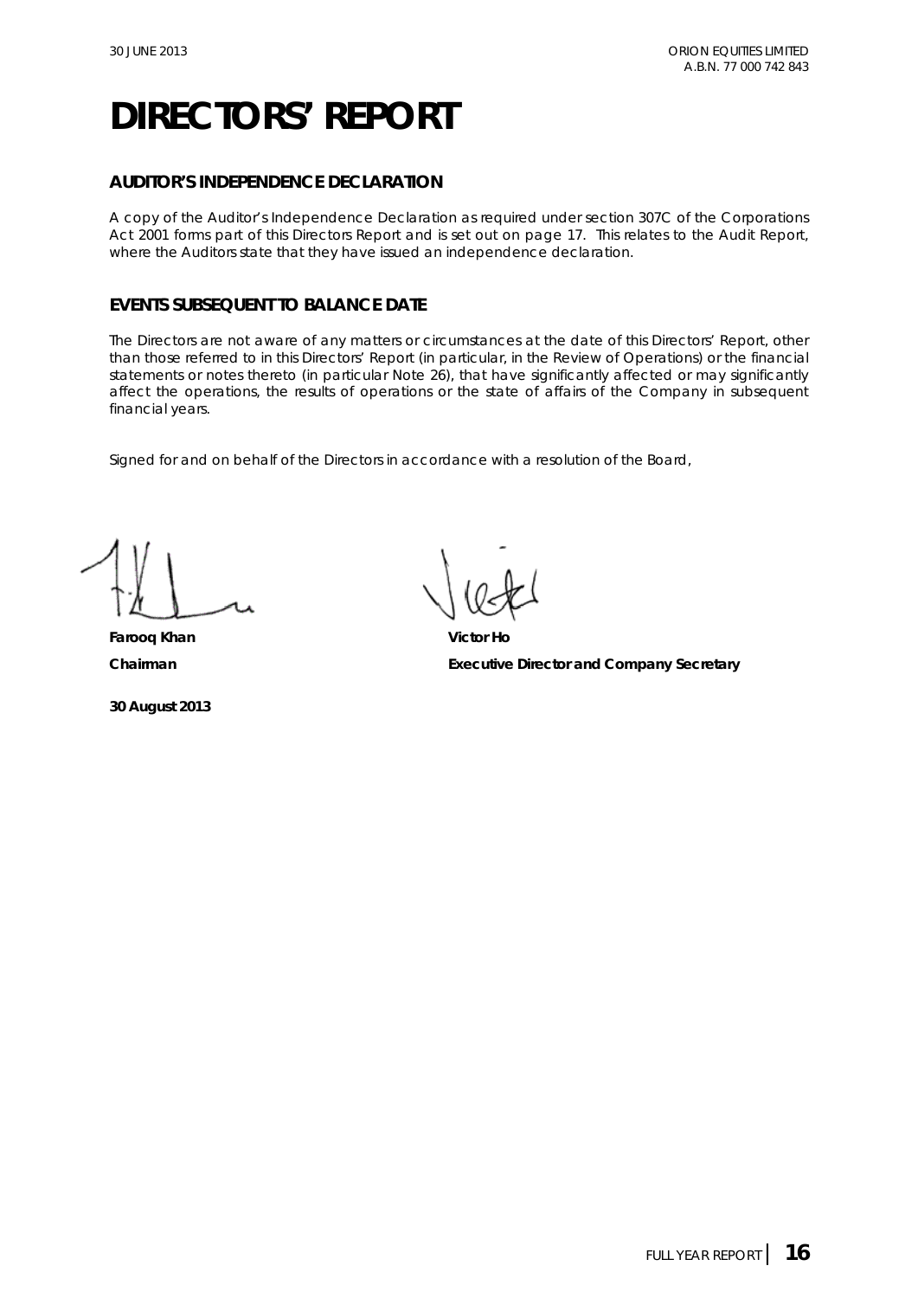# **AUDITOR'S INDEPENDENCE DECLARATION**

A copy of the Auditor's Independence Declaration as required under section 307C of the *Corporations Act 2001* forms part of this Directors Report and is set out on page 17. This relates to the Audit Report, where the Auditors state that they have issued an independence declaration.

## **EVENTS SUBSEQUENT TO BALANCE DATE**

The Directors are not aware of any matters or circumstances at the date of this Directors' Report, other than those referred to in this Directors' Report (in particular, in the Review of Operations) or the financial statements or notes thereto (in particular Note 26), that have significantly affected or may significantly affect the operations, the results of operations or the state of affairs of the Company in subsequent financial years.

Signed for and on behalf of the Directors in accordance with a resolution of the Board,

**Farooq Khan Victor Ho**

**30 August 2013** 

**Chairman Executive Director and Company Secretary**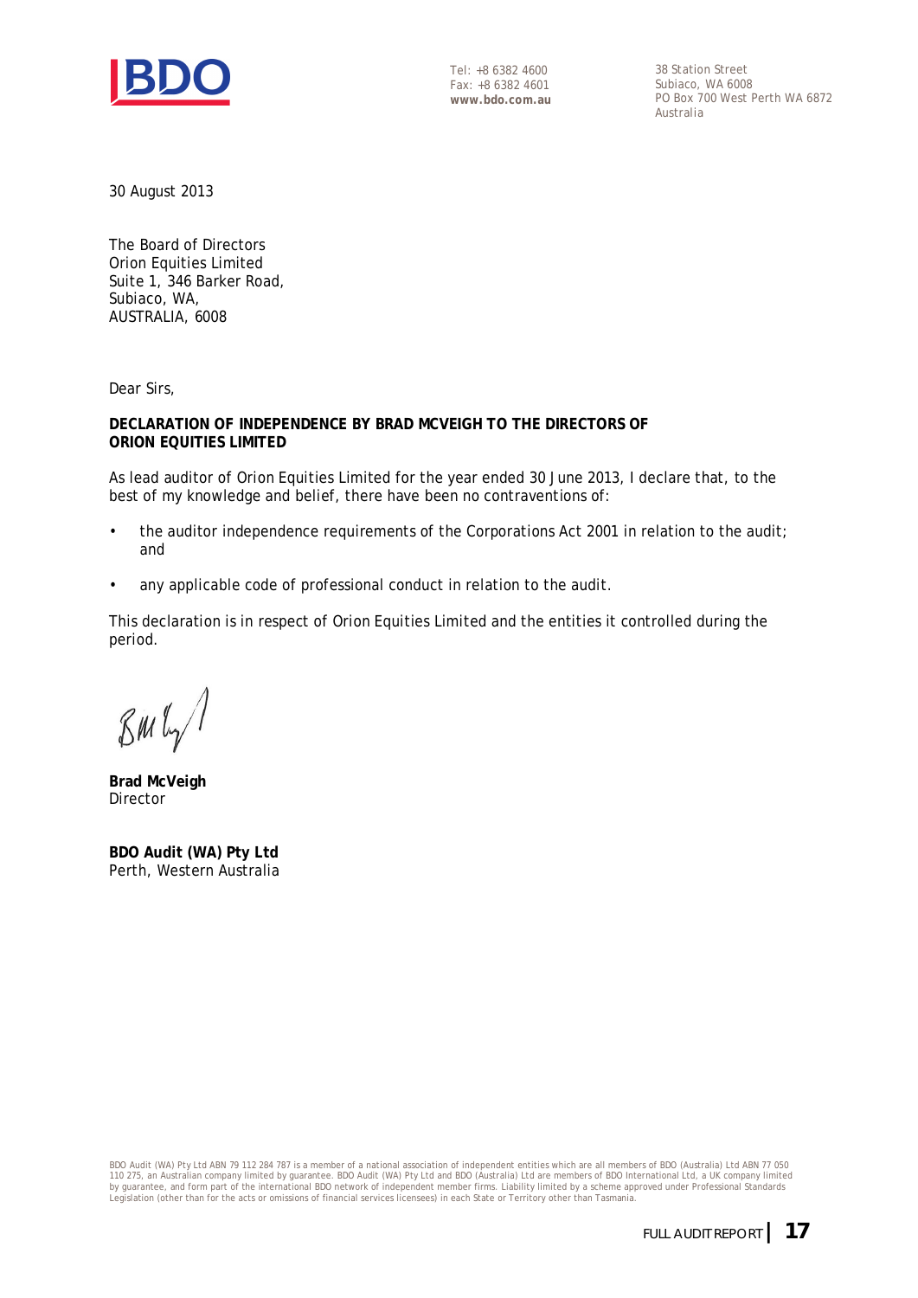

Tel: +8 6382 4600 Fax: +8 6382 4601 **www.bdo.com.au**

38 Station Street Subiaco, WA 6008 PO Box 700 West Perth WA 6872 Australia

30 August 2013

The Board of Directors Orion Equities Limited Suite 1, 346 Barker Road, Subiaco, WA, AUSTRALIA, 6008

Dear Sirs,

**DECLARATION OF INDEPENDENCE BY BRAD MCVEIGH TO THE DIRECTORS OF ORION EQUITIES LIMITED**

As lead auditor of Orion Equities Limited for the year ended 30 June 2013, I declare that, to the best of my knowledge and belief, there have been no contraventions of:

- the auditor independence requirements of the Corporations Act 2001 in relation to the audit; and
- any applicable code of professional conduct in relation to the audit.

This declaration is in respect of Orion Equities Limited and the entities it controlled during the period.

 $\mathcal{B}$ m $\mathfrak{l}_{\gamma}$ 

**Brad McVeigh** Director

**BDO Audit (WA) Pty Ltd** Perth, Western Australia

BDO Audit (WA) Pty Ltd ABN 79 112 284 787 is a member of a national association of independent entities which are all members of BDO (Australia) Ltd ABN 77 050 110 275, an Australian company limited by guarantee. BDO Audit (WA) Pty Ltd and BDO (Australia) Ltd are members of BDO International Ltd, a UK company limited<br>by guarantee, and form part of the international BDO network of Legislation (other than for the acts or omissions of financial services licensees) in each State or Territory other than Tasmania.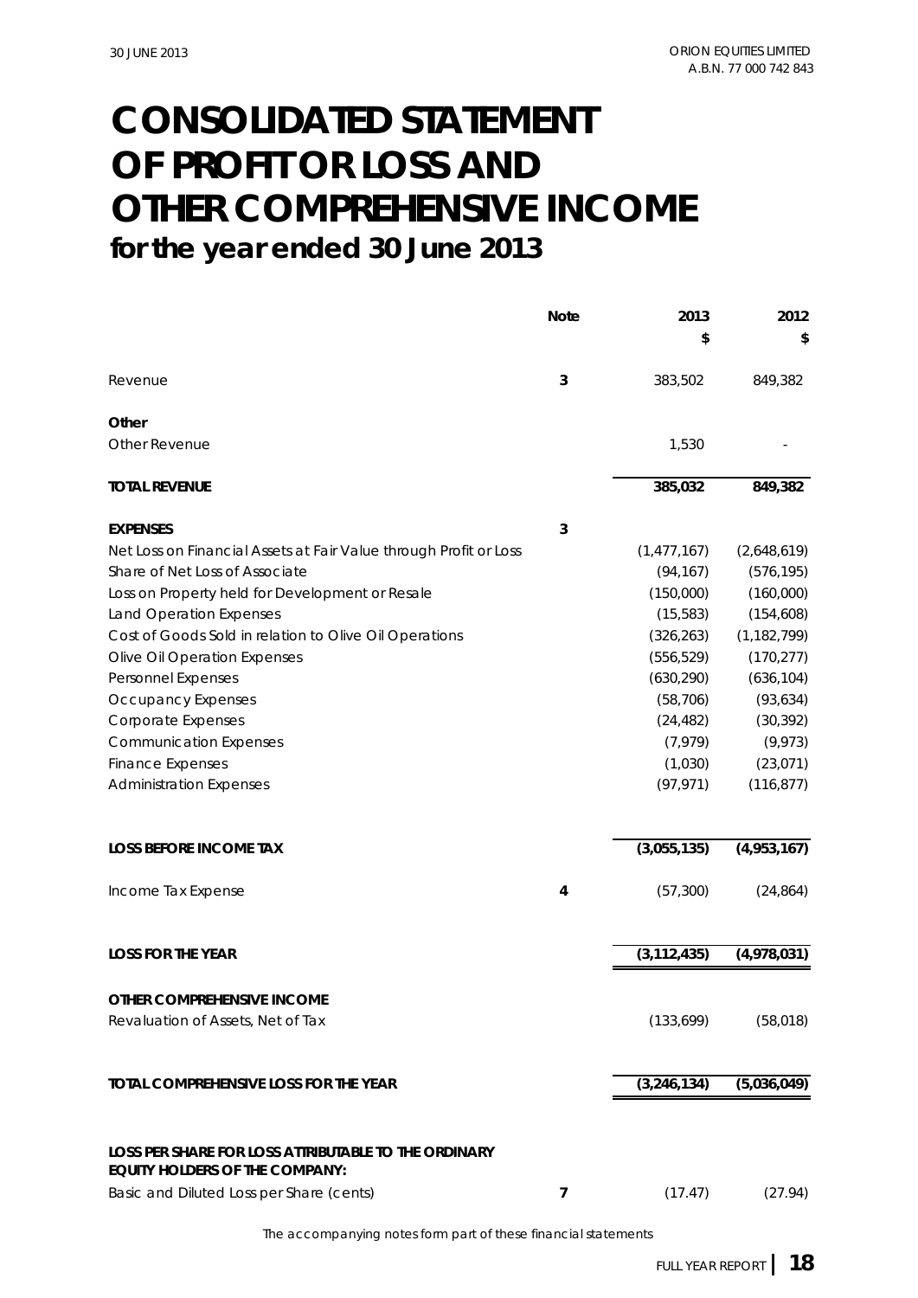# **CONSOLIDATED STATEMENT OF PROFIT OR LOSS AND OTHER COMPREHENSIVE INCOME**

**for the year ended 30 June 2013**

|                                                                                               | <b>Note</b> | 2013          | 2012          |
|-----------------------------------------------------------------------------------------------|-------------|---------------|---------------|
|                                                                                               |             | \$            | S             |
| Revenue                                                                                       | 3           | 383,502       | 849,382       |
| Other                                                                                         |             |               |               |
| Other Revenue                                                                                 |             | 1,530         |               |
| <b>TOTAL REVENUE</b>                                                                          |             | 385,032       | 849,382       |
| <b>EXPENSES</b>                                                                               | 3           |               |               |
| Net Loss on Financial Assets at Fair Value through Profit or Loss                             |             | (1, 477, 167) | (2,648,619)   |
| Share of Net Loss of Associate                                                                |             | (94, 167)     | (576, 195)    |
| Loss on Property held for Development or Resale                                               |             | (150,000)     | (160,000)     |
| Land Operation Expenses                                                                       |             | (15, 583)     | (154, 608)    |
| Cost of Goods Sold in relation to Olive Oil Operations                                        |             | (326, 263)    | (1, 182, 799) |
| Olive Oil Operation Expenses                                                                  |             | (556, 529)    | (170, 277)    |
| Personnel Expenses                                                                            |             | (630, 290)    | (636, 104)    |
| Occupancy Expenses                                                                            |             | (58, 706)     | (93, 634)     |
| <b>Corporate Expenses</b>                                                                     |             | (24, 482)     | (30, 392)     |
| <b>Communication Expenses</b>                                                                 |             | (7, 979)      | (9,973)       |
| <b>Finance Expenses</b>                                                                       |             | (1,030)       | (23, 071)     |
| <b>Administration Expenses</b>                                                                |             | (97, 971)     | (116, 877)    |
| <b>LOSS BEFORE INCOME TAX</b>                                                                 |             | (3,055,135)   | (4,953,167)   |
| Income Tax Expense                                                                            | 4           | (57, 300)     | (24, 864)     |
| <b>LOSS FOR THE YEAR</b>                                                                      |             | (3, 112, 435) | (4,978,031)   |
| OTHER COMPREHENSIVE INCOME                                                                    |             |               |               |
| Revaluation of Assets, Net of Tax                                                             |             | (133, 699)    | (58, 018)     |
|                                                                                               |             |               |               |
| TOTAL COMPREHENSIVE LOSS FOR THE YEAR                                                         |             | (3, 246, 134) | (5,036,049)   |
| LOSS PER SHARE FOR LOSS ATTRIBUTABLE TO THE ORDINARY<br><b>EQUITY HOLDERS OF THE COMPANY:</b> |             |               |               |
| Basic and Diluted Loss per Share (cents)                                                      | 7           | (17.47)       | (27.94)       |

The accompanying notes form part of these financial statements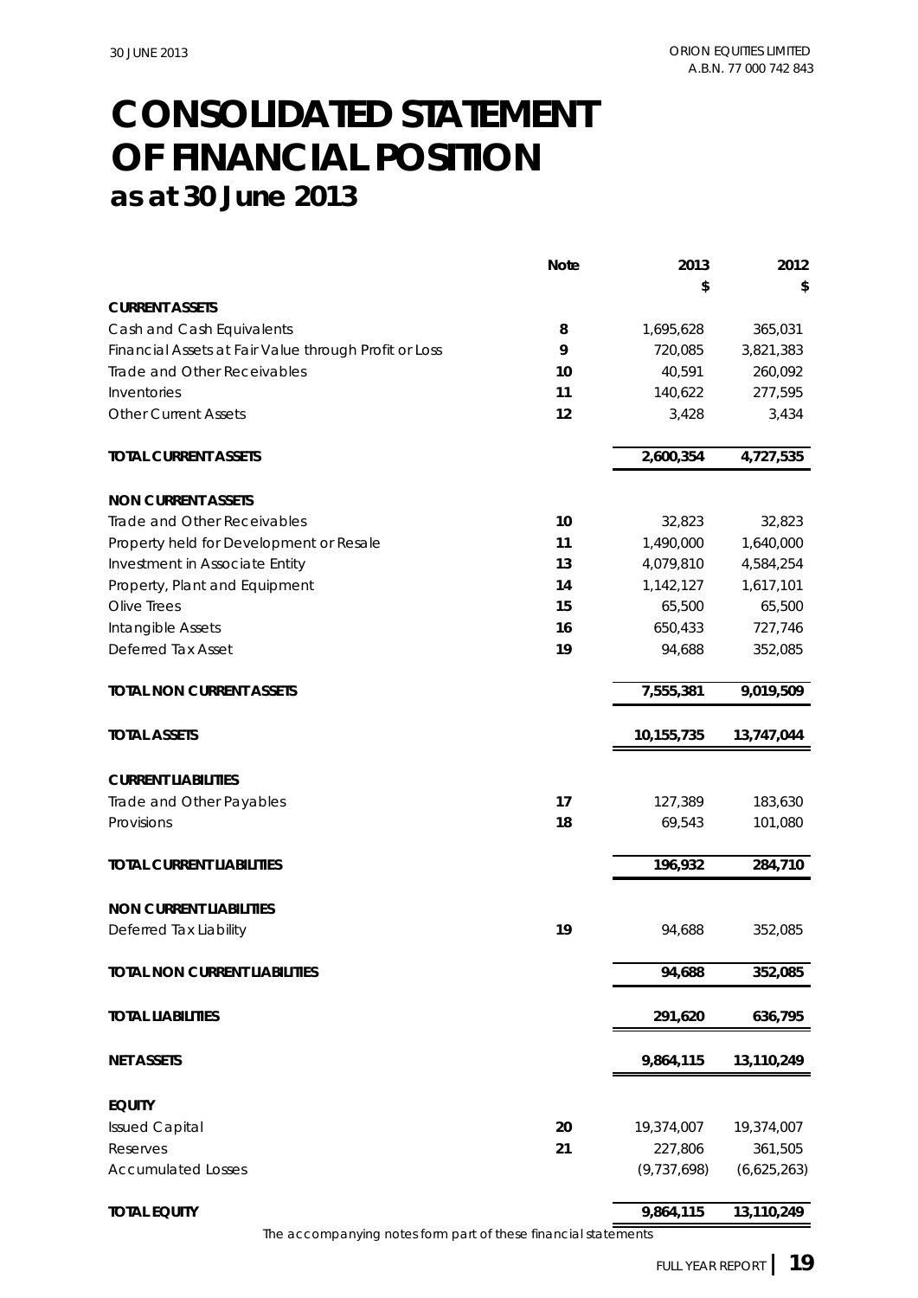# **CONSOLIDATED STATEMENT as at 30 June 2013 OF FINANCIAL POSITION**

|                                                       | <b>Note</b> | 2013          | 2012        |
|-------------------------------------------------------|-------------|---------------|-------------|
|                                                       |             | \$            | \$          |
| <b>CURRENT ASSETS</b>                                 |             |               |             |
| Cash and Cash Equivalents                             | 8           | 1,695,628     | 365,031     |
| Financial Assets at Fair Value through Profit or Loss | 9           | 720,085       | 3,821,383   |
| Trade and Other Receivables                           | 10          | 40,591        | 260,092     |
| Inventories                                           | 11          | 140,622       | 277,595     |
| <b>Other Current Assets</b>                           | 12          | 3,428         | 3,434       |
| <b>TOTAL CURRENT ASSETS</b>                           |             | 2,600,354     | 4,727,535   |
| <b>NON CURRENT ASSETS</b>                             |             |               |             |
| Trade and Other Receivables                           | 10          | 32,823        | 32,823      |
| Property held for Development or Resale               | 11          | 1,490,000     | 1,640,000   |
| Investment in Associate Entity                        | 13          | 4,079,810     | 4,584,254   |
| Property, Plant and Equipment                         | 14          | 1,142,127     | 1,617,101   |
| Olive Trees                                           | 15          | 65,500        | 65,500      |
| Intangible Assets                                     | 16          | 650,433       | 727,746     |
| Deferred Tax Asset                                    | 19          | 94,688        | 352,085     |
| <b>TOTAL NON CURRENT ASSETS</b>                       |             | 7,555,381     | 9,019,509   |
| <b>TOTAL ASSETS</b>                                   |             | 10,155,735    | 13,747,044  |
| <b>CURRENT LIABILITIES</b>                            |             |               |             |
| Trade and Other Payables                              | 17          | 127,389       | 183,630     |
| Provisions                                            | 18          | 69,543        | 101,080     |
| <b>TOTAL CURRENT LIABILITIES</b>                      |             | 196,932       | 284,710     |
| <b>NON CURRENT LIABILITIES</b>                        |             |               |             |
| Deferred Tax Liability                                | 19          | 94,688        | 352,085     |
| <b>TOTAL NON CURRENT LIABILITIES</b>                  |             | 94,688        | 352,085     |
| <b>TOTAL LIABILITIES</b>                              |             | 291,620       | 636,795     |
| <b>NET ASSETS</b>                                     |             | 9,864,115     | 13,110,249  |
| <b>EQUITY</b>                                         |             |               |             |
| <b>Issued Capital</b>                                 | 20          | 19,374,007    | 19,374,007  |
| Reserves                                              | 21          | 227,806       | 361,505     |
| <b>Accumulated Losses</b>                             |             | (9, 737, 698) | (6,625,263) |
| <b>TOTAL EQUITY</b>                                   |             | 9,864,115     | 13,110,249  |
|                                                       |             |               |             |

The accompanying notes form part of these financial statements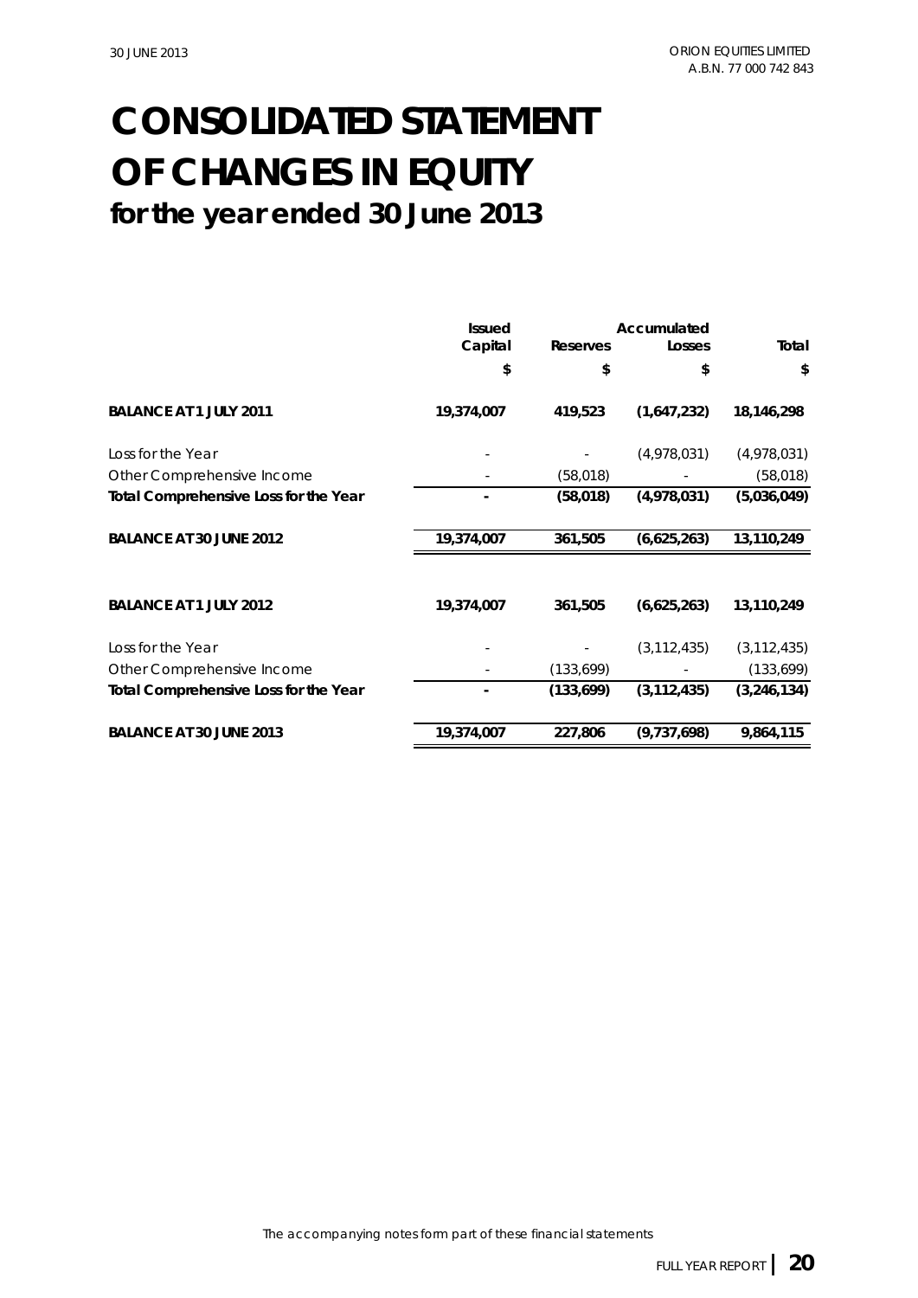# **for the year ended 30 June 2013 OF CHANGES IN EQUITY CONSOLIDATED STATEMENT**

|                                              | <b>Issued</b> |            | Accumulated   |               |  |
|----------------------------------------------|---------------|------------|---------------|---------------|--|
|                                              | Capital       | Reserves   | Losses        | Total         |  |
|                                              | \$            | \$         | \$            | \$            |  |
| <b>BALANCE AT 1 JULY 2011</b>                | 19,374,007    | 419,523    | (1,647,232)   | 18,146,298    |  |
| Loss for the Year                            |               |            | (4,978,031)   | (4,978,031)   |  |
| Other Comprehensive Income                   |               | (58, 018)  |               | (58, 018)     |  |
| <b>Total Comprehensive Loss for the Year</b> |               | (58,018)   | (4,978,031)   | (5,036,049)   |  |
| <b>BALANCE AT 30 JUNE 2012</b>               | 19,374,007    | 361,505    | (6,625,263)   | 13,110,249    |  |
| <b>BALANCE AT 1 JULY 2012</b>                | 19,374,007    | 361,505    | (6,625,263)   | 13,110,249    |  |
| Loss for the Year                            |               |            | (3, 112, 435) | (3, 112, 435) |  |
| Other Comprehensive Income                   |               | (133, 699) |               | (133, 699)    |  |
| <b>Total Comprehensive Loss for the Year</b> |               | (133,699)  | (3, 112, 435) | (3, 246, 134) |  |
| <b>BALANCE AT 30 JUNE 2013</b>               | 19,374,007    | 227,806    | (9,737,698)   | 9,864,115     |  |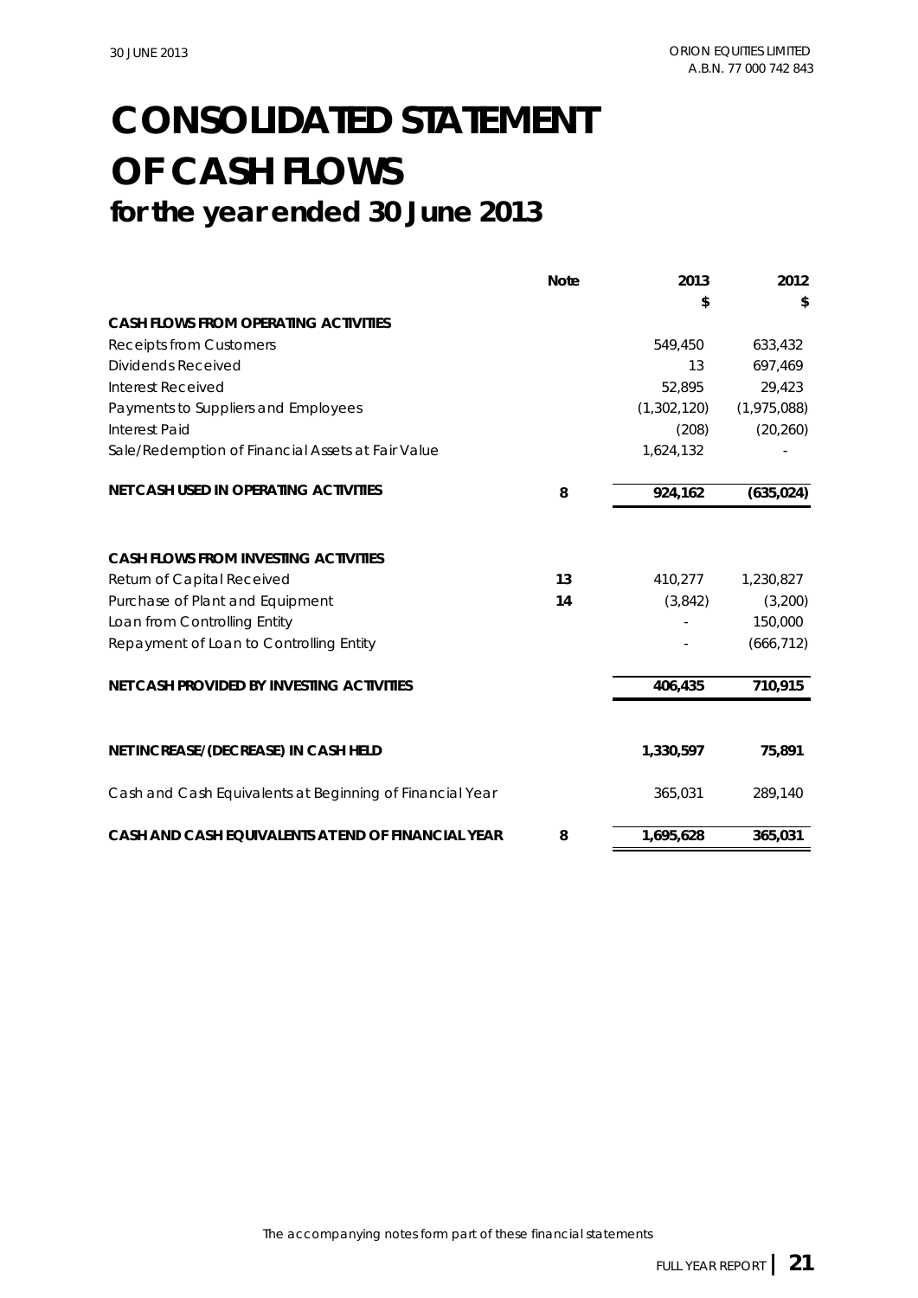# **for the year ended 30 June 2013 OF CASH FLOWS CONSOLIDATED STATEMENT**

|                                                          | <b>Note</b> | 2013        | 2012        |
|----------------------------------------------------------|-------------|-------------|-------------|
|                                                          |             | \$          | \$          |
| <b>CASH FLOWS FROM OPERATING ACTIVITIES</b>              |             |             |             |
| <b>Receipts from Customers</b>                           |             | 549,450     | 633,432     |
| Dividends Received                                       |             | 13          | 697.469     |
| <b>Interest Received</b>                                 |             | 52,895      | 29,423      |
| Payments to Suppliers and Employees                      |             | (1,302,120) | (1,975,088) |
| Interest Paid                                            |             | (208)       | (20, 260)   |
| Sale/Redemption of Financial Assets at Fair Value        |             | 1,624,132   |             |
| NET CASH USED IN OPERATING ACTIVITIES                    | 8           | 924,162     | (635, 024)  |
| <b>CASH FLOWS FROM INVESTING ACTIVITIES</b>              |             |             |             |
| Return of Capital Received                               | 13          | 410,277     | 1,230,827   |
| Purchase of Plant and Equipment                          | 14          | (3,842)     | (3,200)     |
| Loan from Controlling Entity                             |             |             | 150,000     |
| Repayment of Loan to Controlling Entity                  |             |             | (666, 712)  |
| <b>NET CASH PROVIDED BY INVESTING ACTIVITIES</b>         |             | 406,435     | 710,915     |
| NET INCREASE/(DECREASE) IN CASH HELD                     |             | 1,330,597   | 75,891      |
|                                                          |             |             |             |
| Cash and Cash Equivalents at Beginning of Financial Year |             | 365,031     | 289,140     |
| CASH AND CASH EQUIVALENTS AT END OF FINANCIAL YEAR       | 8           | 1,695,628   | 365,031     |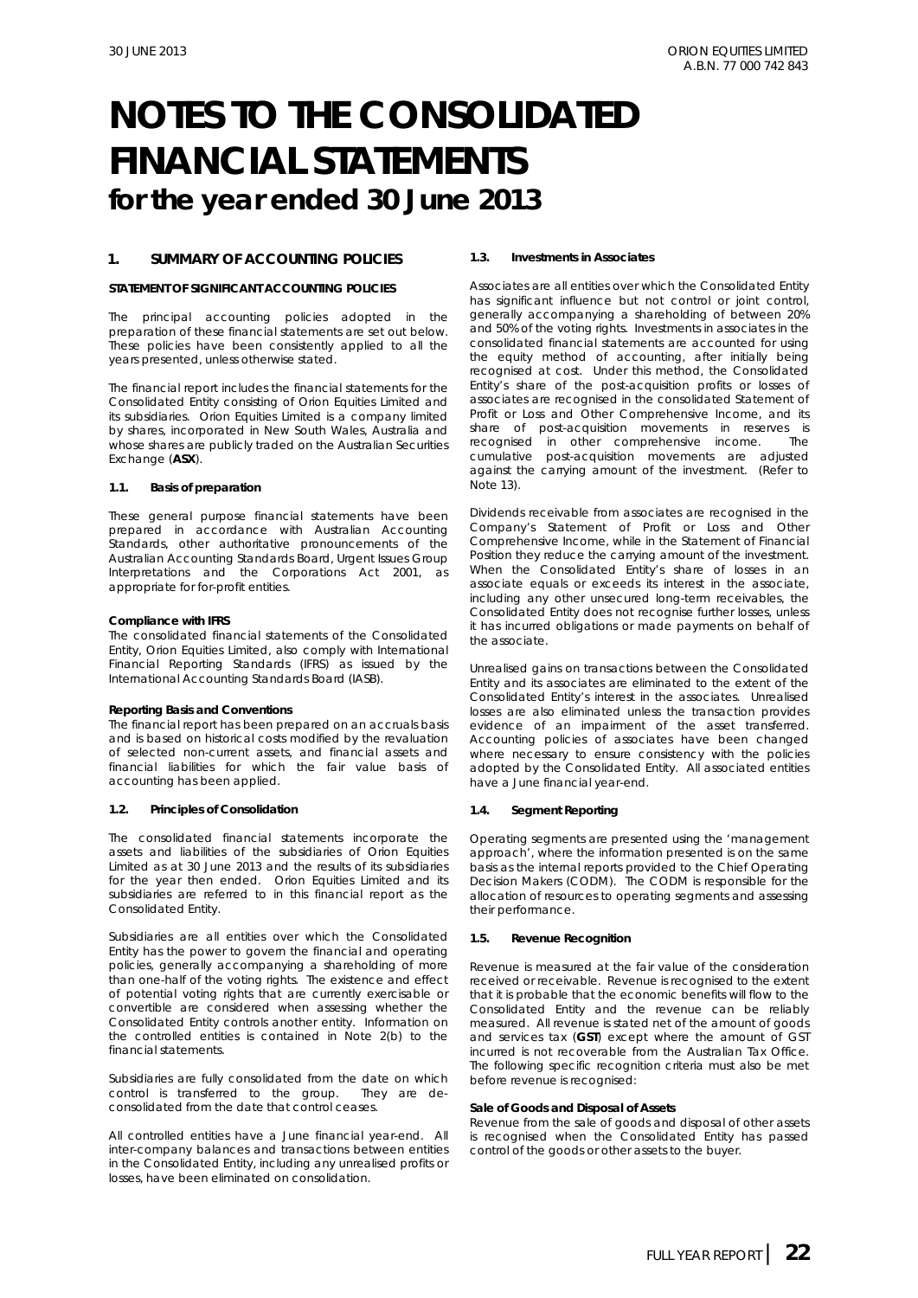### **1. SUMMARY OF ACCOUNTING POLICIES**

#### **STATEMENT OF SIGNIFICANT ACCOUNTING POLICIES**

The principal accounting policies adopted in the preparation of these financial statements are set out below. These policies have been consistently applied to all the years presented, unless otherwise stated.

The financial report includes the financial statements for the Consolidated Entity consisting of Orion Equities Limited and its subsidiaries. Orion Equities Limited is a company limited by shares, incorporated in New South Wales, Australia and whose shares are publicly traded on the Australian Securities Exchange (**ASX**).

#### **1.1. Basis of preparation**

These general purpose financial statements have been prepared in accordance with Australian Accounting Standards, other authoritative pronouncements of the Australian Accounting Standards Board, Urgent Issues Group Interpretations and the *Corporations Act 2001*, as appropriate for for-profit entities*.* 

#### *Compliance with IFRS*

The consolidated financial statements of the Consolidated Entity, Orion Equities Limited, also comply with International Financial Reporting Standards (IFRS) as issued by the International Accounting Standards Board (IASB).

#### *Reporting Basis and Conventions*

The financial report has been prepared on an accruals basis and is based on historical costs modified by the revaluation of selected non-current assets, and financial assets and financial liabilities for which the fair value basis of accounting has been applied.

#### **1.2. Principles of Consolidation**

The consolidated financial statements incorporate the assets and liabilities of the subsidiaries of Orion Equities Limited as at 30 June 2013 and the results of its subsidiaries for the year then ended. Orion Equities Limited and its subsidiaries are referred to in this financial report as the Consolidated Entity.

Subsidiaries are all entities over which the Consolidated Entity has the power to govern the financial and operating policies, generally accompanying a shareholding of more than one-half of the voting rights. The existence and effect of potential voting rights that are currently exercisable or convertible are considered when assessing whether the Consolidated Entity controls another entity. Information on the controlled entities is contained in Note 2(b) to the financial statements.

Subsidiaries are fully consolidated from the date on which control is transferred to the group. They are deconsolidated from the date that control ceases.

All controlled entities have a June financial year-end. All inter-company balances and transactions between entities in the Consolidated Entity, including any unrealised profits or losses, have been eliminated on consolidation.

#### **1.3. Investments in Associates**

Associates are all entities over which the Consolidated Entity has significant influence but not control or joint control, generally accompanying a shareholding of between 20% and 50% of the voting rights. Investments in associates in the consolidated financial statements are accounted for using the equity method of accounting, after initially being recognised at cost. Under this method, the Consolidated Entity's share of the post-acquisition profits or losses of associates are recognised in the consolidated Statement of Profit or Loss and Other Comprehensive Income, and its share of post-acquisition movements in reserves is recognised in other comprehensive income. The cumulative post-acquisition movements are adjusted against the carrying amount of the investment. (Refer to Note 13).

Dividends receivable from associates are recognised in the Company's Statement of Profit or Loss and Other Comprehensive Income, while in the Statement of Financial Position they reduce the carrying amount of the investment. When the Consolidated Entity's share of losses in an associate equals or exceeds its interest in the associate, including any other unsecured long-term receivables, the Consolidated Entity does not recognise further losses, unless it has incurred obligations or made payments on behalf of the associate.

Unrealised gains on transactions between the Consolidated Entity and its associates are eliminated to the extent of the Consolidated Entity's interest in the associates. Unrealised losses are also eliminated unless the transaction provides evidence of an impairment of the asset transferred. Accounting policies of associates have been changed where necessary to ensure consistency with the policies adopted by the Consolidated Entity. All associated entities have a June financial year-end.

#### **1.4. Segment Reporting**

Operating segments are presented using the 'management approach', where the information presented is on the same basis as the internal reports provided to the Chief Operating Decision Makers (CODM). The CODM is responsible for the allocation of resources to operating segments and assessing their performance.

#### **1.5. Revenue Recognition**

Revenue is measured at the fair value of the consideration received or receivable. Revenue is recognised to the extent that it is probable that the economic benefits will flow to the Consolidated Entity and the revenue can be reliably measured. All revenue is stated net of the amount of goods and services tax (**GST**) except where the amount of GST incurred is not recoverable from the Australian Tax Office. The following specific recognition criteria must also be met before revenue is recognised:

#### *Sale of Goods and Disposal of Assets*

Revenue from the sale of goods and disposal of other assets is recognised when the Consolidated Entity has passed control of the goods or other assets to the buyer.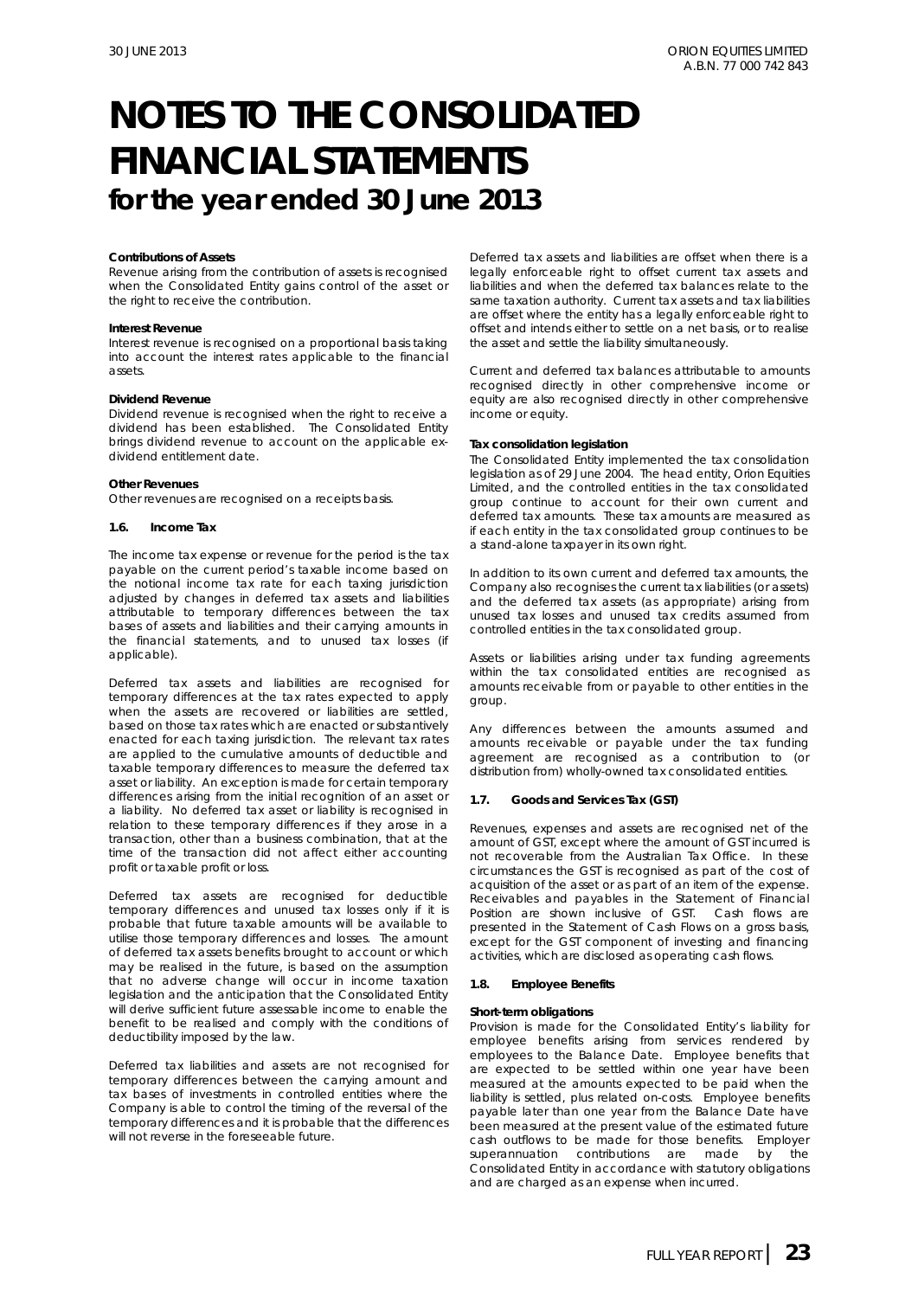#### *Contributions of Assets*

Revenue arising from the contribution of assets is recognised when the Consolidated Entity gains control of the asset or the right to receive the contribution.

#### *Interest Revenue*

Interest revenue is recognised on a proportional basis taking into account the interest rates applicable to the financial assets.

#### *Dividend Revenue*

Dividend revenue is recognised when the right to receive a dividend has been established. The Consolidated Entity brings dividend revenue to account on the applicable exdividend entitlement date.

#### *Other Revenues*

Other revenues are recognised on a receipts basis.

#### **1.6. Income Tax**

The income tax expense or revenue for the period is the tax payable on the current period's taxable income based on the notional income tax rate for each taxing jurisdiction adjusted by changes in deferred tax assets and liabilities attributable to temporary differences between the tax bases of assets and liabilities and their carrying amounts in the financial statements, and to unused tax losses (if applicable).

Deferred tax assets and liabilities are recognised for temporary differences at the tax rates expected to apply when the assets are recovered or liabilities are settled, based on those tax rates which are enacted or substantively enacted for each taxing jurisdiction. The relevant tax rates are applied to the cumulative amounts of deductible and taxable temporary differences to measure the deferred tax asset or liability. An exception is made for certain temporary differences arising from the initial recognition of an asset or a liability. No deferred tax asset or liability is recognised in relation to these temporary differences if they arose in a transaction, other than a business combination, that at the time of the transaction did not affect either accounting profit or taxable profit or loss.

Deferred tax assets are recognised for deductible temporary differences and unused tax losses only if it is probable that future taxable amounts will be available to utilise those temporary differences and losses. The amount of deferred tax assets benefits brought to account or which may be realised in the future, is based on the assumption that no adverse change will occur in income taxation legislation and the anticipation that the Consolidated Entity will derive sufficient future assessable income to enable the benefit to be realised and comply with the conditions of deductibility imposed by the law.

Deferred tax liabilities and assets are not recognised for temporary differences between the carrying amount and tax bases of investments in controlled entities where the Company is able to control the timing of the reversal of the temporary differences and it is probable that the differences will not reverse in the foreseeable future.

Deferred tax assets and liabilities are offset when there is a legally enforceable right to offset current tax assets and liabilities and when the deferred tax balances relate to the same taxation authority. Current tax assets and tax liabilities are offset where the entity has a legally enforceable right to offset and intends either to settle on a net basis, or to realise the asset and settle the liability simultaneously.

Current and deferred tax balances attributable to amounts recognised directly in other comprehensive income or equity are also recognised directly in other comprehensive income or equity.

#### **Tax consolidation legislation**

The Consolidated Entity implemented the tax consolidation legislation as of 29 June 2004. The head entity, Orion Equities Limited, and the controlled entities in the tax consolidated group continue to account for their own current and deferred tax amounts. These tax amounts are measured as if each entity in the tax consolidated group continues to be a stand-alone taxpayer in its own right.

In addition to its own current and deferred tax amounts, the Company also recognises the current tax liabilities (or assets) and the deferred tax assets (as appropriate) arising from unused tax losses and unused tax credits assumed from controlled entities in the tax consolidated group.

Assets or liabilities arising under tax funding agreements within the tax consolidated entities are recognised as amounts receivable from or payable to other entities in the group.

Any differences between the amounts assumed and amounts receivable or payable under the tax funding agreement are recognised as a contribution to (or distribution from) wholly-owned tax consolidated entities.

#### **1.7. Goods and Services Tax (GST)**

Revenues, expenses and assets are recognised net of the amount of GST, except where the amount of GST incurred is not recoverable from the Australian Tax Office. In these circumstances the GST is recognised as part of the cost of acquisition of the asset or as part of an item of the expense. Receivables and payables in the Statement of Financial Position are shown inclusive of GST. Cash flows are presented in the Statement of Cash Flows on a gross basis, except for the GST component of investing and financing activities, which are disclosed as operating cash flows.

#### **1.8. Employee Benefits**

#### *Short-term obligations*

Provision is made for the Consolidated Entity's liability for employee benefits arising from services rendered by employees to the Balance Date. Employee benefits that are expected to be settled within one year have been measured at the amounts expected to be paid when the liability is settled, plus related on-costs. Employee benefits payable later than one year from the Balance Date have been measured at the present value of the estimated future cash outflows to be made for those benefits. Employer superannuation contributions are made by the Consolidated Entity in accordance with statutory obligations and are charged as an expense when incurred.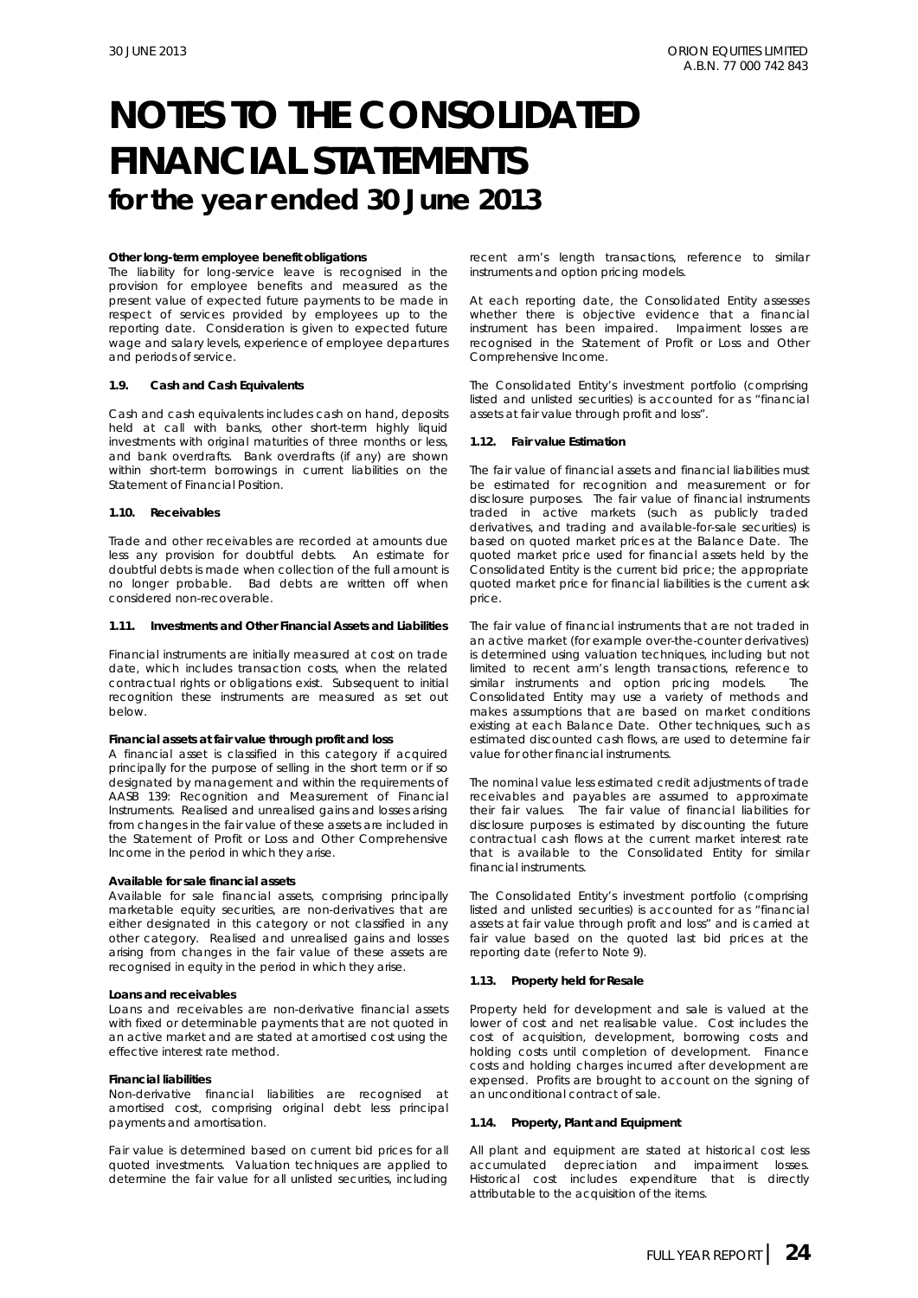#### **Other long-term employee benefit obligations**

The liability for long-service leave is recognised in the provision for employee benefits and measured as the present value of expected future payments to be made in respect of services provided by employees up to the reporting date. Consideration is given to expected future wage and salary levels, experience of employee departures and periods of service.

#### **1.9. Cash and Cash Equivalents**

Cash and cash equivalents includes cash on hand, deposits held at call with banks, other short-term highly liquid investments with original maturities of three months or less, and bank overdrafts. Bank overdrafts (if any) are shown within short-term borrowings in current liabilities on the Statement of Financial Position.

#### **1.10. Receivables**

Trade and other receivables are recorded at amounts due less any provision for doubtful debts. An estimate for doubtful debts is made when collection of the full amount is no longer probable. Bad debts are written off when considered non-recoverable.

#### **1.11. Investments and Other Financial Assets and Liabilities**

Financial instruments are initially measured at cost on trade date, which includes transaction costs, when the related contractual rights or obligations exist. Subsequent to initial recognition these instruments are measured as set out below.

#### *Financial assets at fair value through profit and loss*

A financial asset is classified in this category if acquired principally for the purpose of selling in the short term or if so designated by management and within the requirements of AASB 139: Recognition and Measurement of Financial Instruments. Realised and unrealised gains and losses arising from changes in the fair value of these assets are included in the Statement of Profit or Loss and Other Comprehensive Income in the period in which they arise.

#### *Available for sale financial assets*

Available for sale financial assets, comprising principally marketable equity securities, are non-derivatives that are either designated in this category or not classified in any other category. Realised and unrealised gains and losses arising from changes in the fair value of these assets are recognised in equity in the period in which they arise.

#### *Loans and receivables*

Loans and receivables are non-derivative financial assets with fixed or determinable payments that are not quoted in an active market and are stated at amortised cost using the effective interest rate method.

#### *Financial liabilities*

Non-derivative financial liabilities are recognised at amortised cost, comprising original debt less principal payments and amortisation.

Fair value is determined based on current bid prices for all quoted investments. Valuation techniques are applied to determine the fair value for all unlisted securities, including

recent arm's length transactions, reference to similar instruments and option pricing models.

At each reporting date, the Consolidated Entity assesses whether there is objective evidence that a financial instrument has been impaired. Impairment losses are recognised in the Statement of Profit or Loss and Other Comprehensive Income.

The Consolidated Entity's investment portfolio (comprising listed and unlisted securities) is accounted for as "financial assets at fair value through profit and loss".

#### **1.12. Fair value Estimation**

The fair value of financial assets and financial liabilities must be estimated for recognition and measurement or for disclosure purposes. The fair value of financial instruments traded in active markets (such as publicly traded derivatives, and trading and available-for-sale securities) is based on quoted market prices at the Balance Date. The quoted market price used for financial assets held by the Consolidated Entity is the current bid price; the appropriate quoted market price for financial liabilities is the current ask price.

The fair value of financial instruments that are not traded in an active market (for example over-the-counter derivatives) is determined using valuation techniques, including but not limited to recent arm's length transactions, reference to similar instruments and option pricing models. Consolidated Entity may use a variety of methods and makes assumptions that are based on market conditions existing at each Balance Date. Other techniques, such as estimated discounted cash flows, are used to determine fair value for other financial instruments.

The nominal value less estimated credit adjustments of trade receivables and payables are assumed to approximate their fair values. The fair value of financial liabilities for disclosure purposes is estimated by discounting the future contractual cash flows at the current market interest rate that is available to the Consolidated Entity for similar financial instruments.

The Consolidated Entity's investment portfolio (comprising listed and unlisted securities) is accounted for as "financial assets at fair value through profit and loss" and is carried at fair value based on the quoted last bid prices at the reporting date (refer to Note 9).

#### **1.13. Property held for Resale**

Property held for development and sale is valued at the lower of cost and net realisable value. Cost includes the cost of acquisition, development, borrowing costs and holding costs until completion of development. Finance costs and holding charges incurred after development are expensed. Profits are brought to account on the signing of an unconditional contract of sale.

#### **1.14. Property, Plant and Equipment**

All plant and equipment are stated at historical cost less accumulated depreciation and impairment losses. Historical cost includes expenditure that is directly attributable to the acquisition of the items.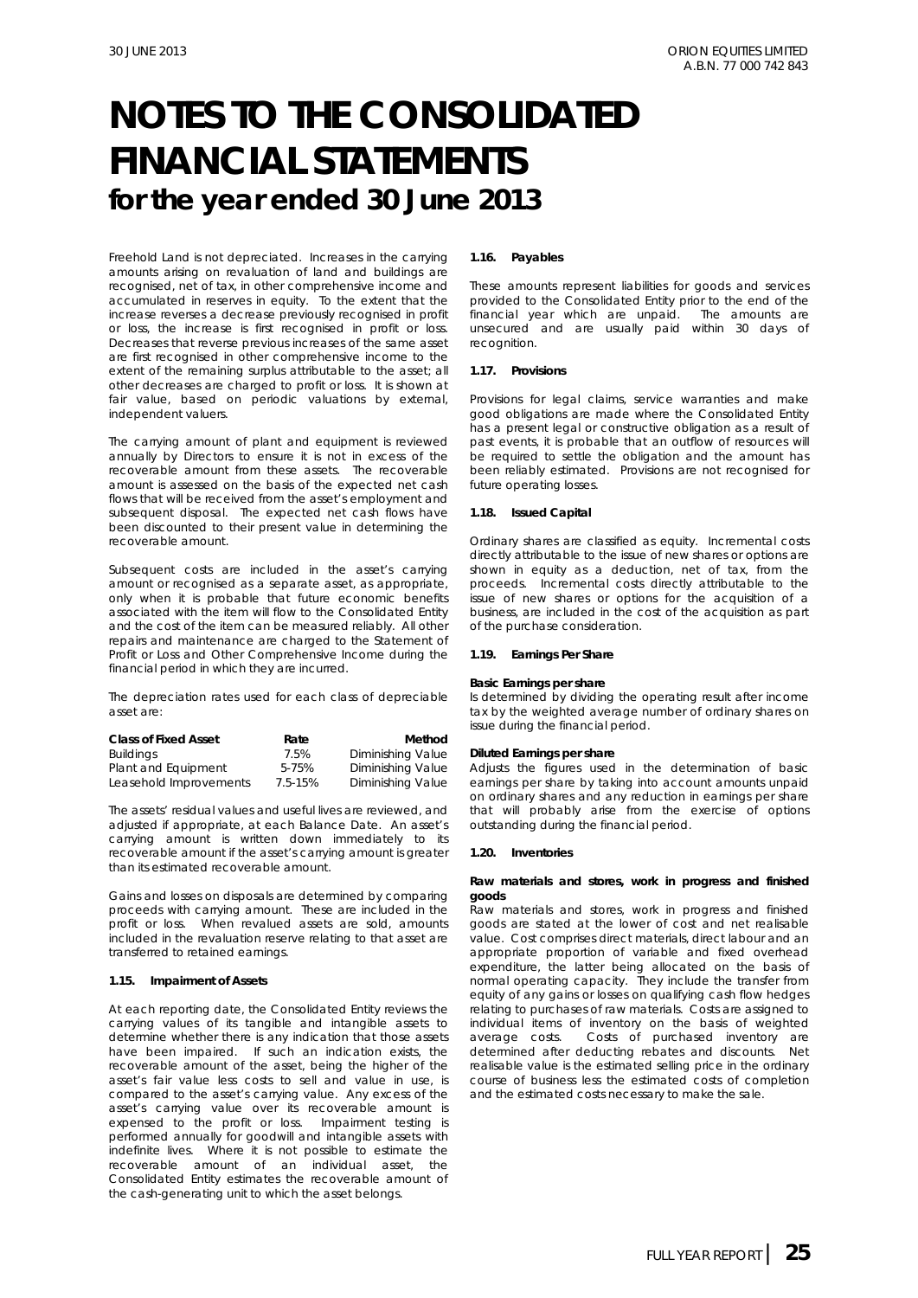Freehold Land is not depreciated. Increases in the carrying amounts arising on revaluation of land and buildings are recognised, net of tax, in other comprehensive income and accumulated in reserves in equity. To the extent that the increase reverses a decrease previously recognised in profit or loss, the increase is first recognised in profit or loss. Decreases that reverse previous increases of the same asset are first recognised in other comprehensive income to the extent of the remaining surplus attributable to the asset; all other decreases are charged to profit or loss. It is shown at fair value, based on periodic valuations by external, independent valuers.

The carrying amount of plant and equipment is reviewed annually by Directors to ensure it is not in excess of the recoverable amount from these assets. The recoverable amount is assessed on the basis of the expected net cash flows that will be received from the asset's employment and subsequent disposal. The expected net cash flows have been discounted to their present value in determining the recoverable amount.

Subsequent costs are included in the asset's carrying amount or recognised as a separate asset, as appropriate, only when it is probable that future economic benefits associated with the item will flow to the Consolidated Entity and the cost of the item can be measured reliably. All other repairs and maintenance are charged to the Statement of Profit or Loss and Other Comprehensive Income during the financial period in which they are incurred.

The depreciation rates used for each class of depreciable asset are:

| <b>Class of Fixed Asset</b> | Rate    | Method                   |
|-----------------------------|---------|--------------------------|
| <b>Buildings</b>            | 7.5%    | <b>Diminishing Value</b> |
| Plant and Equipment         | 5-75%   | <b>Diminishing Value</b> |
| Leasehold Improvements      | 7.5-15% | <b>Diminishing Value</b> |

The assets' residual values and useful lives are reviewed, and adjusted if appropriate, at each Balance Date. An asset's carrying amount is written down immediately to its recoverable amount if the asset's carrying amount is greater than its estimated recoverable amount.

Gains and losses on disposals are determined by comparing proceeds with carrying amount. These are included in the profit or loss. When revalued assets are sold, amounts included in the revaluation reserve relating to that asset are transferred to retained earnings.

#### **1.15. Impairment of Assets**

At each reporting date, the Consolidated Entity reviews the carrying values of its tangible and intangible assets to determine whether there is any indication that those assets have been impaired. If such an indication exists, the recoverable amount of the asset, being the higher of the asset's fair value less costs to sell and value in use, is compared to the asset's carrying value. Any excess of the asset's carrying value over its recoverable amount is expensed to the profit or loss. Impairment testing is performed annually for goodwill and intangible assets with indefinite lives. Where it is not possible to estimate the recoverable amount of an individual asset, the Consolidated Entity estimates the recoverable amount of the cash-generating unit to which the asset belongs.

### **1.16. Payables**

These amounts represent liabilities for goods and services provided to the Consolidated Entity prior to the end of the financial year which are unpaid. The amounts are unsecured and are usually paid within 30 days of recognition.

#### **1.17. Provisions**

Provisions for legal claims, service warranties and make good obligations are made where the Consolidated Entity has a present legal or constructive obligation as a result of past events, it is probable that an outflow of resources will be required to settle the obligation and the amount has been reliably estimated. Provisions are not recognised for future operating losses.

#### **1.18. Issued Capital**

Ordinary shares are classified as equity. Incremental costs directly attributable to the issue of new shares or options are shown in equity as a deduction, net of tax, from the proceeds. Incremental costs directly attributable to the issue of new shares or options for the acquisition of a business, are included in the cost of the acquisition as part of the purchase consideration.

#### **1.19. Earnings Per Share**

#### *Basic Earnings per share*

Is determined by dividing the operating result after income tax by the weighted average number of ordinary shares on issue during the financial period.

#### *Diluted Earnings per share*

Adjusts the figures used in the determination of basic earnings per share by taking into account amounts unpaid on ordinary shares and any reduction in earnings per share that will probably arise from the exercise of options outstanding during the financial period.

#### **1.20. Inventories**

#### **Raw materials and stores, work in progress and finished goods**

Raw materials and stores, work in progress and finished goods are stated at the lower of cost and net realisable value. Cost comprises direct materials, direct labour and an appropriate proportion of variable and fixed overhead expenditure, the latter being allocated on the basis of normal operating capacity. They include the transfer from equity of any gains or losses on qualifying cash flow hedges relating to purchases of raw materials. Costs are assigned to individual items of inventory on the basis of weighted average costs. Costs of purchased inventory are determined after deducting rebates and discounts. Net realisable value is the estimated selling price in the ordinary course of business less the estimated costs of completion and the estimated costs necessary to make the sale.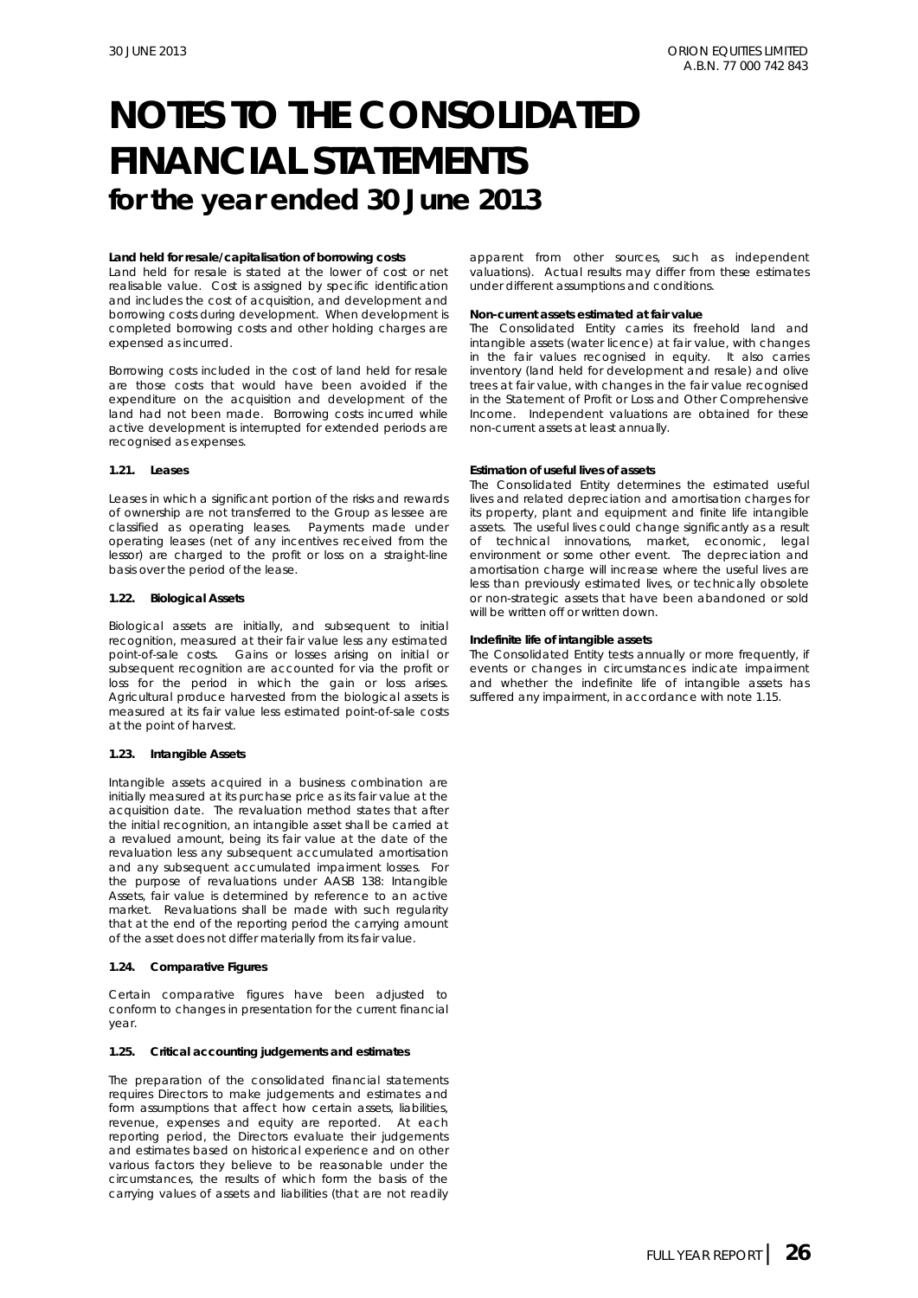#### **Land held for resale/capitalisation of borrowing costs**

Land held for resale is stated at the lower of cost or net realisable value. Cost is assigned by specific identification and includes the cost of acquisition, and development and borrowing costs during development. When development is completed borrowing costs and other holding charges are expensed as incurred.

Borrowing costs included in the cost of land held for resale are those costs that would have been avoided if the expenditure on the acquisition and development of the land had not been made. Borrowing costs incurred while active development is interrupted for extended periods are recognised as expenses.

#### **1.21. Leases**

Leases in which a significant portion of the risks and rewards of ownership are not transferred to the Group as lessee are classified as operating leases. Payments made under operating leases (net of any incentives received from the lessor) are charged to the profit or loss on a straight-line basis over the period of the lease.

#### **1.22. Biological Assets**

Biological assets are initially, and subsequent to initial recognition, measured at their fair value less any estimated point-of-sale costs. Gains or losses arising on initial or subsequent recognition are accounted for via the profit or loss for the period in which the gain or loss arises. Agricultural produce harvested from the biological assets is measured at its fair value less estimated point-of-sale costs at the point of harvest.

#### **1.23. Intangible Assets**

Intangible assets acquired in a business combination are initially measured at its purchase price as its fair value at the acquisition date. The revaluation method states that after the initial recognition, an intangible asset shall be carried at a revalued amount, being its fair value at the date of the revaluation less any subsequent accumulated amortisation and any subsequent accumulated impairment losses. For the purpose of revaluations under AASB 138: *Intangible Assets*, fair value is determined by reference to an active market. Revaluations shall be made with such regularity that at the end of the reporting period the carrying amount of the asset does not differ materially from its fair value.

#### **1.24. Comparative Figures**

Certain comparative figures have been adjusted to conform to changes in presentation for the current financial year.

#### **1.25. Critical accounting judgements and estimates**

The preparation of the consolidated financial statements requires Directors to make judgements and estimates and form assumptions that affect how certain assets, liabilities revenue, expenses and equity are reported. At each reporting period, the Directors evaluate their judgements and estimates based on historical experience and on other various factors they believe to be reasonable under the circumstances, the results of which form the basis of the carrying values of assets and liabilities (that are not readily

apparent from other sources, such as independent valuations). Actual results may differ from these estimates under different assumptions and conditions.

#### *Non-current assets estimated at fair value*

The Consolidated Entity carries its freehold land and intangible assets (water licence) at fair value, with changes in the fair values recognised in equity. It also carries inventory (land held for development and resale) and olive trees at fair value, with changes in the fair value recognised in the Statement of Profit or Loss and Other Comprehensive Income. Independent valuations are obtained for these non-current assets at least annually.

#### *Estimation of useful lives of assets*

The Consolidated Entity determines the estimated useful lives and related depreciation and amortisation charges for its property, plant and equipment and finite life intangible assets. The useful lives could change significantly as a result of technical innovations, market, economic, legal environment or some other event. The depreciation and amortisation charge will increase where the useful lives are less than previously estimated lives, or technically obsolete or non-strategic assets that have been abandoned or sold will be written off or written down.

#### *Indefinite life of intangible assets*

The Consolidated Entity tests annually or more frequently, if events or changes in circumstances indicate impairment and whether the indefinite life of intangible assets has suffered any impairment, in accordance with note 1.15.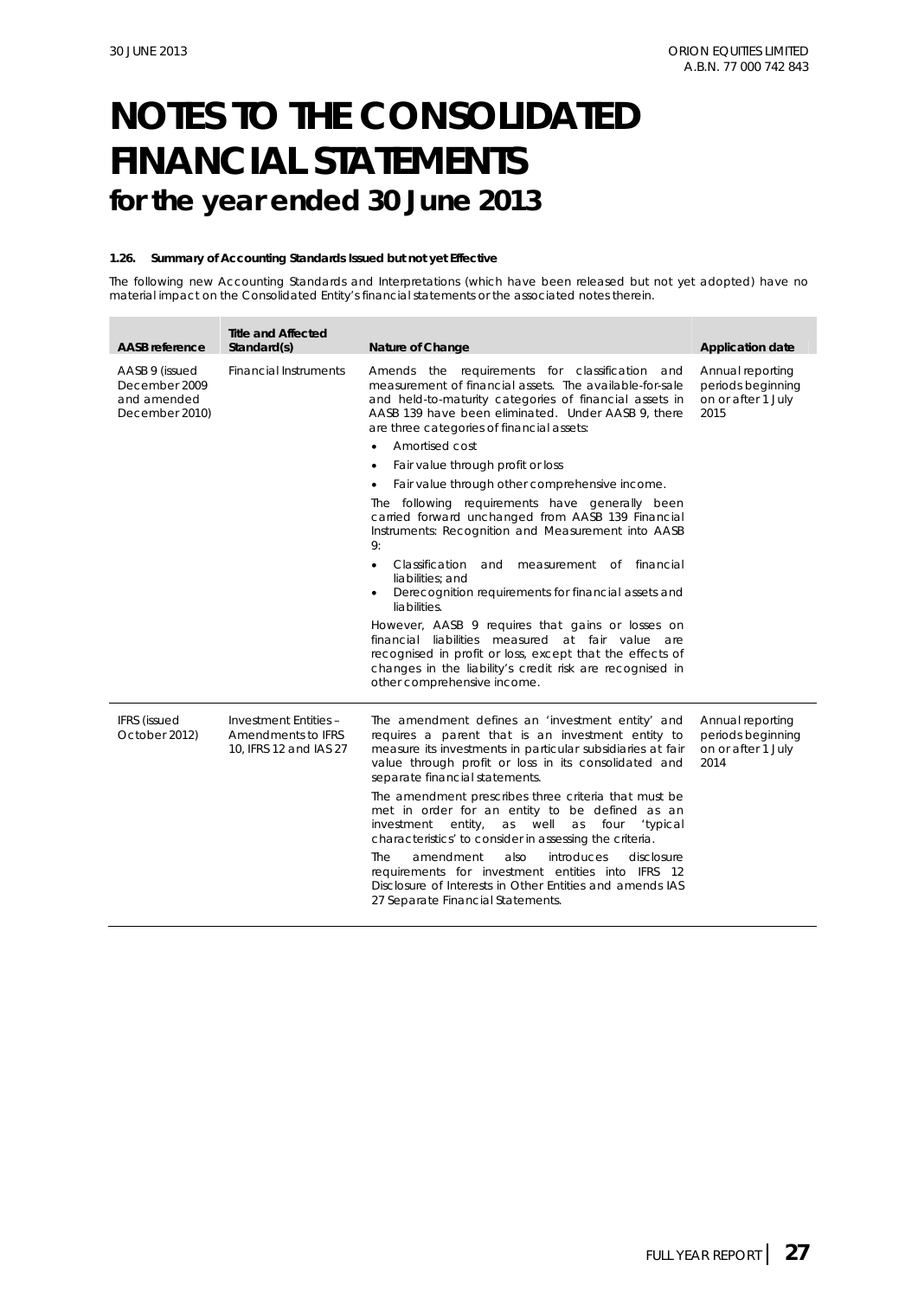#### **1.26. Summary of Accounting Standards Issued but not yet Effective**

The following new Accounting Standards and Interpretations (which have been released but not yet adopted) have no material impact on the Consolidated Entity's financial statements or the associated notes therein.

| <b>AASB</b> reference                                            | <b>Title and Affected</b><br>Standard(s)                              | Nature of Change                                                                                                                                                                                                                                                                                                                                                                                                                                                                                                                                                                                                                                                                                                                                                                                                                                                                                                                                                                 | <b>Application date</b>                                             |
|------------------------------------------------------------------|-----------------------------------------------------------------------|----------------------------------------------------------------------------------------------------------------------------------------------------------------------------------------------------------------------------------------------------------------------------------------------------------------------------------------------------------------------------------------------------------------------------------------------------------------------------------------------------------------------------------------------------------------------------------------------------------------------------------------------------------------------------------------------------------------------------------------------------------------------------------------------------------------------------------------------------------------------------------------------------------------------------------------------------------------------------------|---------------------------------------------------------------------|
| AASB 9 (issued<br>December 2009<br>and amended<br>December 2010) | <b>Financial Instruments</b>                                          | Amends the requirements for classification and<br>measurement of financial assets. The available-for-sale<br>and held-to-maturity categories of financial assets in<br>AASB 139 have been eliminated. Under AASB 9, there<br>are three categories of financial assets:<br>Amortised cost<br>Fair value through profit or loss<br>٠<br>Fair value through other comprehensive income.<br>The following requirements have generally been<br>carried forward unchanged from AASB 139 Financial<br>Instruments: Recognition and Measurement into AASB<br>9:<br>Classification<br>and measurement of financial<br>$\bullet$<br>liabilities: and<br>Derecognition requirements for financial assets and<br>liabilities.<br>However, AASB 9 requires that gains or losses on<br>financial liabilities measured at fair value are<br>recognised in profit or loss, except that the effects of<br>changes in the liability's credit risk are recognised in<br>other comprehensive income. | Annual reporting<br>periods beginning<br>on or after 1 July<br>2015 |
| <b>IFRS</b> (issued<br>October 2012)                             | Investment Entities -<br>Amendments to IFRS<br>10, IFRS 12 and IAS 27 | The amendment defines an 'investment entity' and<br>requires a parent that is an investment entity to<br>measure its investments in particular subsidiaries at fair<br>value through profit or loss in its consolidated and<br>separate financial statements.<br>The amendment prescribes three criteria that must be<br>met in order for an entity to be defined as an<br>entity,<br>well<br>investment<br>as<br>as<br>four<br>'typical<br>characteristics' to consider in assessing the criteria.<br>The<br>amendment<br>also<br><i>introduces</i><br>disclosure<br>requirements for investment entities into IFRS 12<br>Disclosure of Interests in Other Entities and amends IAS<br>27 Separate Financial Statements.                                                                                                                                                                                                                                                         | Annual reporting<br>periods beginning<br>on or after 1 July<br>2014 |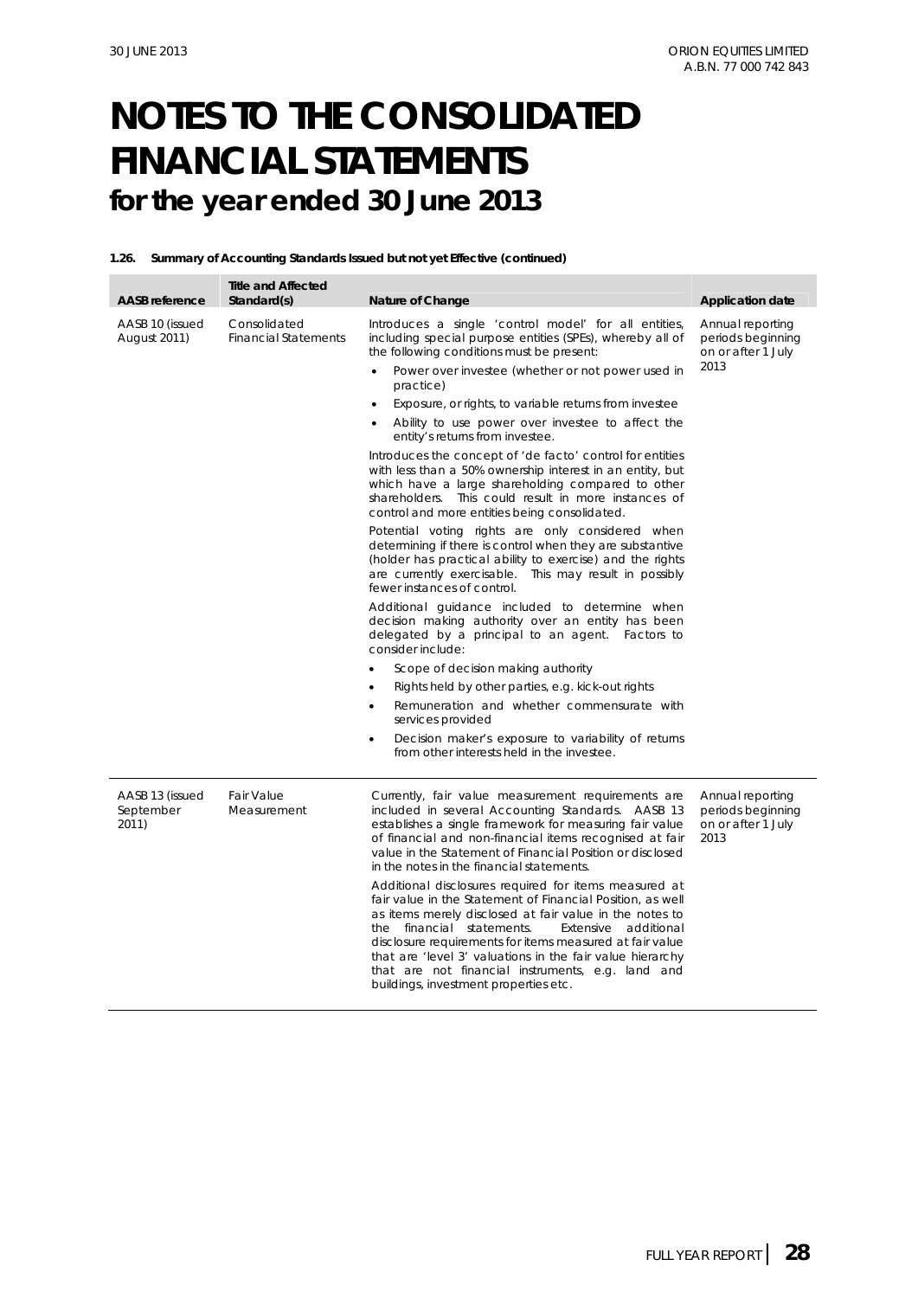#### **1.26. Summary of Accounting Standards Issued but not yet Effective (continued)**

| <b>AASB</b> reference                 | <b>Title and Affected</b><br>Standard(s)    | Nature of Change                                                                                                                                                                                                                                                                                                                                                                                                                                                                                                                                                                                                                                                                                                                                                                                                                                                                                                                                                                                                                                                                                                                                                                                                                                                                                                                                                                                                                                          | <b>Application date</b>                                             |
|---------------------------------------|---------------------------------------------|-----------------------------------------------------------------------------------------------------------------------------------------------------------------------------------------------------------------------------------------------------------------------------------------------------------------------------------------------------------------------------------------------------------------------------------------------------------------------------------------------------------------------------------------------------------------------------------------------------------------------------------------------------------------------------------------------------------------------------------------------------------------------------------------------------------------------------------------------------------------------------------------------------------------------------------------------------------------------------------------------------------------------------------------------------------------------------------------------------------------------------------------------------------------------------------------------------------------------------------------------------------------------------------------------------------------------------------------------------------------------------------------------------------------------------------------------------------|---------------------------------------------------------------------|
| AASB 10 (issued<br>August 2011)       | Consolidated<br><b>Financial Statements</b> | Introduces a single 'control model' for all entities,<br>including special purpose entities (SPEs), whereby all of<br>the following conditions must be present:<br>Power over investee (whether or not power used in<br>$\bullet$<br>practice)<br>Exposure, or rights, to variable returns from investee<br>$\bullet$<br>Ability to use power over investee to affect the<br>entity's returns from investee.<br>Introduces the concept of 'de facto' control for entities<br>with less than a 50% ownership interest in an entity, but<br>which have a large shareholding compared to other<br>shareholders. This could result in more instances of<br>control and more entities being consolidated.<br>Potential voting rights are only considered when<br>determining if there is control when they are substantive<br>(holder has practical ability to exercise) and the rights<br>are currently exercisable. This may result in possibly<br>fewer instances of control.<br>Additional guidance included to determine when<br>decision making authority over an entity has been<br>delegated by a principal to an agent. Factors to<br>consider include:<br>Scope of decision making authority<br>Rights held by other parties, e.g. kick-out rights<br>Remuneration and whether commensurate with<br>$\bullet$<br>services provided<br>Decision maker's exposure to variability of returns<br>$\bullet$<br>from other interests held in the investee. | Annual reporting<br>periods beginning<br>on or after 1 July<br>2013 |
| AASB 13 (issued<br>September<br>2011) | Fair Value<br>Measurement                   | Currently, fair value measurement requirements are<br>included in several Accounting Standards. AASB 13<br>establishes a single framework for measuring fair value<br>of financial and non-financial items recognised at fair<br>value in the Statement of Financial Position or disclosed<br>in the notes in the financial statements.<br>Additional disclosures required for items measured at<br>fair value in the Statement of Financial Position, as well<br>as items merely disclosed at fair value in the notes to<br>the financial statements.<br>Extensive additional<br>disclosure requirements for items measured at fair value<br>that are 'level 3' valuations in the fair value hierarchy<br>that are not financial instruments, e.g. land and<br>buildings, investment properties etc.                                                                                                                                                                                                                                                                                                                                                                                                                                                                                                                                                                                                                                                     | Annual reporting<br>periods beginning<br>on or after 1 July<br>2013 |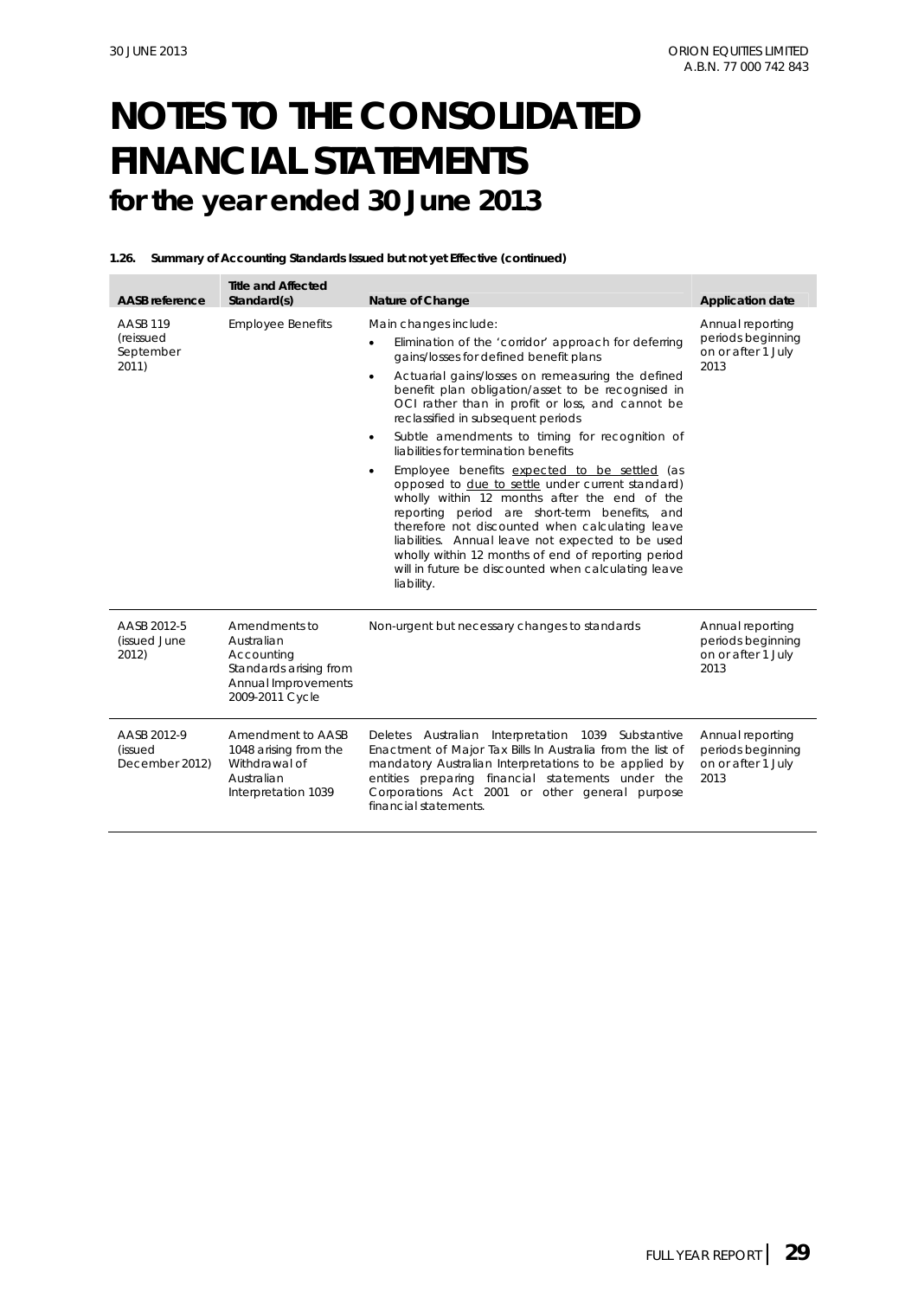#### **1.26. Summary of Accounting Standards Issued but not yet Effective (continued)**

| <b>AASB</b> reference                              | <b>Title and Affected</b><br>Standard(s)                                                                      | Nature of Change                                                                                                                                                                                                                                                                                                                                                                                                                                                                                                                                                                                                                                                                                                                                                                                                                                                                  | <b>Application date</b>                                             |
|----------------------------------------------------|---------------------------------------------------------------------------------------------------------------|-----------------------------------------------------------------------------------------------------------------------------------------------------------------------------------------------------------------------------------------------------------------------------------------------------------------------------------------------------------------------------------------------------------------------------------------------------------------------------------------------------------------------------------------------------------------------------------------------------------------------------------------------------------------------------------------------------------------------------------------------------------------------------------------------------------------------------------------------------------------------------------|---------------------------------------------------------------------|
| <b>AASB 119</b><br>(reissued<br>September<br>2011) | <b>Employee Benefits</b>                                                                                      | Main changes include:<br>Elimination of the 'corridor' approach for deferring<br>٠<br>gains/losses for defined benefit plans<br>Actuarial gains/losses on remeasuring the defined<br>٠<br>benefit plan obligation/asset to be recognised in<br>OCI rather than in profit or loss, and cannot be<br>reclassified in subsequent periods<br>Subtle amendments to timing for recognition of<br>٠<br>liabilities for termination benefits<br>Employee benefits expected to be settled (as<br>٠<br>opposed to due to settle under current standard)<br>wholly within 12 months after the end of the<br>reporting period are short-term benefits, and<br>therefore not discounted when calculating leave<br>liabilities. Annual leave not expected to be used<br>wholly within 12 months of end of reporting period<br>will in future be discounted when calculating leave<br>liability. | Annual reporting<br>periods beginning<br>on or after 1 July<br>2013 |
| AASB 2012-5<br>(issued June<br>2012)               | Amendments to<br>Australian<br>Accounting<br>Standards arising from<br>Annual Improvements<br>2009-2011 Cycle | Non-urgent but necessary changes to standards                                                                                                                                                                                                                                                                                                                                                                                                                                                                                                                                                                                                                                                                                                                                                                                                                                     | Annual reporting<br>periods beginning<br>on or after 1 July<br>2013 |
| AASB 2012-9<br><i>(issued)</i><br>December 2012)   | Amendment to AASB<br>1048 arising from the<br>Withdrawal of<br>Australian<br>Interpretation 1039              | Deletes Australian Interpretation 1039 Substantive<br>Enactment of Major Tax Bills In Australia from the list of<br>mandatory Australian Interpretations to be applied by<br>entities preparing financial statements under the<br>Corporations Act 2001 or other general purpose<br>financial statements.                                                                                                                                                                                                                                                                                                                                                                                                                                                                                                                                                                         | Annual reporting<br>periods beginning<br>on or after 1 July<br>2013 |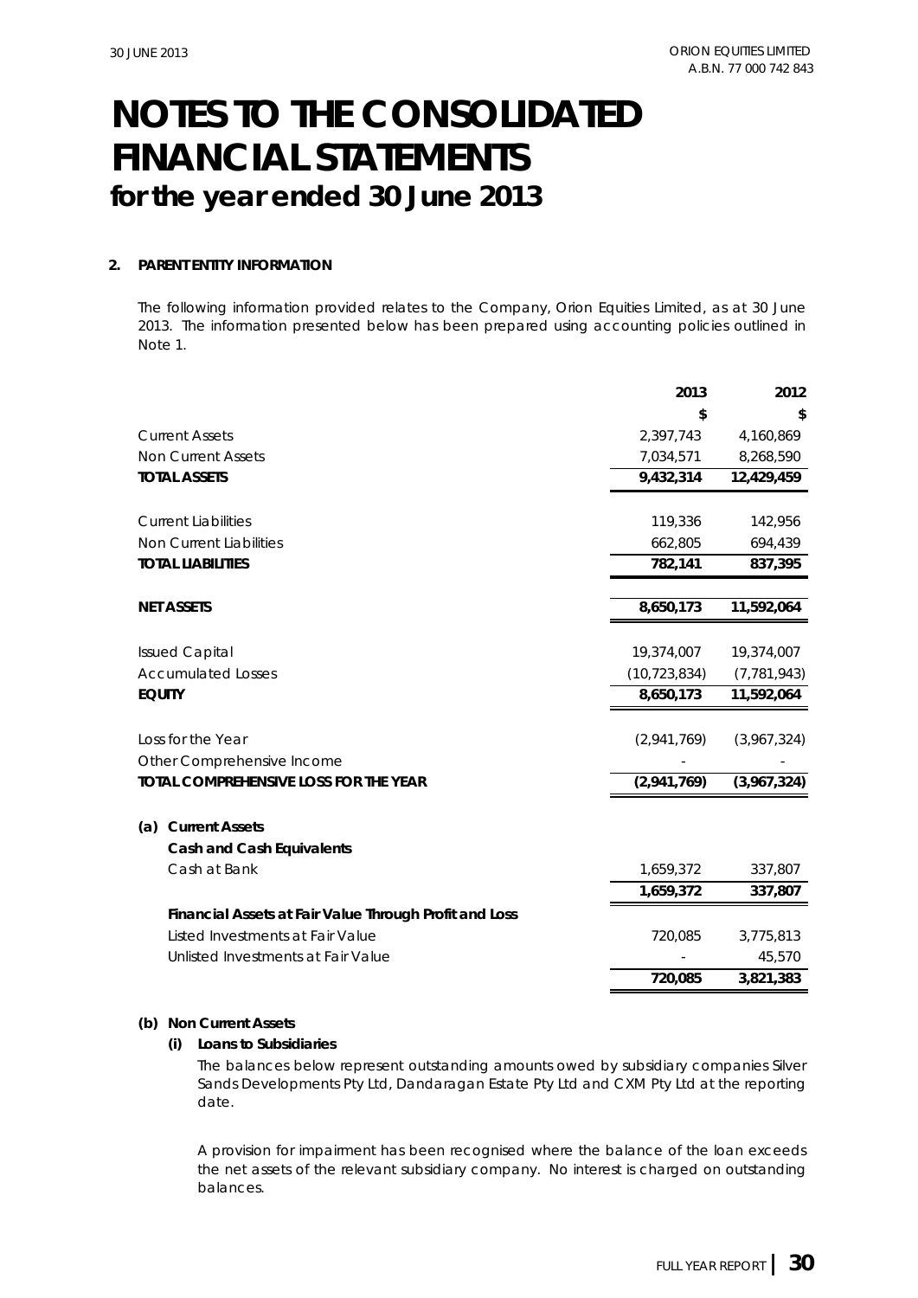### **2. PARENT ENTITY INFORMATION**

The following information provided relates to the Company, Orion Equities Limited, as at 30 June 2013. The information presented below has been prepared using accounting policies outlined in Note 1.

|                                                        | 2013           | 2012          |
|--------------------------------------------------------|----------------|---------------|
|                                                        | \$             | \$            |
| <b>Current Assets</b>                                  | 2,397,743      | 4,160,869     |
| <b>Non Current Assets</b>                              | 7,034,571      | 8,268,590     |
| <b>TOTAL ASSETS</b>                                    | 9,432,314      | 12,429,459    |
| <b>Current Liabilities</b>                             | 119,336        | 142,956       |
| Non Current Liabilities                                | 662,805        | 694,439       |
| <b>TOTAL LIABILITIES</b>                               | 782,141        | 837,395       |
| <b>NET ASSETS</b>                                      | 8,650,173      | 11,592,064    |
| <b>Issued Capital</b>                                  | 19,374,007     | 19,374,007    |
| <b>Accumulated Losses</b>                              | (10, 723, 834) | (7, 781, 943) |
| <b>EQUITY</b>                                          | 8,650,173      | 11,592,064    |
| Loss for the Year                                      | (2,941,769)    | (3,967,324)   |
| Other Comprehensive Income                             |                |               |
| TOTAL COMPREHENSIVE LOSS FOR THE YEAR                  | (2,941,769)    | (3,967,324)   |
| (a) Current Assets                                     |                |               |
| <b>Cash and Cash Equivalents</b>                       |                |               |
| Cash at Bank                                           | 1,659,372      | 337,807       |
|                                                        | 1,659,372      | 337,807       |
| Financial Assets at Fair Value Through Profit and Loss |                |               |
| Listed Investments at Fair Value                       | 720,085        | 3,775,813     |
| Unlisted Investments at Fair Value                     |                | 45,570        |
|                                                        | 720,085        | 3,821,383     |
|                                                        |                |               |

### **(b) Non Current Assets**

### **(i) Loans to Subsidiaries**

The balances below represent outstanding amounts owed by subsidiary companies Silver Sands Developments Pty Ltd, Dandaragan Estate Pty Ltd and CXM Pty Ltd at the reporting date.

A provision for impairment has been recognised where the balance of the loan exceeds the net assets of the relevant subsidiary company. No interest is charged on outstanding balances.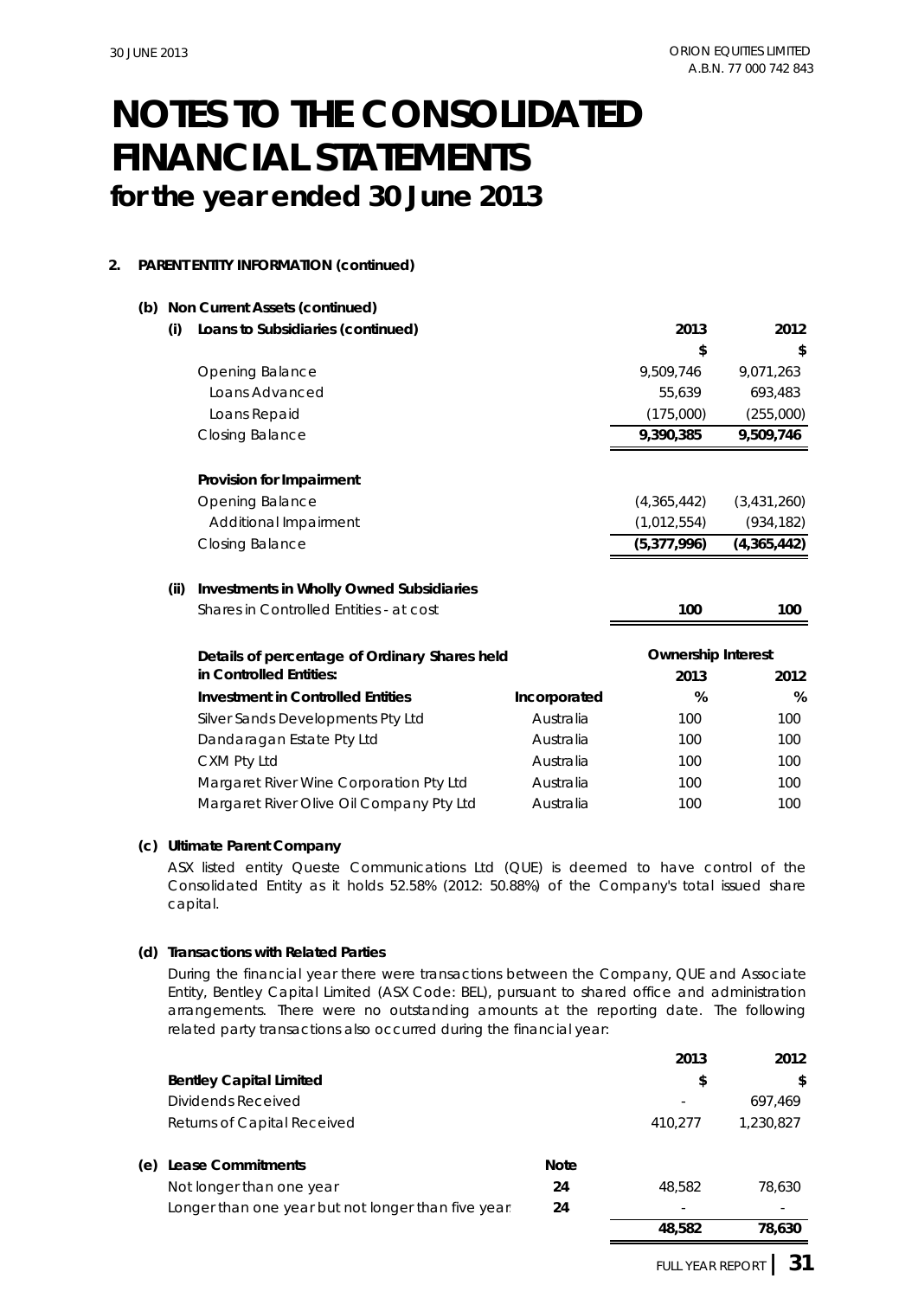**(b)**

# **NOTES TO THE CONSOLIDATED for the year ended 30 June 2013 FINANCIAL STATEMENTS**

## **2. PARENT ENTITY INFORMATION (continued)**

|      | Non Current Assets (continued)                  |              |                           |             |
|------|-------------------------------------------------|--------------|---------------------------|-------------|
| (i)  | Loans to Subsidiaries (continued)               |              | 2013                      | 2012        |
|      |                                                 |              | \$                        | \$          |
|      | Opening Balance                                 |              | 9,509,746                 | 9,071,263   |
|      | Loans Advanced                                  |              | 55,639                    | 693,483     |
|      | Loans Repaid                                    |              | (175,000)                 | (255,000)   |
|      | Closing Balance                                 |              | 9,390,385                 | 9,509,746   |
|      | Provision for Impairment                        |              |                           |             |
|      | Opening Balance                                 |              | (4,365,442)               | (3,431,260) |
|      | Additional Impairment                           |              | (1,012,554)               | (934, 182)  |
|      | Closing Balance                                 |              | (5,377,996)               | (4,365,442) |
| (ii) | <b>Investments in Wholly Owned Subsidiaries</b> |              |                           |             |
|      | Shares in Controlled Entities - at cost         |              | 100                       | 100         |
|      | Details of percentage of Ordinary Shares held   |              | <b>Ownership Interest</b> |             |
|      | in Controlled Entities:                         |              | 2013                      | 2012        |
|      | <b>Investment in Controlled Entities</b>        | Incorporated | %                         | %           |
|      | Silver Sands Developments Pty Ltd               | Australia    | 100                       | 100         |
|      | Dandaragan Estate Pty Ltd                       | Australia    | 100                       | 100         |
|      | CXM Pty Ltd                                     | Australia    | 100                       | 100         |
|      | Margaret River Wine Corporation Pty Ltd         | Australia    | 100                       | 100         |
|      | Margaret River Olive Oil Company Pty Ltd        | Australia    | 100                       | 100         |

### **(c) Ultimate Parent Company**

ASX listed entity Queste Communications Ltd (QUE) is deemed to have control of the Consolidated Entity as it holds 52.58% (2012: 50.88%) of the Company's total issued share capital.

### **(d) Transactions with Related Parties**

During the financial year there were transactions between the Company, QUE and Associate Entity, Bentley Capital Limited (ASX Code: BEL), pursuant to shared office and administration arrangements. There were no outstanding amounts at the reporting date. The following related party transactions also occurred during the financial year:

|                                                     |             | 2013    | 2012      |
|-----------------------------------------------------|-------------|---------|-----------|
| <b>Bentley Capital Limited</b>                      |             | \$      | \$        |
| Dividends Received                                  |             |         | 697.469   |
| Returns of Capital Received                         |             | 410,277 | 1,230,827 |
| Lease Commitments<br>(e)                            | <b>Note</b> |         |           |
| Not longer than one year                            | 24          | 48,582  | 78.630    |
| Longer than one year but not longer than five year. | 24          |         |           |
|                                                     |             | 48,582  | 78,630    |

FULL YEAR REPORT **| 31**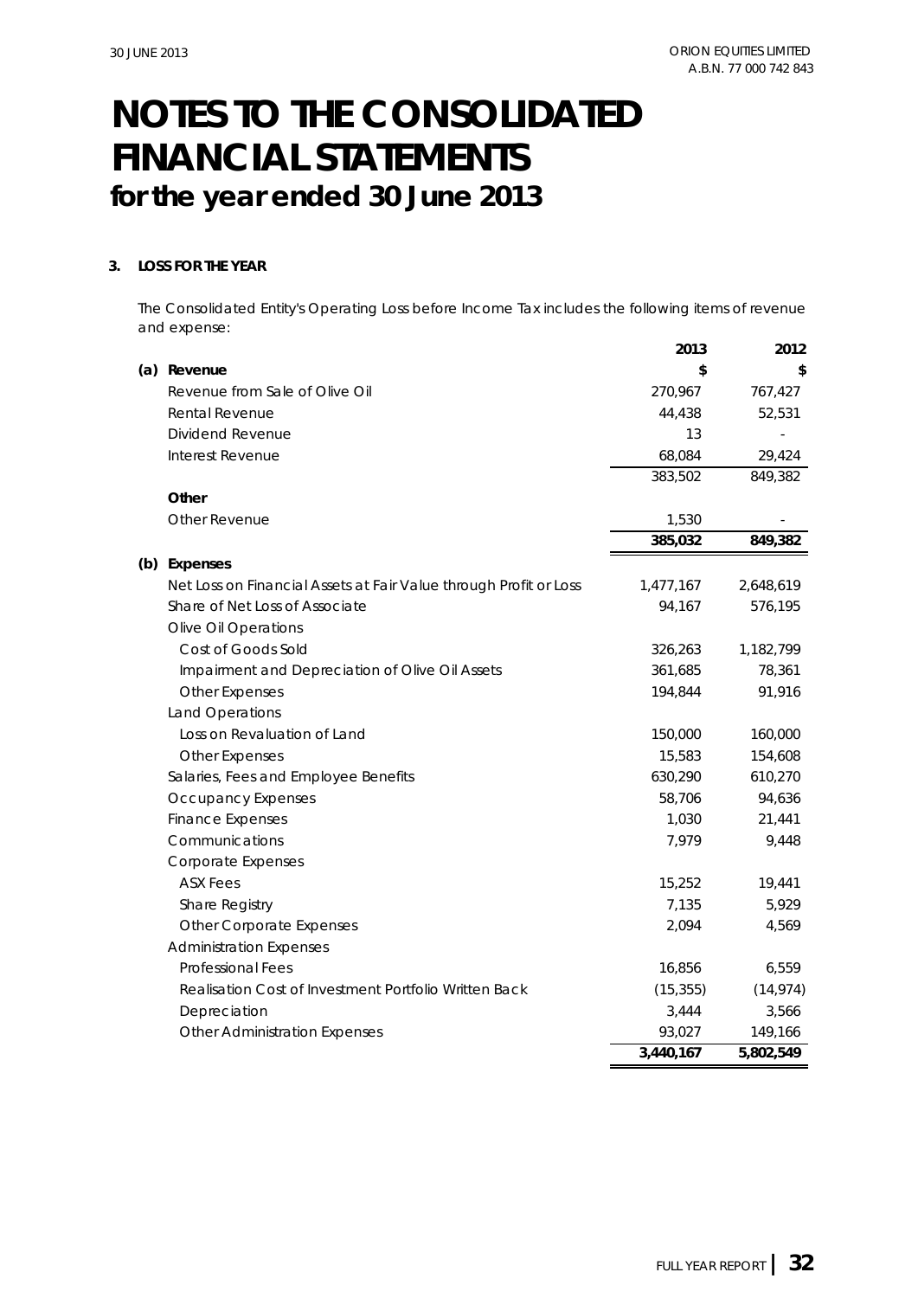### **3. LOSS FOR THE YEAR**

The Consolidated Entity's Operating Loss before Income Tax includes the following items of revenue and expense:

|                                                                   | 2013      | 2012      |
|-------------------------------------------------------------------|-----------|-----------|
| (a) Revenue                                                       | \$        | \$        |
| Revenue from Sale of Olive Oil                                    | 270,967   | 767,427   |
| Rental Revenue                                                    | 44,438    | 52,531    |
| Dividend Revenue                                                  | 13        |           |
| Interest Revenue                                                  | 68,084    | 29,424    |
|                                                                   | 383,502   | 849,382   |
| Other                                                             |           |           |
| Other Revenue                                                     | 1,530     |           |
|                                                                   | 385,032   | 849,382   |
| (b) Expenses                                                      |           |           |
| Net Loss on Financial Assets at Fair Value through Profit or Loss | 1,477,167 | 2,648,619 |
| Share of Net Loss of Associate                                    | 94,167    | 576,195   |
| Olive Oil Operations                                              |           |           |
| Cost of Goods Sold                                                | 326,263   | 1,182,799 |
| Impairment and Depreciation of Olive Oil Assets                   | 361,685   | 78,361    |
| <b>Other Expenses</b>                                             | 194,844   | 91,916    |
| Land Operations                                                   |           |           |
| Loss on Revaluation of Land                                       | 150,000   | 160,000   |
| <b>Other Expenses</b>                                             | 15,583    | 154,608   |
| Salaries, Fees and Employee Benefits                              | 630,290   | 610,270   |
| Occupancy Expenses                                                | 58,706    | 94,636    |
| <b>Finance Expenses</b>                                           | 1,030     | 21,441    |
| Communications                                                    | 7,979     | 9,448     |
| <b>Corporate Expenses</b>                                         |           |           |
| <b>ASX Fees</b>                                                   | 15,252    | 19,441    |
| Share Registry                                                    | 7,135     | 5,929     |
| Other Corporate Expenses                                          | 2,094     | 4,569     |
| <b>Administration Expenses</b>                                    |           |           |
| <b>Professional Fees</b>                                          | 16,856    | 6,559     |
| Realisation Cost of Investment Portfolio Written Back             | (15, 355) | (14, 974) |
| Depreciation                                                      | 3,444     | 3,566     |
| <b>Other Administration Expenses</b>                              | 93,027    | 149,166   |
|                                                                   | 3,440,167 | 5,802,549 |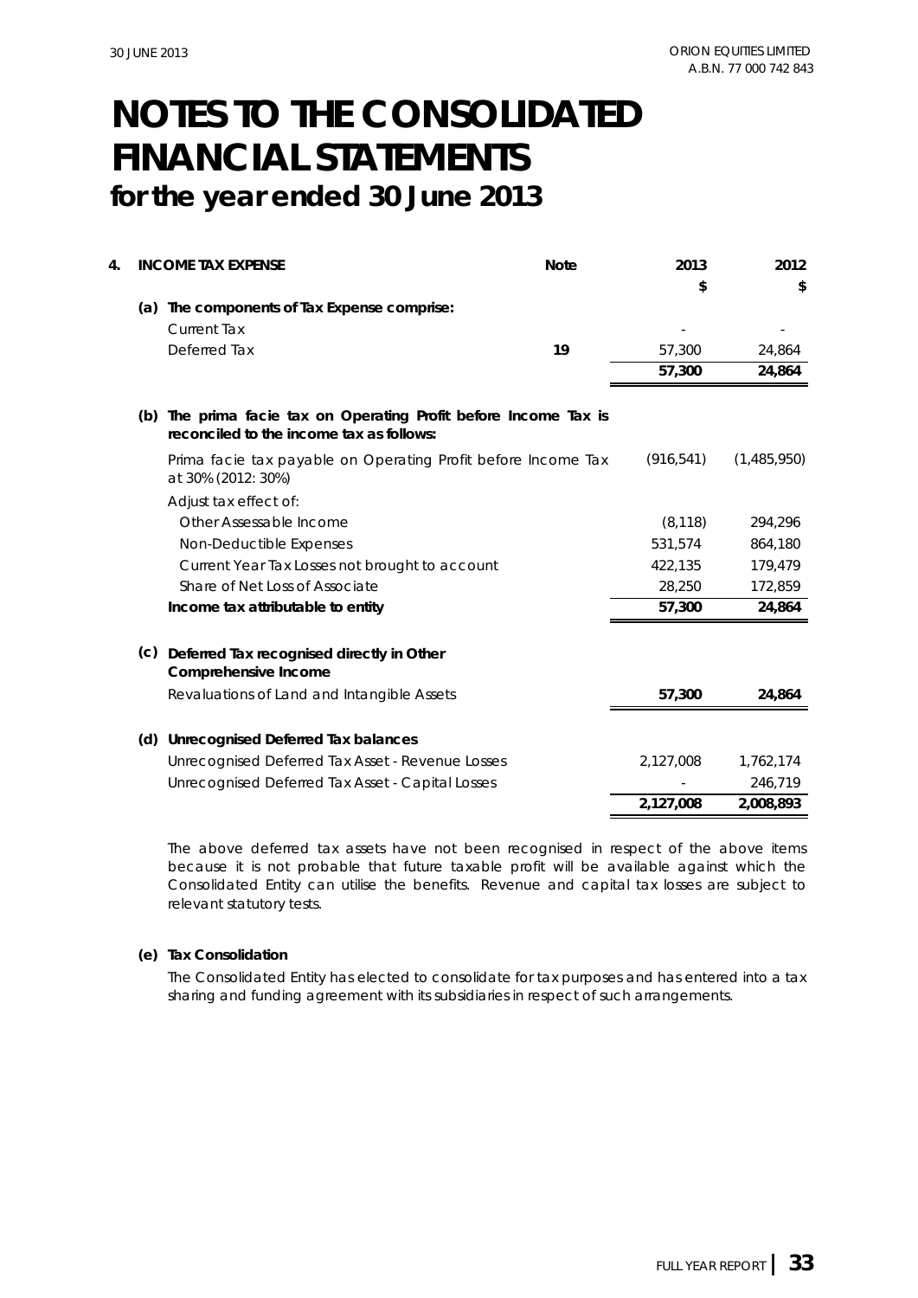| 4. | <b>INCOME TAX EXPENSE</b>                                                                                    | <b>Note</b> | 2013<br>\$ | 2012<br>\$  |
|----|--------------------------------------------------------------------------------------------------------------|-------------|------------|-------------|
|    | (a) The components of Tax Expense comprise:                                                                  |             |            |             |
|    | <b>Current Tax</b>                                                                                           |             |            |             |
|    | Deferred Tax                                                                                                 | 19          | 57,300     | 24,864      |
|    |                                                                                                              |             | 57,300     | 24,864      |
|    | (b) The prima facie tax on Operating Profit before Income Tax is<br>reconciled to the income tax as follows: |             |            |             |
|    | Prima facie tax payable on Operating Profit before Income Tax<br>at 30% (2012: 30%)                          |             | (916, 541) | (1,485,950) |
|    | Adjust tax effect of:                                                                                        |             |            |             |
|    | Other Assessable Income                                                                                      |             | (8, 118)   | 294,296     |
|    | Non-Deductible Expenses                                                                                      |             | 531,574    | 864,180     |
|    | Current Year Tax Losses not brought to account                                                               |             | 422,135    | 179,479     |
|    | Share of Net Loss of Associate                                                                               |             | 28,250     | 172,859     |
|    | Income tax attributable to entity                                                                            |             | 57,300     | 24,864      |
|    | (c) Deferred Tax recognised directly in Other<br>Comprehensive Income                                        |             |            |             |
|    | Revaluations of Land and Intangible Assets                                                                   |             | 57,300     | 24,864      |
|    | (d) Unrecognised Deferred Tax balances                                                                       |             |            |             |
|    | Unrecognised Deferred Tax Asset - Revenue Losses                                                             |             | 2,127,008  | 1,762,174   |
|    | Unrecognised Deferred Tax Asset - Capital Losses                                                             |             |            | 246,719     |
|    |                                                                                                              |             | 2,127,008  | 2,008,893   |

The above deferred tax assets have not been recognised in respect of the above items because it is not probable that future taxable profit will be available against which the Consolidated Entity can utilise the benefits. Revenue and capital tax losses are subject to relevant statutory tests.

### **(e) Tax Consolidation**

The Consolidated Entity has elected to consolidate for tax purposes and has entered into a tax sharing and funding agreement with its subsidiaries in respect of such arrangements.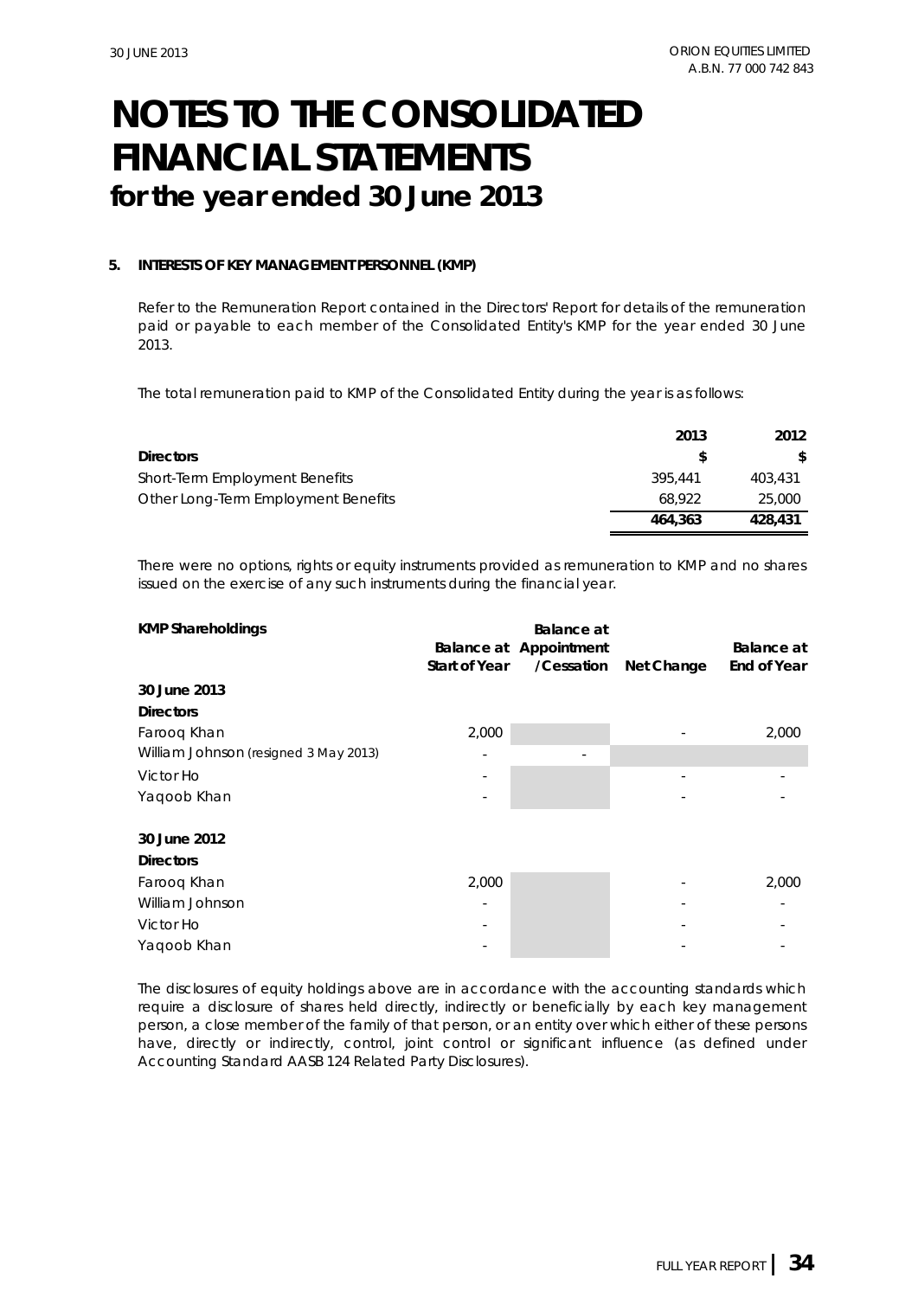### **5. INTERESTS OF KEY MANAGEMENT PERSONNEL (KMP)**

Refer to the Remuneration Report contained in the Directors' Report for details of the remuneration paid or payable to each member of the Consolidated Entity's KMP for the year ended 30 June 2013.

The total remuneration paid to KMP of the Consolidated Entity during the year is as follows:

|                                     | 2013    | 2012    |
|-------------------------------------|---------|---------|
| <b>Directors</b>                    | -S      |         |
| Short-Term Employment Benefits      | 395,441 | 403,431 |
| Other Long-Term Employment Benefits | 68.922  | 25,000  |
|                                     | 464.363 | 428,431 |

There were no options, rights or equity instruments provided as remuneration to KMP and no shares issued on the exercise of any such instruments during the financial year.

| <b>KMP Shareholdings</b>              |                      | Balance at                    |            |                    |
|---------------------------------------|----------------------|-------------------------------|------------|--------------------|
|                                       |                      | <b>Balance at Appointment</b> |            | <b>Balance</b> at  |
|                                       | <b>Start of Year</b> | /Cessation                    | Net Change | <b>End of Year</b> |
| 30 June 2013                          |                      |                               |            |                    |
| <b>Directors</b>                      |                      |                               |            |                    |
| Farooq Khan                           | 2,000                |                               |            | 2,000              |
| William Johnson (resigned 3 May 2013) |                      |                               |            |                    |
| Victor Ho                             |                      |                               |            |                    |
| Yaqoob Khan                           |                      |                               |            |                    |
| 30 June 2012                          |                      |                               |            |                    |
| <b>Directors</b>                      |                      |                               |            |                    |
| Faroog Khan                           | 2,000                |                               |            | 2,000              |
| William Johnson                       |                      |                               |            |                    |
| Victor Ho                             |                      |                               |            |                    |
| Yaqoob Khan                           |                      |                               |            |                    |

The disclosures of equity holdings above are in accordance with the accounting standards which require a disclosure of shares held directly, indirectly or beneficially by each key management person, a close member of the family of that person, or an entity over which either of these persons have, directly or indirectly, control, joint control or significant influence (as defined under Accounting Standard AASB 124 Related Party Disclosures).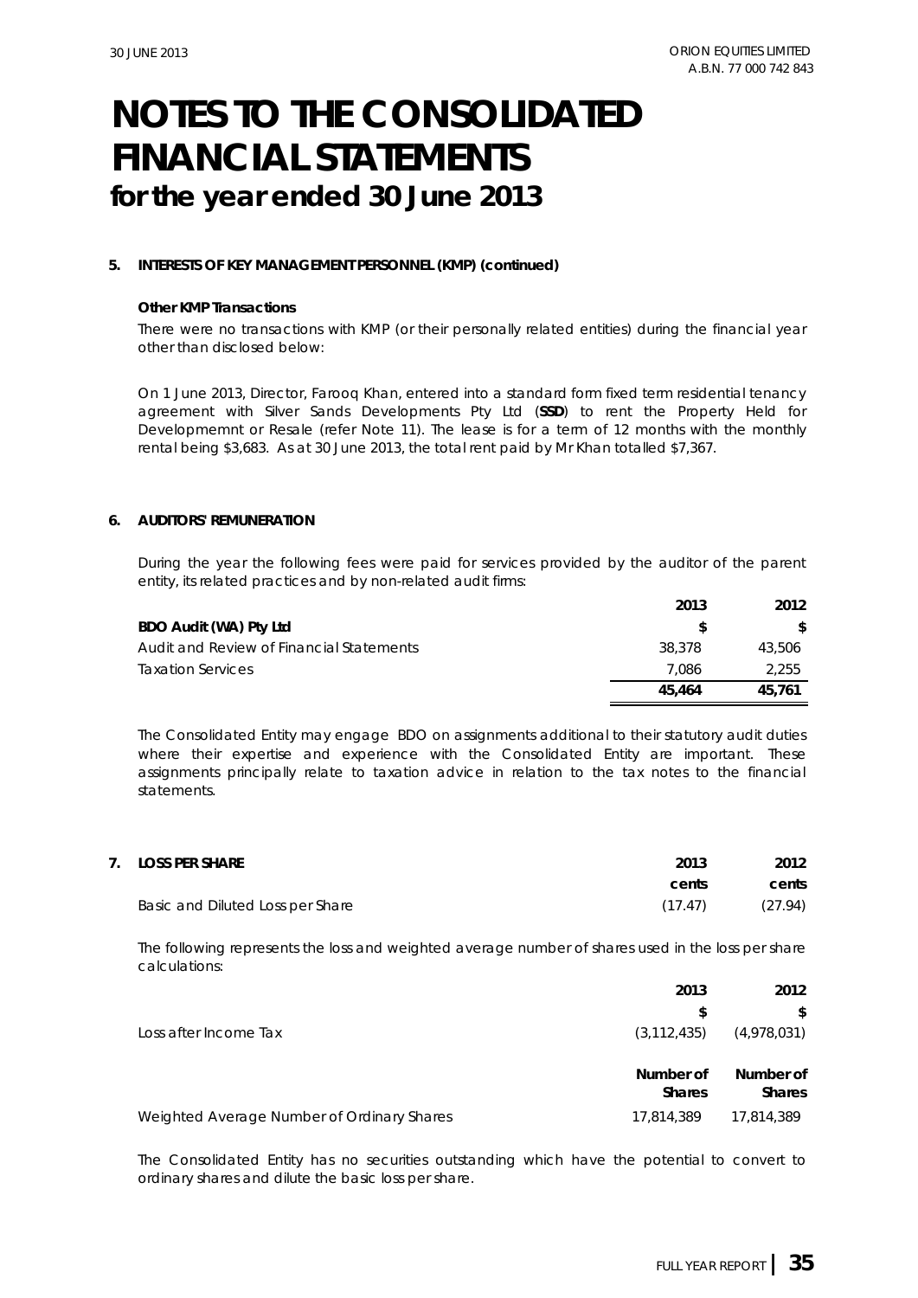### **5. INTERESTS OF KEY MANAGEMENT PERSONNEL (KMP) (continued)**

### **Other KMP Transactions**

There were no transactions with KMP (or their personally related entities) during the financial year other than disclosed below:

On 1 June 2013, Director, Farooq Khan, entered into a standard form fixed term residential tenancy agreement with Silver Sands Developments Pty Ltd (**SSD**) to rent the Property Held for Developmemnt or Resale (refer Note 11). The lease is for a term of 12 months with the monthly rental being \$3,683. As at 30 June 2013, the total rent paid by Mr Khan totalled \$7,367.

### **6. AUDITORS' REMUNERATION**

During the year the following fees were paid for services provided by the auditor of the parent entity, its related practices and by non-related audit firms:

|                                          | 2013   | 2012   |
|------------------------------------------|--------|--------|
| BDO Audit (WA) Pty Ltd                   |        | \$     |
| Audit and Review of Financial Statements | 38.378 | 43.506 |
| <b>Taxation Services</b>                 | 7.086  | 2.255  |
|                                          | 45.464 | 45.761 |

The Consolidated Entity may engage BDO on assignments additional to their statutory audit duties where their expertise and experience with the Consolidated Entity are important. These assignments principally relate to taxation advice in relation to the tax notes to the financial statements.

| 7. LOSS PER SHARE                | 2013    | 2012    |
|----------------------------------|---------|---------|
|                                  | cents   | cents   |
| Basic and Diluted Loss per Share | (17.47) | (27.94) |

The following represents the loss and weighted average number of shares used in the loss per share calculations:

|                                            | 2013                       | 2012                            |
|--------------------------------------------|----------------------------|---------------------------------|
|                                            | \$.                        | S.                              |
| Loss after Income Tax                      |                            | $(3, 112, 435)$ $(4, 978, 031)$ |
|                                            | Number of<br><b>Shares</b> | Number of<br><b>Shares</b>      |
| Weighted Average Number of Ordinary Shares | 17,814,389                 | 17,814,389                      |

The Consolidated Entity has no securities outstanding which have the potential to convert to ordinary shares and dilute the basic loss per share.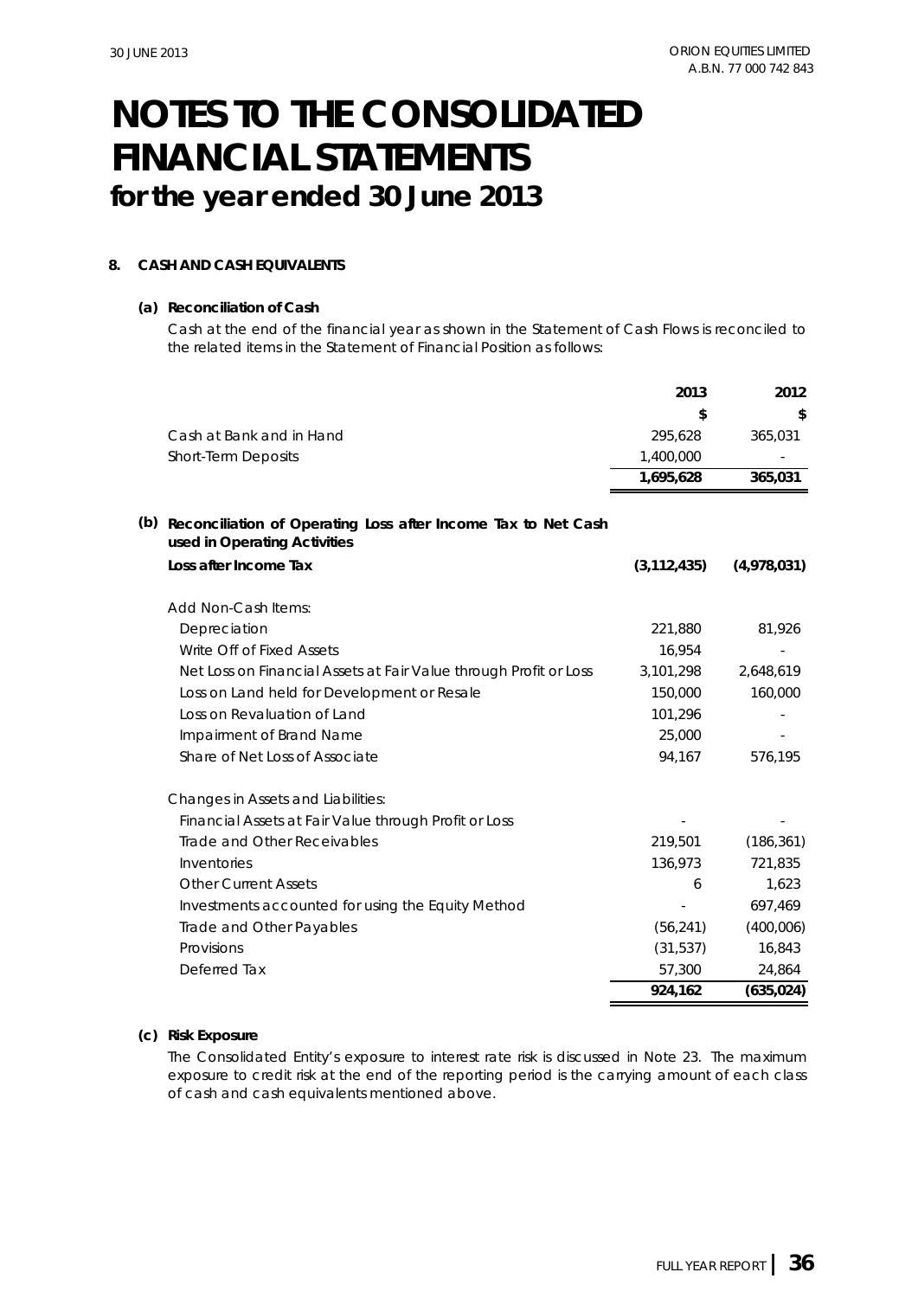## **8. CASH AND CASH EQUIVALENTS**

### **(a) Reconciliation of Cash**

Cash at the end of the financial year as shown in the Statement of Cash Flows is reconciled to the related items in the Statement of Financial Position as follows:

|                                     |                                                                   | 2013          | 2012        |
|-------------------------------------|-------------------------------------------------------------------|---------------|-------------|
|                                     |                                                                   | \$            | \$          |
| Cash at Bank and in Hand            |                                                                   | 295,628       | 365,031     |
| <b>Short-Term Deposits</b>          |                                                                   | 1,400,000     |             |
|                                     |                                                                   | 1,695,628     | 365,031     |
| (b)<br>used in Operating Activities | Reconciliation of Operating Loss after Income Tax to Net Cash     |               |             |
| Loss after Income Tax               |                                                                   | (3, 112, 435) | (4,978,031) |
| Add Non-Cash Items:                 |                                                                   |               |             |
| Depreciation                        |                                                                   | 221,880       | 81,926      |
| Write Off of Fixed Assets           |                                                                   | 16,954        |             |
|                                     | Net Loss on Financial Assets at Fair Value through Profit or Loss | 3,101,298     | 2,648,619   |
|                                     | Loss on Land held for Development or Resale                       | 150,000       | 160,000     |
|                                     | Loss on Revaluation of Land                                       | 101,296       |             |
| Impairment of Brand Name            |                                                                   | 25,000        |             |
|                                     | Share of Net Loss of Associate                                    | 94,167        | 576,195     |
|                                     | Changes in Assets and Liabilities:                                |               |             |
|                                     | Financial Assets at Fair Value through Profit or Loss             |               |             |
|                                     | Trade and Other Receivables                                       | 219,501       | (186, 361)  |
| Inventories                         |                                                                   | 136,973       | 721,835     |
| <b>Other Current Assets</b>         |                                                                   | 6             | 1,623       |
|                                     | Investments accounted for using the Equity Method                 |               | 697,469     |
| Trade and Other Payables            |                                                                   | (56, 241)     | (400,006)   |
| Provisions                          |                                                                   | (31, 537)     | 16,843      |
| Deferred Tax                        |                                                                   | 57,300        | 24,864      |
|                                     |                                                                   | 924,162       | (635, 024)  |

### **(c) Risk Exposure**

The Consolidated Entity's exposure to interest rate risk is discussed in Note 23. The maximum exposure to credit risk at the end of the reporting period is the carrying amount of each class of cash and cash equivalents mentioned above.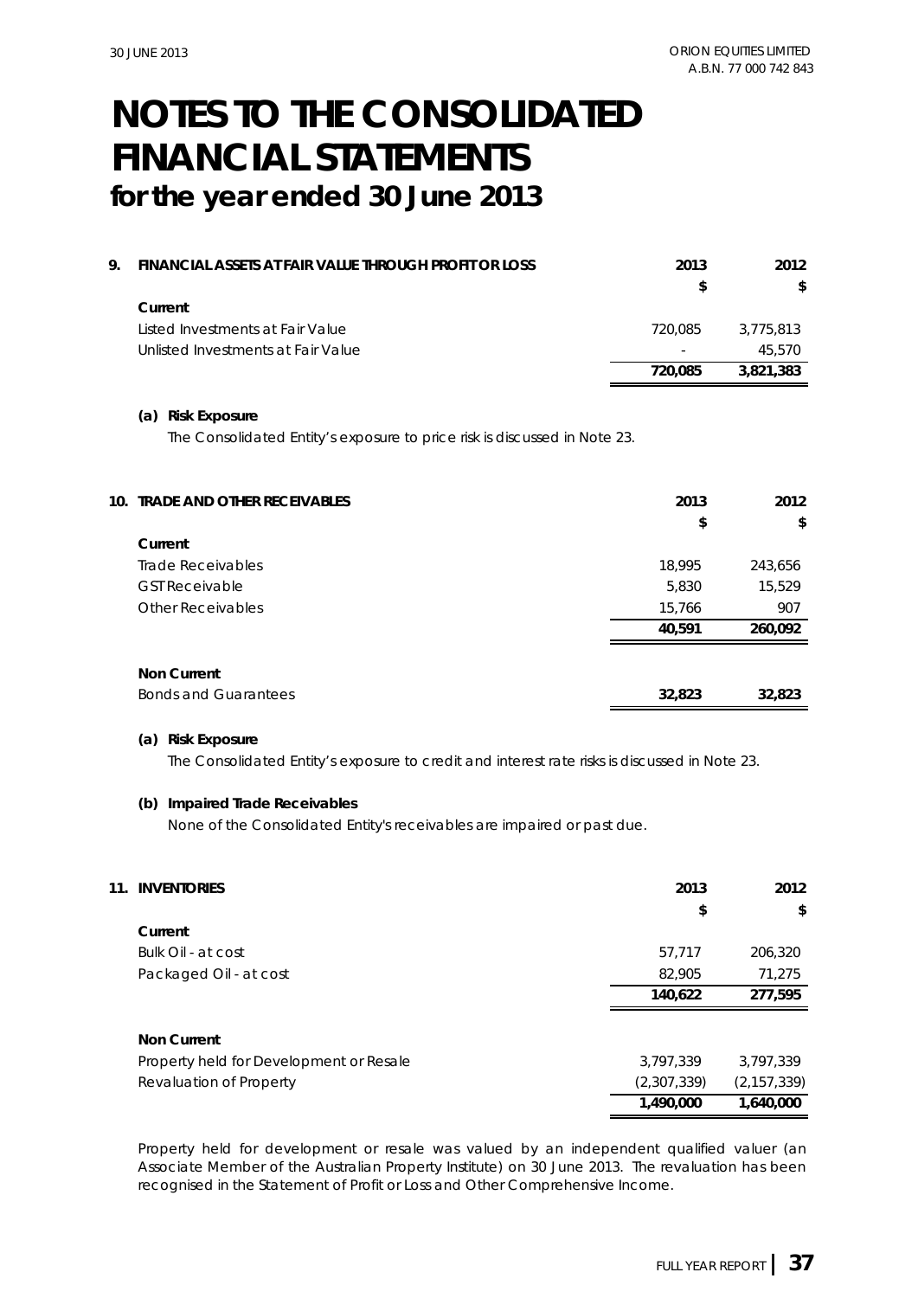| 9. | FINANCIAL ASSETS AT FAIR VALUE THROUGH PROFIT OR LOSS | 2013    | 2012      |
|----|-------------------------------------------------------|---------|-----------|
|    |                                                       |         |           |
|    | Current                                               |         |           |
|    | Listed Investments at Fair Value                      | 720.085 | 3,775,813 |
|    | Unlisted Investments at Fair Value                    |         | 45.570    |
|    |                                                       | 720.085 | 3.821.383 |

### **(a) Risk Exposure**

The Consolidated Entity's exposure to price risk is discussed in Note 23.

| <b>10. TRADE AND OTHER RECEIVABLES</b> | 2013<br>\$ | 2012<br>\$ |
|----------------------------------------|------------|------------|
| Current                                |            |            |
| Trade Receivables                      | 18,995     | 243,656    |
| <b>GST Receivable</b>                  | 5,830      | 15,529     |
| Other Receivables                      | 15,766     | 907        |
|                                        | 40,591     | 260,092    |
| <b>Non Current</b>                     |            |            |
| <b>Bonds and Guarantees</b>            | 32,823     | 32,823     |

#### **(a) Risk Exposure**

The Consolidated Entity's exposure to credit and interest rate risks is discussed in Note 23.

### **(b) Impaired Trade Receivables**

None of the Consolidated Entity's receivables are impaired or past due.

| <b>11. INVENTORIES</b>                  | 2013        | 2012          |
|-----------------------------------------|-------------|---------------|
|                                         | \$          | \$            |
| Current                                 |             |               |
| Bulk Oil - at cost                      | 57.717      | 206,320       |
| Packaged Oil - at cost                  | 82,905      | 71,275        |
|                                         | 140,622     | 277,595       |
| <b>Non Current</b>                      |             |               |
| Property held for Development or Resale | 3,797,339   | 3.797.339     |
| Revaluation of Property                 | (2,307,339) | (2, 157, 339) |
|                                         | 1,490,000   | 1,640,000     |

Property held for development or resale was valued by an independent qualified valuer (an Associate Member of the Australian Property Institute) on 30 June 2013. The revaluation has been recognised in the Statement of Profit or Loss and Other Comprehensive Income.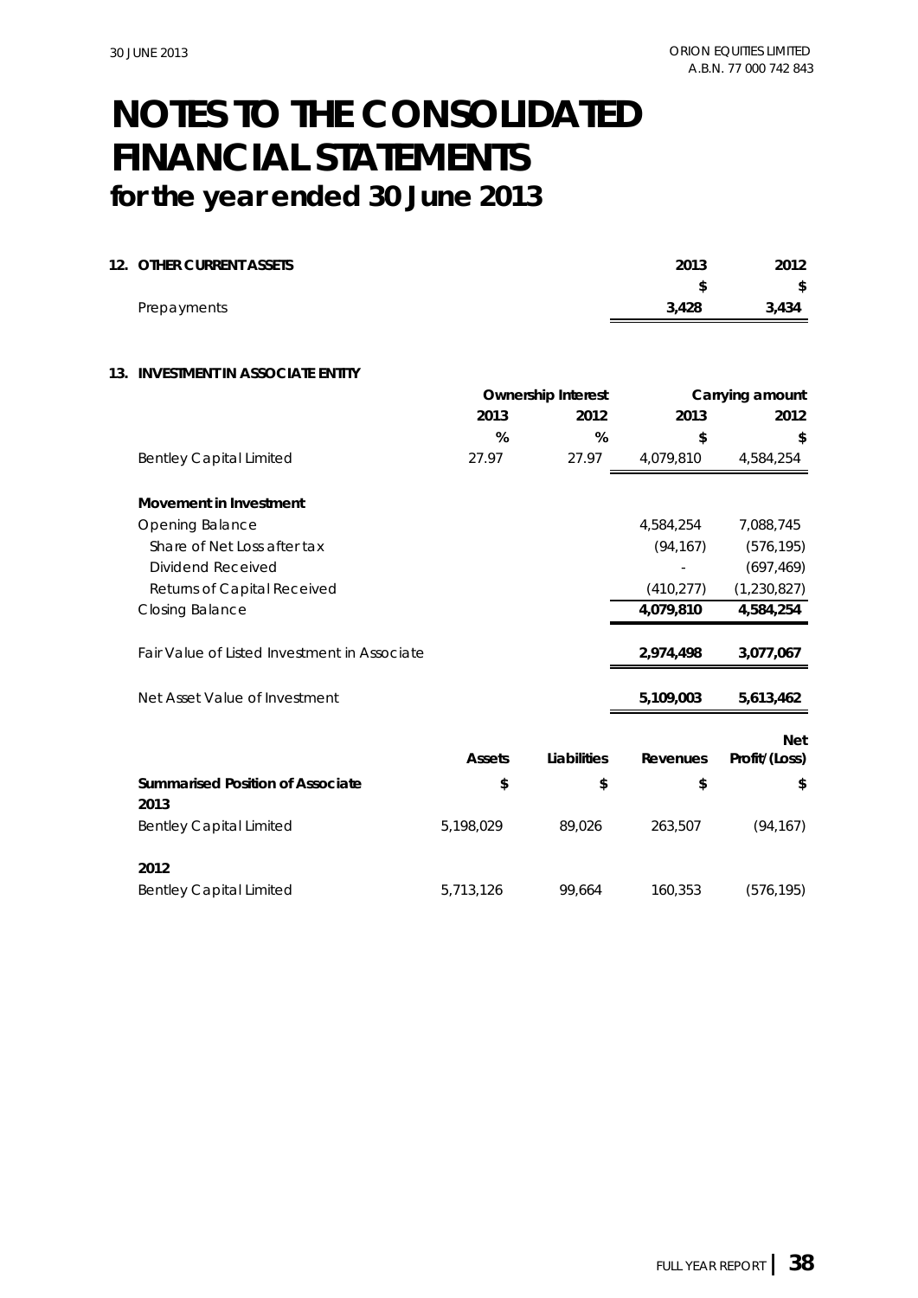| 12. OTHER CURRENT ASSETS | 2013  | 2012  |
|--------------------------|-------|-------|
|                          |       |       |
| Prepayments              | 3.428 | 3.434 |

### **13. INVESTMENT IN ASSOCIATE ENTITY**

|                                                 | <b>Ownership Interest</b> |             | Carrying amount |                             |
|-------------------------------------------------|---------------------------|-------------|-----------------|-----------------------------|
|                                                 | 2013                      | 2012        | 2013            | 2012                        |
|                                                 | %                         | %           | \$              | \$                          |
| <b>Bentley Capital Limited</b>                  | 27.97                     | 27.97       | 4,079,810       | 4,584,254                   |
| <b>Movement in Investment</b>                   |                           |             |                 |                             |
| Opening Balance                                 |                           |             | 4,584,254       | 7,088,745                   |
| Share of Net Loss after tax                     |                           |             | (94, 167)       | (576, 195)                  |
| Dividend Received                               |                           |             |                 | (697, 469)                  |
| Returns of Capital Received                     |                           |             | (410, 277)      | (1, 230, 827)               |
| Closing Balance                                 |                           |             | 4,079,810       | 4,584,254                   |
| Fair Value of Listed Investment in Associate    |                           |             | 2,974,498       | 3,077,067                   |
| Net Asset Value of Investment                   |                           |             | 5,109,003       | 5,613,462                   |
|                                                 | <b>Assets</b>             | Liabilities | Revenues        | <b>Net</b><br>Profit/(Loss) |
| <b>Summarised Position of Associate</b><br>2013 | \$                        | \$          | \$              | \$                          |
| <b>Bentley Capital Limited</b>                  | 5,198,029                 | 89,026      | 263,507         | (94, 167)                   |
| 2012                                            |                           |             |                 |                             |
| <b>Bentley Capital Limited</b>                  | 5,713,126                 | 99,664      | 160,353         | (576, 195)                  |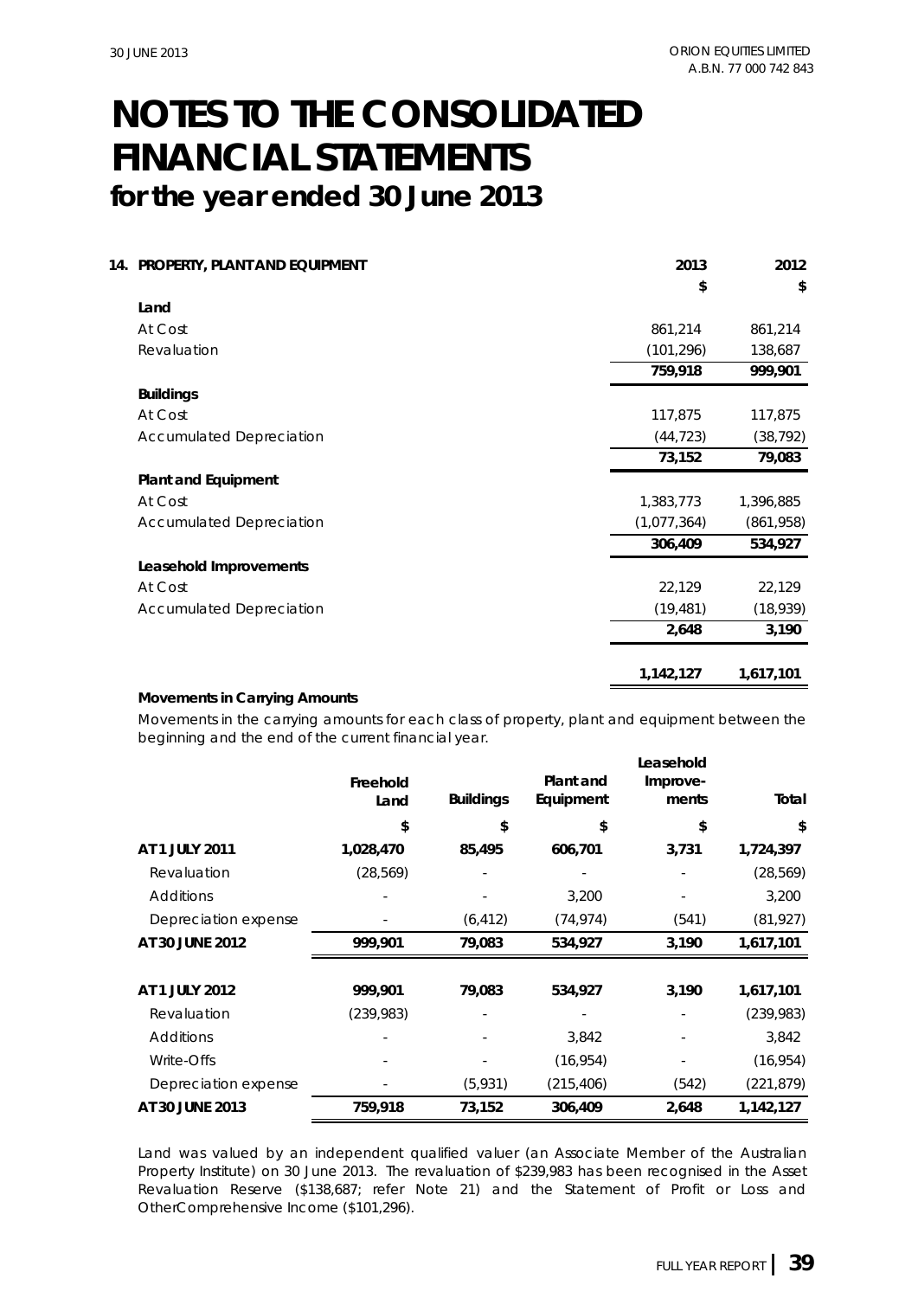| 14. PROPERTY, PLANT AND EQUIPMENT | 2013        | 2012      |
|-----------------------------------|-------------|-----------|
|                                   | \$          | \$        |
| Land                              |             |           |
| At Cost                           | 861,214     | 861,214   |
| Revaluation                       | (101, 296)  | 138,687   |
|                                   | 759,918     | 999,901   |
| <b>Buildings</b>                  |             |           |
| At Cost                           | 117,875     | 117,875   |
| <b>Accumulated Depreciation</b>   | (44, 723)   | (38, 792) |
|                                   | 73,152      | 79,083    |
| Plant and Equipment               |             |           |
| At Cost                           | 1,383,773   | 1,396,885 |
| <b>Accumulated Depreciation</b>   | (1,077,364) | (861,958) |
|                                   | 306,409     | 534,927   |
| Leasehold Improvements            |             |           |
| At Cost                           | 22,129      | 22,129    |
| <b>Accumulated Depreciation</b>   | (19, 481)   | (18,939)  |
|                                   | 2,648       | 3,190     |
|                                   | 1,142,127   | 1,617,101 |

### **Movements in Carrying Amounts**

Movements in the carrying amounts for each class of property, plant and equipment between the beginning and the end of the current financial year.

|                      | Freehold<br>Land | <b>Buildings</b> | Plant and<br>Equipment | Leasehold<br>Improve-<br>ments | Total      |
|----------------------|------------------|------------------|------------------------|--------------------------------|------------|
|                      | \$               | \$               | \$                     | \$                             | \$         |
| AT 1 JULY 2011       | 1,028,470        | 85,495           | 606,701                | 3,731                          | 1,724,397  |
| Revaluation          | (28, 569)        |                  |                        |                                | (28, 569)  |
| <b>Additions</b>     |                  |                  | 3,200                  |                                | 3,200      |
| Depreciation expense |                  | (6, 412)         | (74, 974)              | (541)                          | (81, 927)  |
| AT 30 JUNE 2012      | 999,901          | 79,083           | 534,927                | 3,190                          | 1,617,101  |
| AT 1 JULY 2012       | 999,901          | 79,083           | 534,927                | 3,190                          | 1,617,101  |
| Revaluation          | (239,983)        |                  |                        |                                | (239,983)  |
| <b>Additions</b>     |                  |                  | 3,842                  |                                | 3,842      |
| Write-Offs           |                  |                  | (16, 954)              |                                | (16, 954)  |
| Depreciation expense |                  | (5,931)          | (215, 406)             | (542)                          | (221, 879) |
| AT 30 JUNE 2013      | 759,918          | 73,152           | 306,409                | 2,648                          | 1,142,127  |

Land was valued by an independent qualified valuer (an Associate Member of the Australian Property Institute) on 30 June 2013. The revaluation of \$239,983 has been recognised in the Asset Revaluation Reserve (\$138,687; refer Note 21) and the Statement of Profit or Loss and OtherComprehensive Income (\$101,296).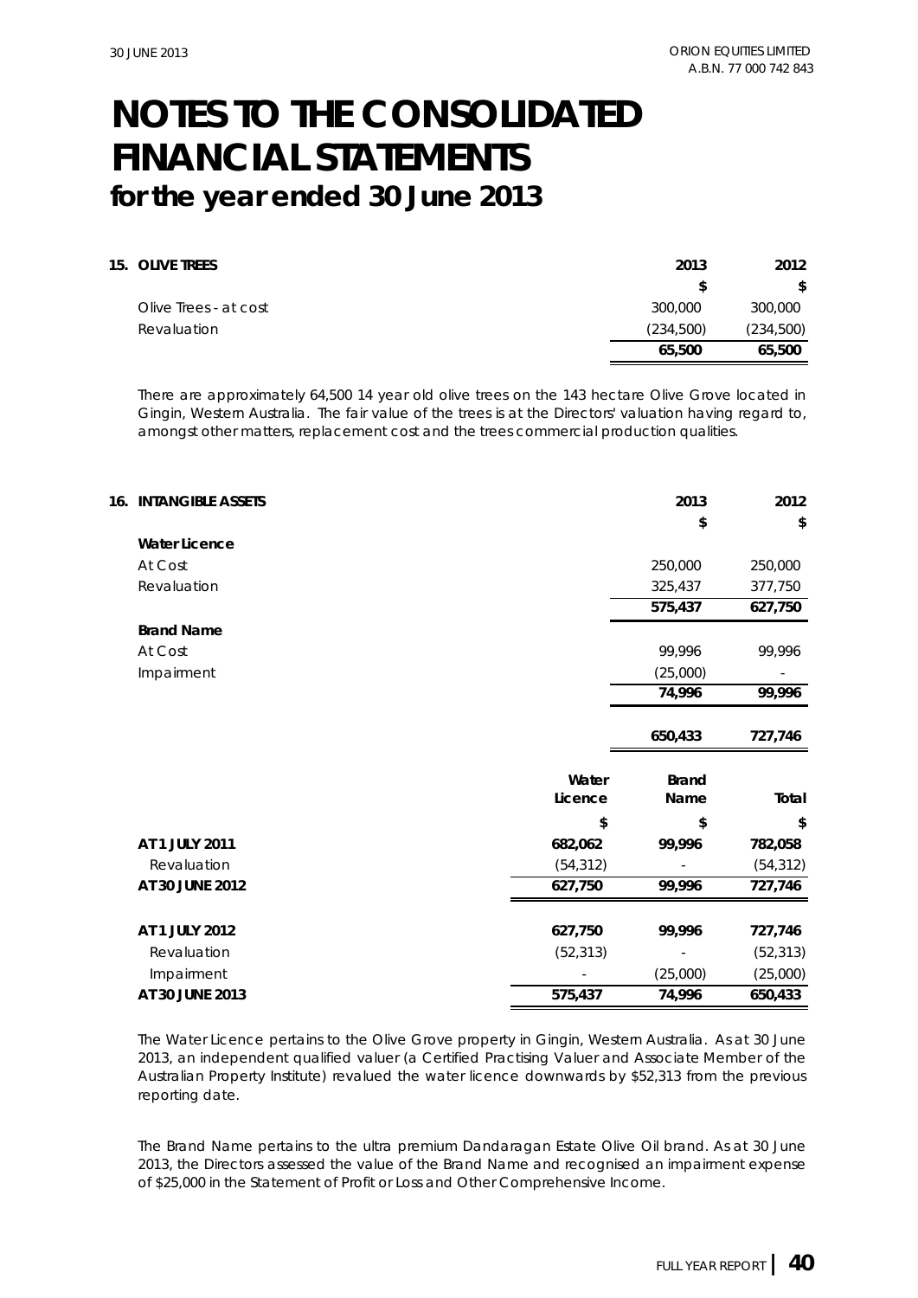| <b>15. OLIVE TREES</b> | 2013      | 2012      |
|------------------------|-----------|-----------|
|                        |           |           |
| Olive Trees - at cost  | 300,000   | 300,000   |
| Revaluation            | (234,500) | (234,500) |
|                        | 65,500    | 65,500    |

There are approximately 64,500 14 year old olive trees on the 143 hectare Olive Grove located in Gingin, Western Australia. The fair value of the trees is at the Directors' valuation having regard to, amongst other matters, replacement cost and the trees commercial production qualities.

| <b>16. INTANGIBLE ASSETS</b> |           | 2013<br>\$   | 2012<br>\$ |
|------------------------------|-----------|--------------|------------|
| <b>Water Licence</b>         |           |              |            |
| At Cost                      |           | 250,000      | 250,000    |
| Revaluation                  |           | 325,437      | 377,750    |
|                              |           | 575,437      | 627,750    |
| <b>Brand Name</b>            |           |              |            |
| At Cost                      |           | 99,996       | 99,996     |
| Impairment                   |           | (25,000)     |            |
|                              |           | 74,996       | 99,996     |
|                              |           |              |            |
|                              |           | 650,433      | 727,746    |
|                              | Water     | <b>Brand</b> |            |
|                              | Licence   | Name         | Total      |
|                              | \$        | \$           | \$         |
| AT 1 JULY 2011               | 682,062   | 99,996       | 782,058    |
| Revaluation                  | (54, 312) |              | (54, 312)  |
| AT 30 JUNE 2012              | 627,750   | 99,996       | 727,746    |
|                              |           |              |            |
| AT 1 JULY 2012               | 627,750   | 99,996       | 727,746    |
| Revaluation                  | (52, 313) |              | (52, 313)  |
| Impairment                   |           | (25,000)     | (25,000)   |
| AT 30 JUNE 2013              | 575,437   | 74,996       | 650,433    |

The Water Licence pertains to the Olive Grove property in Gingin, Western Australia. As at 30 June 2013, an independent qualified valuer (a Certified Practising Valuer and Associate Member of the Australian Property Institute) revalued the water licence downwards by \$52,313 from the previous reporting date.

The Brand Name pertains to the ultra premium Dandaragan Estate Olive Oil brand. As at 30 June 2013, the Directors assessed the value of the Brand Name and recognised an impairment expense of \$25,000 in the Statement of Profit or Loss and Other Comprehensive Income.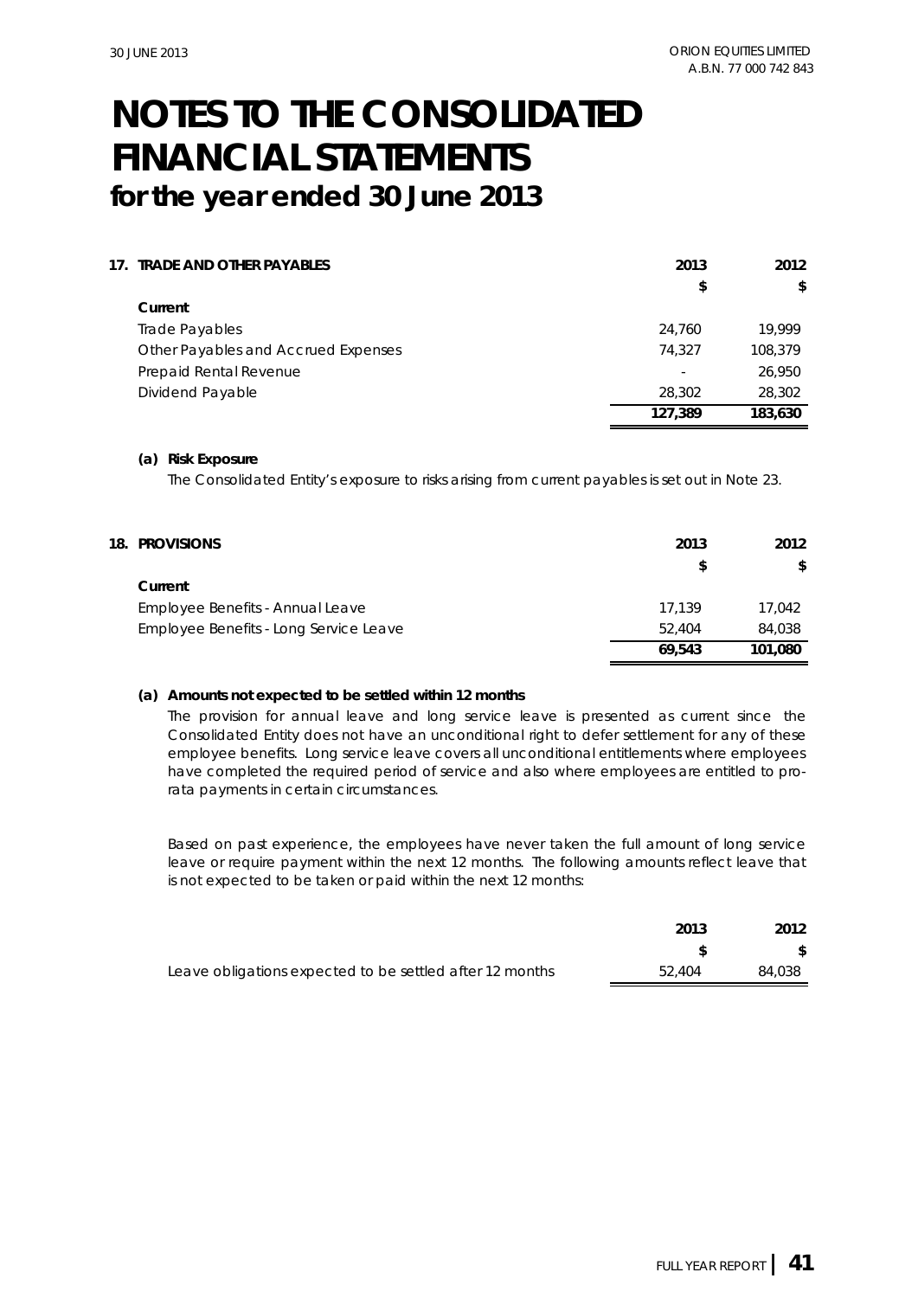| 17. TRADE AND OTHER PAYABLES        | 2013                     | 2012    |
|-------------------------------------|--------------------------|---------|
|                                     | \$                       | \$      |
| Current                             |                          |         |
| Trade Payables                      | 24.760                   | 19,999  |
| Other Payables and Accrued Expenses | 74.327                   | 108.379 |
| Prepaid Rental Revenue              | $\overline{\phantom{a}}$ | 26,950  |
| Dividend Payable                    | 28,302                   | 28,302  |
|                                     | 127,389                  | 183,630 |

### **(a) Risk Exposure**

The Consolidated Entity's exposure to risks arising from current payables is set out in Note 23.

| <b>18. PROVISIONS</b> | 2013 | 2012 |
|-----------------------|------|------|
|                       |      |      |

| Current                                |        |         |
|----------------------------------------|--------|---------|
| Employee Benefits - Annual Leave       | 17.139 | 17.042  |
| Employee Benefits - Long Service Leave | 52.404 | 84,038  |
|                                        | 69.543 | 101.080 |

### **(a) Amounts not expected to be settled within 12 months**

The provision for annual leave and long service leave is presented as current since the Consolidated Entity does not have an unconditional right to defer settlement for any of these employee benefits. Long service leave covers all unconditional entitlements where employees have completed the required period of service and also where employees are entitled to prorata payments in certain circumstances.

Based on past experience, the employees have never taken the full amount of long service leave or require payment within the next 12 months. The following amounts reflect leave that is not expected to be taken or paid within the next 12 months:

|                                                          | 2013   | 2012   |
|----------------------------------------------------------|--------|--------|
|                                                          |        |        |
| Leave obligations expected to be settled after 12 months | 52.404 | 84.038 |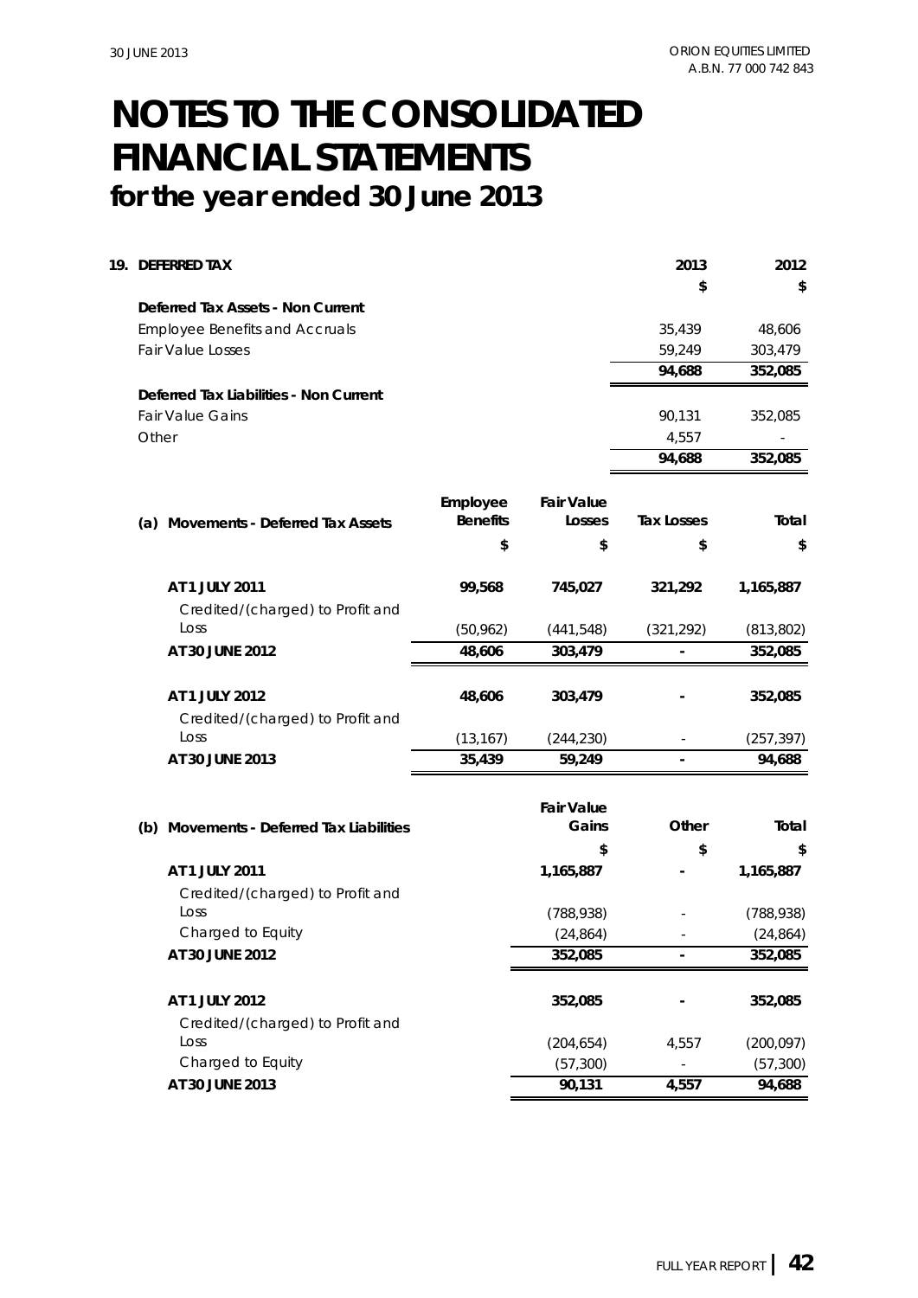| 19. DEFERRED TAX                         |                             |                             | 2013              | 2012       |
|------------------------------------------|-----------------------------|-----------------------------|-------------------|------------|
| Deferred Tax Assets - Non Current        |                             |                             | \$                | \$         |
| <b>Employee Benefits and Accruals</b>    |                             |                             | 35,439            | 48,606     |
| <b>Fair Value Losses</b>                 |                             |                             | 59,249            | 303,479    |
|                                          |                             |                             | 94,688            | 352,085    |
| Deferred Tax Liabilities - Non Current   |                             |                             |                   |            |
| <b>Fair Value Gains</b>                  |                             |                             | 90,131            | 352,085    |
| Other                                    |                             |                             | 4,557             |            |
|                                          |                             |                             | 94,688            | 352,085    |
| (a) Movements - Deferred Tax Assets      | Employee<br><b>Benefits</b> | <b>Fair Value</b><br>Losses | <b>Tax Losses</b> | Total      |
|                                          | \$                          | \$                          | \$                | \$         |
| AT 1 JULY 2011                           | 99,568                      | 745,027                     | 321,292           | 1,165,887  |
| Credited/(charged) to Profit and         |                             |                             |                   |            |
| Loss                                     | (50, 962)                   | (441, 548)                  | (321, 292)        | (813, 802) |
| AT 30 JUNE 2012                          | 48,606                      | 303,479                     |                   | 352,085    |
|                                          |                             |                             |                   |            |
| AT 1 JULY 2012                           | 48,606                      | 303,479                     |                   | 352,085    |
| Credited/(charged) to Profit and         |                             |                             |                   |            |
| Loss                                     | (13, 167)                   | (244, 230)                  |                   | (257, 397) |
| AT 30 JUNE 2013                          | 35,439                      | 59,249                      |                   | 94,688     |
|                                          |                             | <b>Fair Value</b>           |                   |            |
| (b) Movements - Deferred Tax Liabilities |                             | Gains                       | Other             | Total      |
|                                          |                             | \$                          | \$                | \$         |
| AT 1 JULY 2011                           |                             | 1,165,887                   |                   | 1,165,887  |
| Credited/(charged) to Profit and         |                             |                             |                   |            |
| Loss                                     |                             | (788, 938)                  |                   | (788, 938) |
| Charged to Equity                        |                             | (24, 864)                   |                   | (24, 864)  |
| AT 30 JUNE 2012                          |                             | 352,085                     |                   | 352,085    |
| AT 1 JULY 2012                           |                             | 352,085                     |                   | 352,085    |
| Credited/(charged) to Profit and         |                             |                             |                   |            |
| Loss                                     |                             | (204, 654)                  | 4,557             | (200, 097) |
| Charged to Equity                        |                             | (57, 300)                   |                   | (57, 300)  |

 **90,131 94,688 4,557**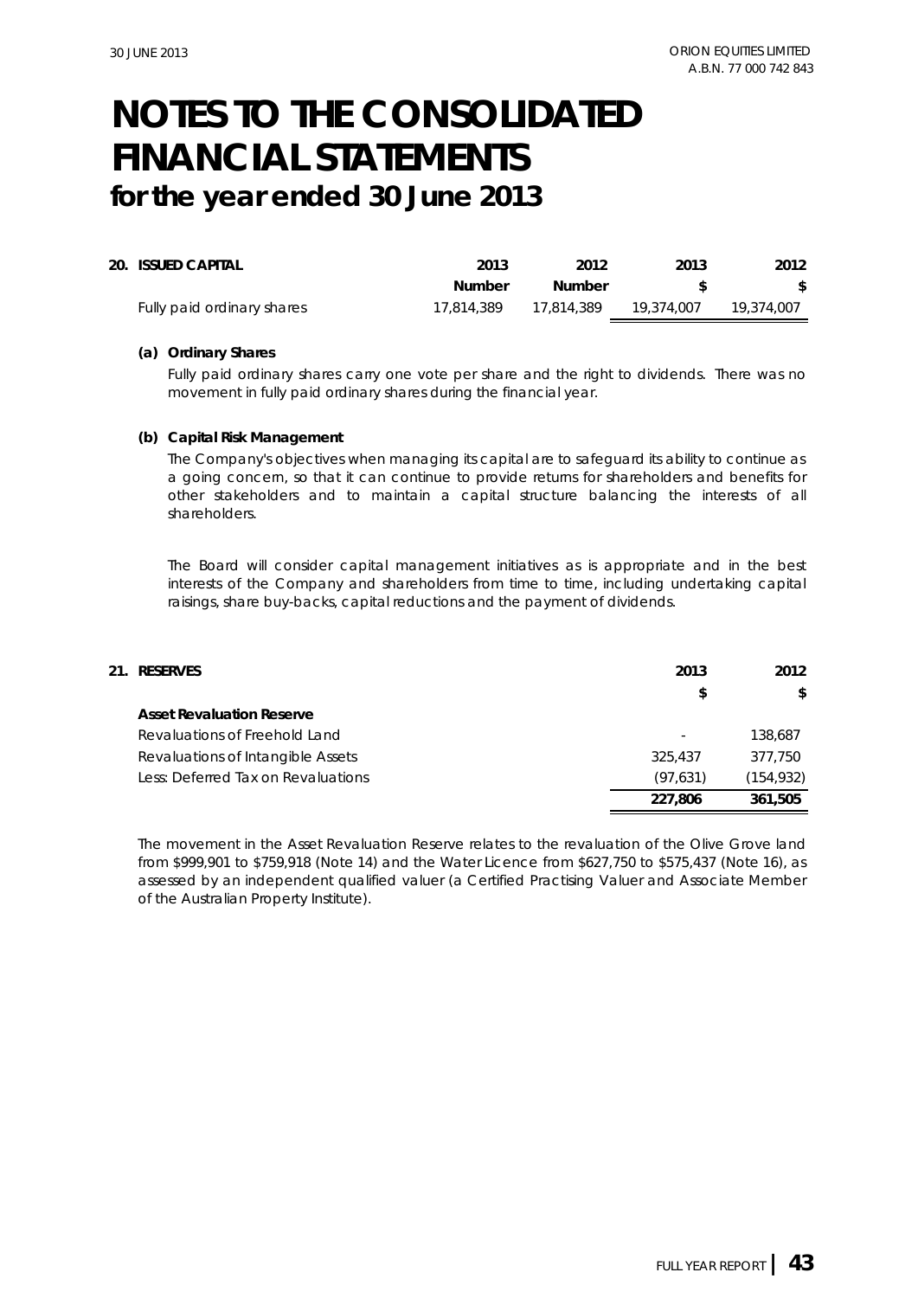| 20. ISSUED CAPITAL         | 2013       | 2012       | 2013       | 2012       |
|----------------------------|------------|------------|------------|------------|
|                            | Number     | Number     |            | - \$       |
| Fully paid ordinary shares | 17.814.389 | 17,814,389 | 19,374,007 | 19,374,007 |

### **(a) Ordinary Shares**

Fully paid ordinary shares carry one vote per share and the right to dividends. There was no movement in fully paid ordinary shares during the financial year.

### **(b) Capital Risk Management**

The Company's objectives when managing its capital are to safeguard its ability to continue as a going concern, so that it can continue to provide returns for shareholders and benefits for other stakeholders and to maintain a capital structure balancing the interests of all shareholders.

The Board will consider capital management initiatives as is appropriate and in the best interests of the Company and shareholders from time to time, including undertaking capital raisings, share buy-backs, capital reductions and the payment of dividends.

| 21. RESERVES                       | 2013                     | 2012       |
|------------------------------------|--------------------------|------------|
|                                    | \$                       |            |
| <b>Asset Revaluation Reserve</b>   |                          |            |
| Revaluations of Freehold Land      | $\overline{\phantom{a}}$ | 138,687    |
| Revaluations of Intangible Assets  | 325,437                  | 377.750    |
| Less: Deferred Tax on Revaluations | (97, 631)                | (154, 932) |
|                                    | 227.806                  | 361.505    |

The movement in the Asset Revaluation Reserve relates to the revaluation of the Olive Grove land from \$999,901 to \$759,918 (Note 14) and the Water Licence from \$627,750 to \$575,437 (Note 16), as assessed by an independent qualified valuer (a Certified Practising Valuer and Associate Member of the Australian Property Institute).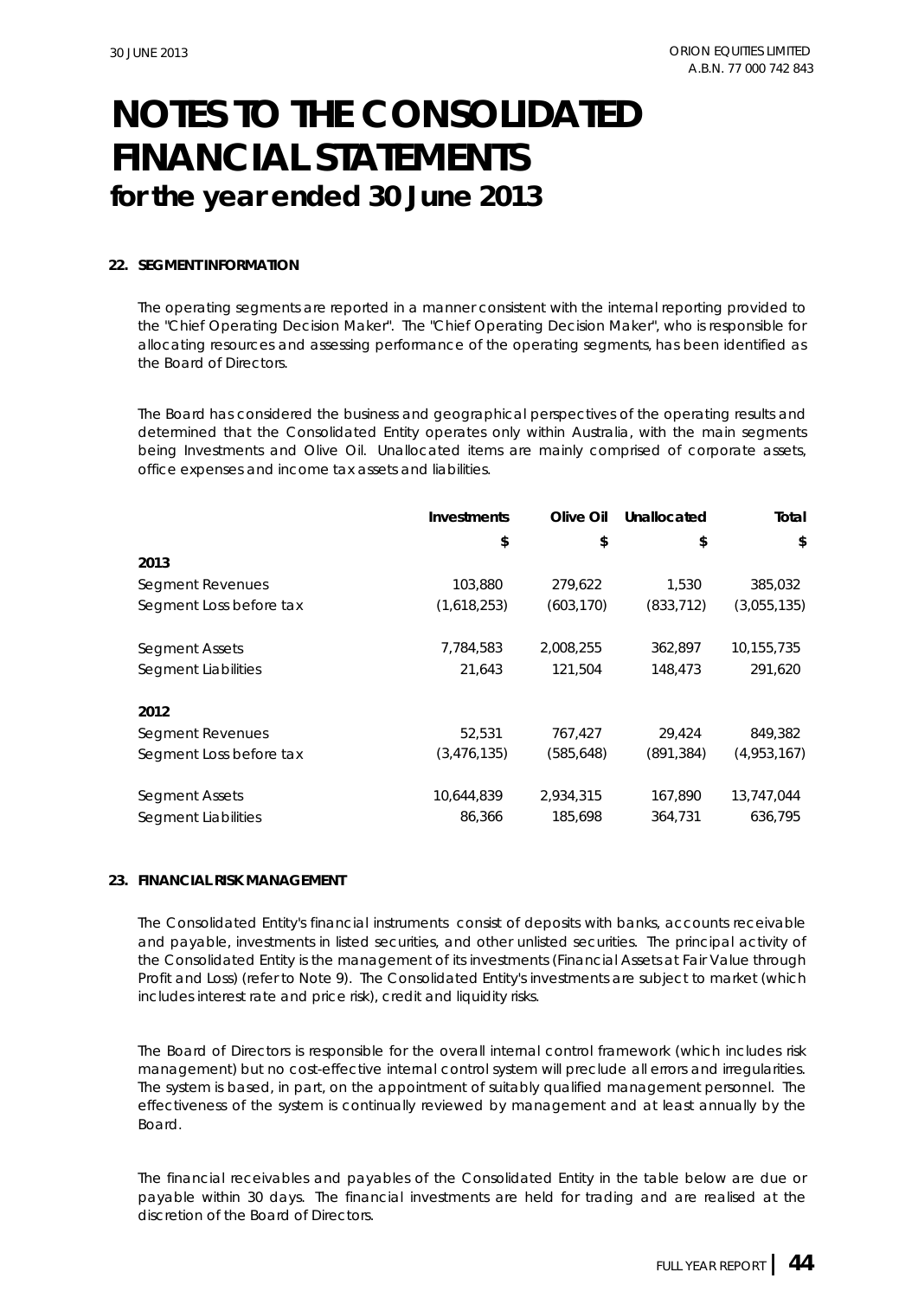### **22. SEGMENT INFORMATION**

The operating segments are reported in a manner consistent with the internal reporting provided to the "Chief Operating Decision Maker". The "Chief Operating Decision Maker", who is responsible for allocating resources and assessing performance of the operating segments, has been identified as the Board of Directors.

The Board has considered the business and geographical perspectives of the operating results and determined that the Consolidated Entity operates only within Australia, with the main segments being Investments and Olive Oil. Unallocated items are mainly comprised of corporate assets, office expenses and income tax assets and liabilities.

|                         | <b>Investments</b> | Olive Oil  | Unallocated | Total       |
|-------------------------|--------------------|------------|-------------|-------------|
|                         | \$                 | \$         | \$          | \$          |
| 2013                    |                    |            |             |             |
| Segment Revenues        | 103,880            | 279,622    | 1,530       | 385,032     |
| Segment Loss before tax | (1,618,253)        | (603, 170) | (833, 712)  | (3,055,135) |
| Segment Assets          | 7,784,583          | 2,008,255  | 362,897     | 10,155,735  |
| Segment Liabilities     | 21,643             | 121,504    | 148,473     | 291,620     |
| 2012                    |                    |            |             |             |
| Segment Revenues        | 52,531             | 767,427    | 29,424      | 849,382     |
| Segment Loss before tax | (3,476,135)        | (585, 648) | (891, 384)  | (4,953,167) |
| Segment Assets          | 10.644.839         | 2.934.315  | 167,890     | 13,747,044  |
| Segment Liabilities     | 86,366             | 185,698    | 364,731     | 636,795     |

### **23. FINANCIAL RISK MANAGEMENT**

The Consolidated Entity's financial instruments consist of deposits with banks, accounts receivable and payable, investments in listed securities, and other unlisted securities. The principal activity of the Consolidated Entity is the management of its investments (Financial Assets at Fair Value through Profit and Loss) (refer to Note 9). The Consolidated Entity's investments are subject to market (which includes interest rate and price risk), credit and liquidity risks.

The Board of Directors is responsible for the overall internal control framework (which includes risk management) but no cost-effective internal control system will preclude all errors and irregularities. The system is based, in part, on the appointment of suitably qualified management personnel. The effectiveness of the system is continually reviewed by management and at least annually by the Board.

The financial receivables and payables of the Consolidated Entity in the table below are due or payable within 30 days. The financial investments are held for trading and are realised at the discretion of the Board of Directors.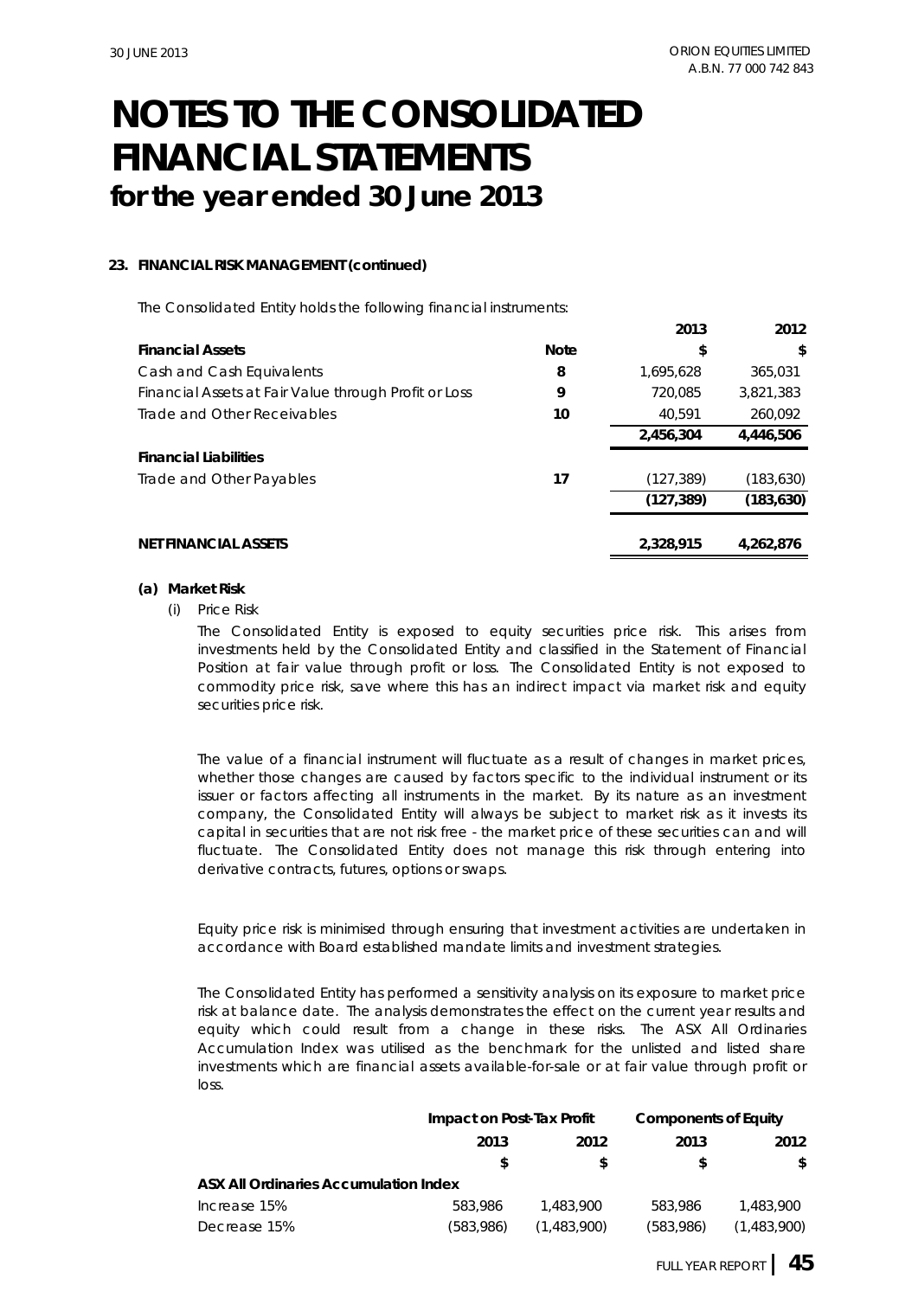### **23. FINANCIAL RISK MANAGEMENT (continued)**

The Consolidated Entity holds the following financial instruments:

|                                                       |             | 2013       | 2012       |
|-------------------------------------------------------|-------------|------------|------------|
| <b>Financial Assets</b>                               | <b>Note</b> | \$         | \$         |
| Cash and Cash Equivalents                             | 8           | 1.695.628  | 365,031    |
| Financial Assets at Fair Value through Profit or Loss | 9           | 720.085    | 3.821.383  |
| Trade and Other Receivables                           | 10          | 40.591     | 260.092    |
|                                                       |             | 2,456,304  | 4,446,506  |
| <b>Financial Liabilities</b>                          |             |            |            |
| Trade and Other Payables                              | 17          | (127, 389) | (183, 630) |
|                                                       |             | (127, 389) | (183, 630) |
|                                                       |             |            |            |
| <b>NET FINANCIAL ASSETS</b>                           |             | 2,328,915  | 4,262,876  |

### **(a) Market Risk**

(i) *Price Risk*

The Consolidated Entity is exposed to equity securities price risk. This arises from investments held by the Consolidated Entity and classified in the Statement of Financial Position at fair value through profit or loss. The Consolidated Entity is not exposed to commodity price risk, save where this has an indirect impact via market risk and equity securities price risk.

The value of a financial instrument will fluctuate as a result of changes in market prices, whether those changes are caused by factors specific to the individual instrument or its issuer or factors affecting all instruments in the market. By its nature as an investment company, the Consolidated Entity will always be subject to market risk as it invests its capital in securities that are not risk free - the market price of these securities can and will fluctuate. The Consolidated Entity does not manage this risk through entering into derivative contracts, futures, options or swaps.

Equity price risk is minimised through ensuring that investment activities are undertaken in accordance with Board established mandate limits and investment strategies.

The Consolidated Entity has performed a sensitivity analysis on its exposure to market price risk at balance date. The analysis demonstrates the effect on the current year results and equity which could result from a change in these risks. The ASX All Ordinaries Accumulation Index was utilised as the benchmark for the unlisted and listed share investments which are financial assets available-for-sale or at fair value through profit or loss.

|                                              |           | Impact on Post-Tax Profit |           | <b>Components of Equity</b> |  |
|----------------------------------------------|-----------|---------------------------|-----------|-----------------------------|--|
|                                              | 2013      | 2012                      | 2013      | 2012                        |  |
|                                              |           | S                         | S         | S.                          |  |
| <b>ASX All Ordinaries Accumulation Index</b> |           |                           |           |                             |  |
| Increase 15%                                 | 583,986   | 1,483,900                 | 583,986   | 1,483,900                   |  |
| Decrease 15%                                 | (583,986) | (1,483,900)               | (583,986) | (1,483,900)                 |  |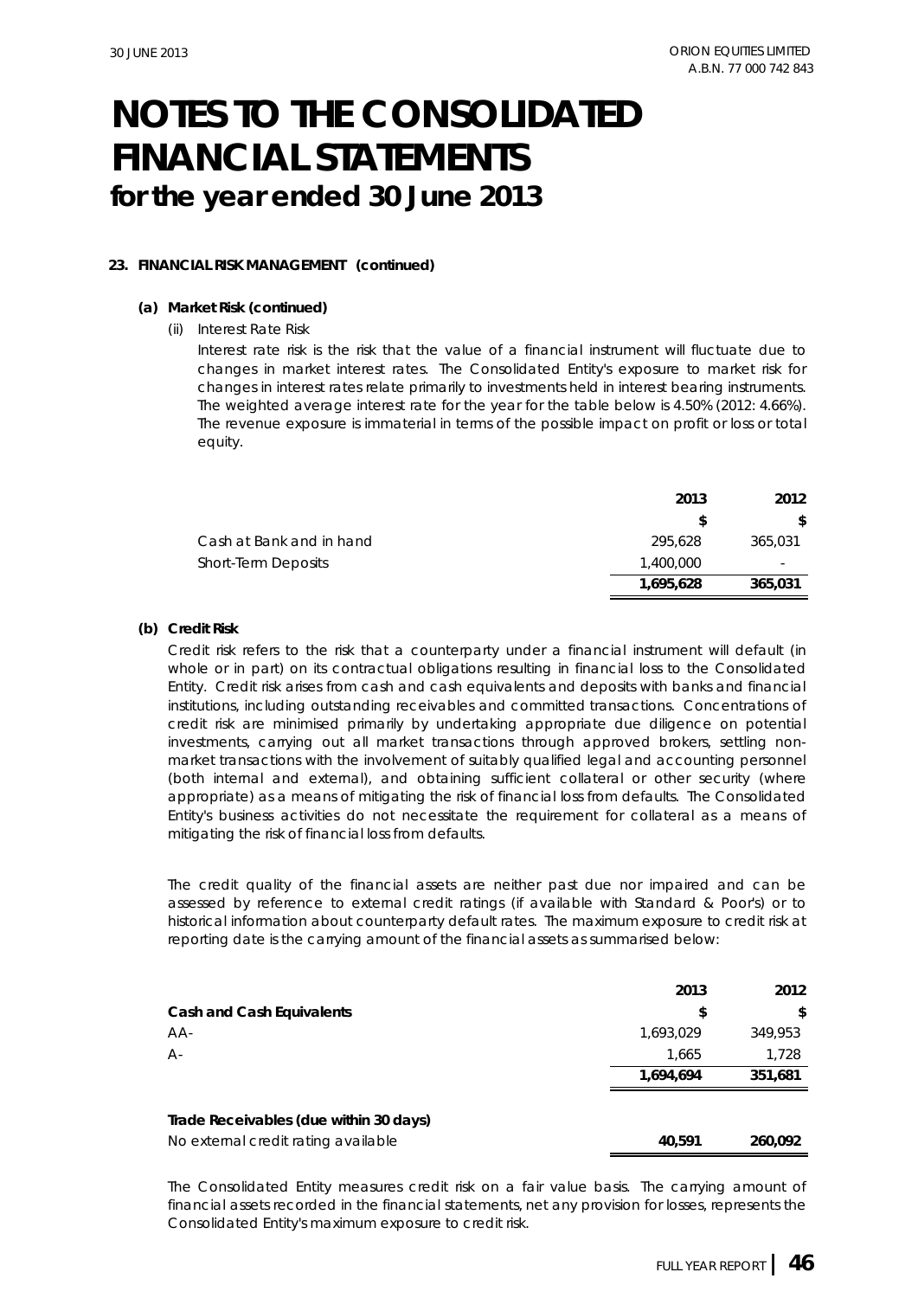### **23. FINANCIAL RISK MANAGEMENT (continued)**

### **(a) Market Risk (continued)**

### (ii) *Interest Rate Risk*

Interest rate risk is the risk that the value of a financial instrument will fluctuate due to changes in market interest rates. The Consolidated Entity's exposure to market risk for changes in interest rates relate primarily to investments held in interest bearing instruments. The weighted average interest rate for the year for the table below is 4.50% (2012: 4.66%). The revenue exposure is immaterial in terms of the possible impact on profit or loss or total equity.

|                            | 2013      | 2012    |
|----------------------------|-----------|---------|
|                            | \$        |         |
| Cash at Bank and in hand   | 295.628   | 365,031 |
| <b>Short-Term Deposits</b> | 1,400,000 |         |
|                            | 1,695,628 | 365,031 |

### **(b) Credit Risk**

Credit risk refers to the risk that a counterparty under a financial instrument will default (in whole or in part) on its contractual obligations resulting in financial loss to the Consolidated Entity. Credit risk arises from cash and cash equivalents and deposits with banks and financial institutions, including outstanding receivables and committed transactions. Concentrations of credit risk are minimised primarily by undertaking appropriate due diligence on potential investments, carrying out all market transactions through approved brokers, settling nonmarket transactions with the involvement of suitably qualified legal and accounting personnel (both internal and external), and obtaining sufficient collateral or other security (where appropriate) as a means of mitigating the risk of financial loss from defaults. The Consolidated Entity's business activities do not necessitate the requirement for collateral as a means of mitigating the risk of financial loss from defaults.

The credit quality of the financial assets are neither past due nor impaired and can be assessed by reference to external credit ratings (if available with Standard & Poor's) or to historical information about counterparty default rates. The maximum exposure to credit risk at reporting date is the carrying amount of the financial assets as summarised below:

|                                        | 2013      | 2012    |
|----------------------------------------|-----------|---------|
| Cash and Cash Equivalents              | \$        | \$      |
| AA-                                    | 1,693,029 | 349,953 |
| $A -$                                  | 1.665     | 1.728   |
|                                        | 1,694,694 | 351,681 |
| Trade Receivables (due within 30 days) |           |         |
| No external credit rating available    | 40.591    | 260,092 |

The Consolidated Entity measures credit risk on a fair value basis. The carrying amount of financial assets recorded in the financial statements, net any provision for losses, represents the Consolidated Entity's maximum exposure to credit risk.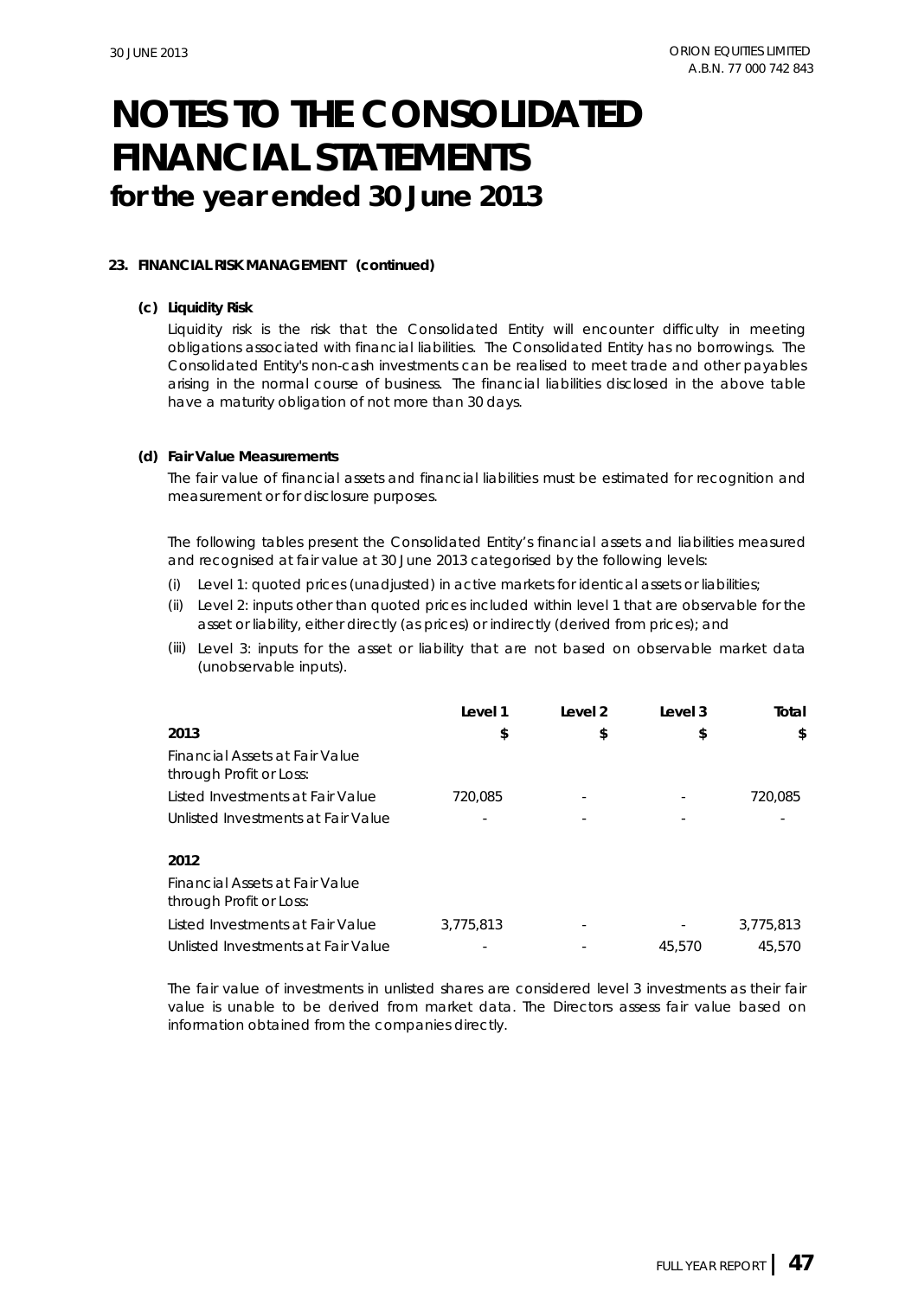### **23. FINANCIAL RISK MANAGEMENT (continued)**

### **(c) Liquidity Risk**

Liquidity risk is the risk that the Consolidated Entity will encounter difficulty in meeting obligations associated with financial liabilities. The Consolidated Entity has no borrowings. The Consolidated Entity's non-cash investments can be realised to meet trade and other payables arising in the normal course of business. The financial liabilities disclosed in the above table have a maturity obligation of not more than 30 days.

### **(d) Fair Value Measurements**

The fair value of financial assets and financial liabilities must be estimated for recognition and measurement or for disclosure purposes.

The following tables present the Consolidated Entity's financial assets and liabilities measured and recognised at fair value at 30 June 2013 categorised by the following levels:

- (i) Level 1: quoted prices (unadjusted) in active markets for identical assets or liabilities;
- (ii) Level 2: inputs other than quoted prices included within level 1 that are observable for the asset or liability, either directly (as prices) or indirectly (derived from prices); and
- (iii) Level 3: inputs for the asset or liability that are not based on observable market data (unobservable inputs).

|                                                           | Level 1   | Level 2 | Level 3 | Total     |
|-----------------------------------------------------------|-----------|---------|---------|-----------|
| 2013                                                      | \$        | \$      | \$      | \$        |
| Financial Assets at Fair Value<br>through Profit or Loss: |           |         |         |           |
| Listed Investments at Fair Value                          | 720,085   |         |         | 720,085   |
| Unlisted Investments at Fair Value                        |           |         |         |           |
| 2012                                                      |           |         |         |           |
| Financial Assets at Fair Value<br>through Profit or Loss: |           |         |         |           |
| Listed Investments at Fair Value                          | 3,775,813 |         |         | 3,775,813 |
| Unlisted Investments at Fair Value                        |           |         | 45,570  | 45,570    |

The fair value of investments in unlisted shares are considered level 3 investments as their fair value is unable to be derived from market data. The Directors assess fair value based on information obtained from the companies directly.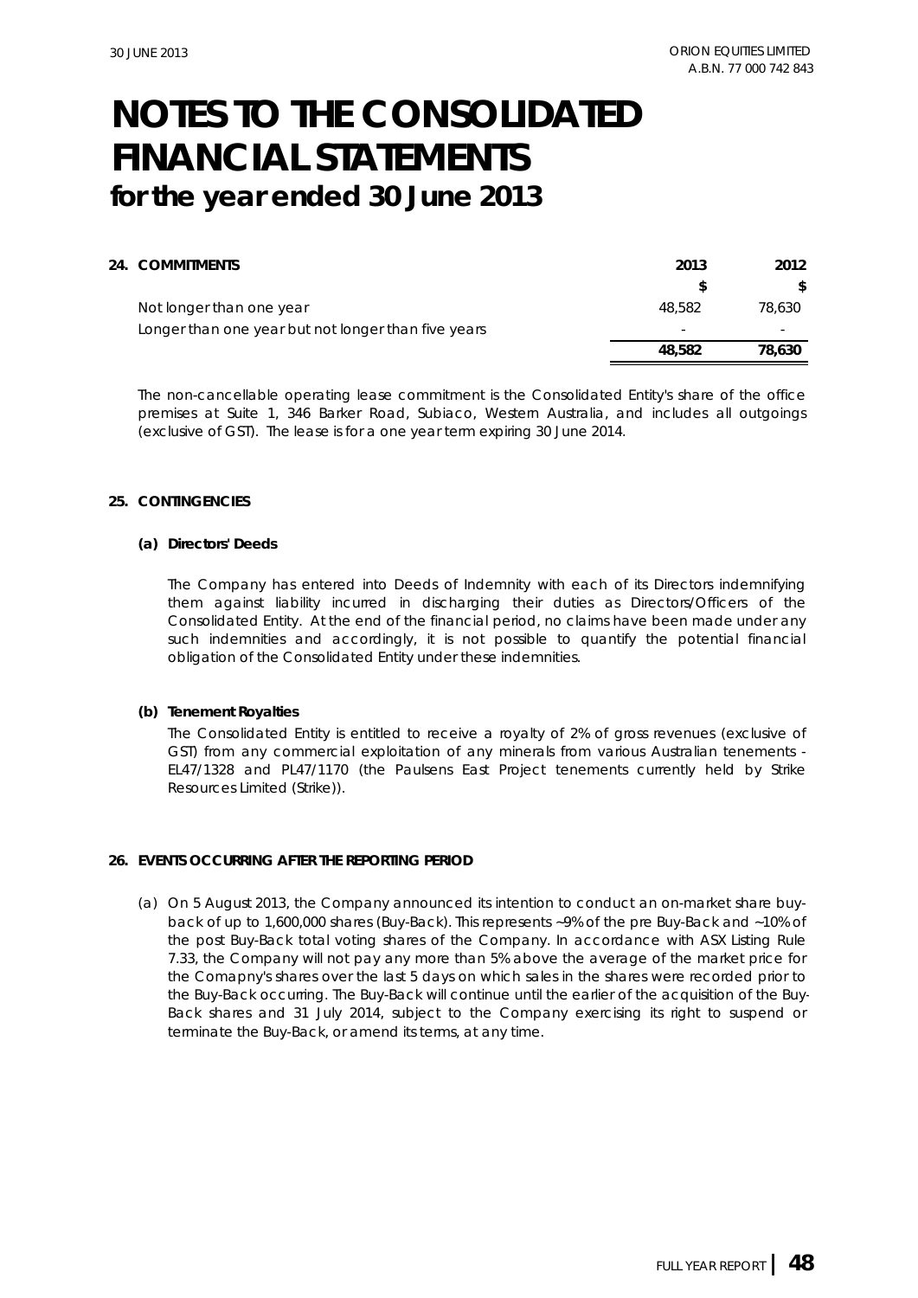| 24. COMMITMENTS                                     | 2013   | 2012   |
|-----------------------------------------------------|--------|--------|
|                                                     |        |        |
| Not longer than one year                            | 48,582 | 78.630 |
| Longer than one year but not longer than five years | $\sim$ |        |
|                                                     | 48,582 | 78.630 |

The non-cancellable operating lease commitment is the Consolidated Entity's share of the office premises at Suite 1, 346 Barker Road, Subiaco, Western Australia, and includes all outgoings (exclusive of GST). The lease is for a one year term expiring 30 June 2014.

### **25. CONTINGENCIES**

### **(a) Directors' Deeds**

The Company has entered into Deeds of Indemnity with each of its Directors indemnifying them against liability incurred in discharging their duties as Directors/Officers of the Consolidated Entity. At the end of the financial period, no claims have been made under any such indemnities and accordingly, it is not possible to quantify the potential financial obligation of the Consolidated Entity under these indemnities.

### **(b) Tenement Royalties**

The Consolidated Entity is entitled to receive a royalty of 2% of gross revenues (exclusive of GST) from any commercial exploitation of any minerals from various Australian tenements - EL47/1328 and PL47/1170 (the Paulsens East Project tenements currently held by Strike Resources Limited (Strike)).

### **26. EVENTS OCCURRING AFTER THE REPORTING PERIOD**

(a) On 5 August 2013, the Company announced its intention to conduct an on-market share buyback of up to 1,600,000 shares (Buy-Back). This represents ~9% of the pre Buy-Back and ~10% of the post Buy-Back total voting shares of the Company. In accordance with ASX Listing Rule 7.33, the Company will not pay any more than 5% above the average of the market price for the Comapny's shares over the last 5 days on which sales in the shares were recorded prior to the Buy-Back occurring. The Buy-Back will continue until the earlier of the acquisition of the Buy-Back shares and 31 July 2014, subject to the Company exercising its right to suspend or terminate the Buy-Back, or amend its terms, at any time.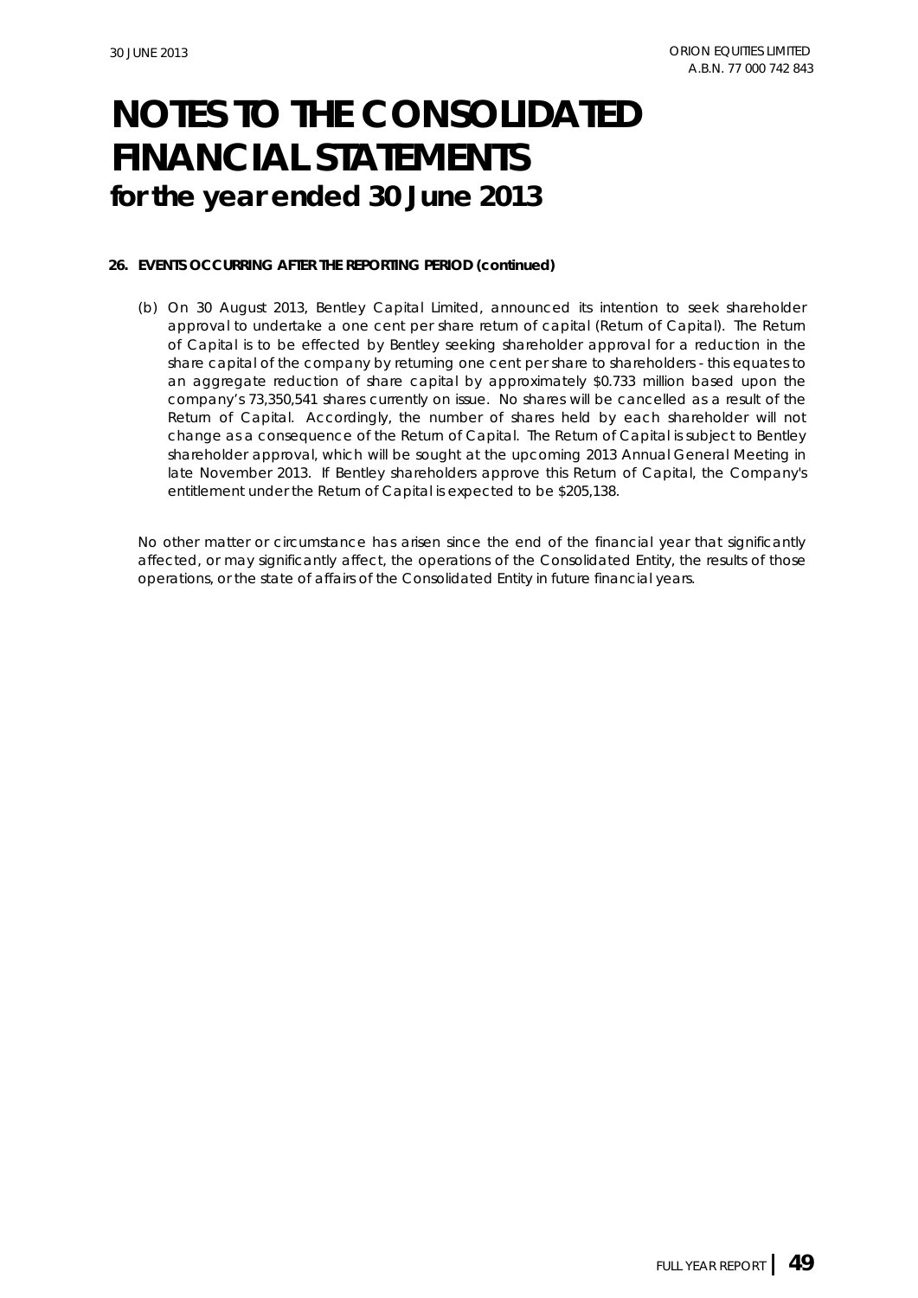### **26. EVENTS OCCURRING AFTER THE REPORTING PERIOD (continued)**

(b) On 30 August 2013, Bentley Capital Limited, announced its intention to seek shareholder approval to undertake a one cent per share return of capital (Return of Capital). The Return of Capital is to be effected by Bentley seeking shareholder approval for a reduction in the share capital of the company by returning one cent per share to shareholders - this equates to an aggregate reduction of share capital by approximately \$0.733 million based upon the company's 73,350,541 shares currently on issue. No shares will be cancelled as a result of the Return of Capital. Accordingly, the number of shares held by each shareholder will not change as a consequence of the Return of Capital. The Return of Capital is subject to Bentley shareholder approval, which will be sought at the upcoming 2013 Annual General Meeting in late November 2013. If Bentley shareholders approve this Return of Capital, the Company's entitlement under the Return of Capital is expected to be \$205,138.

No other matter or circumstance has arisen since the end of the financial year that significantly affected, or may significantly affect, the operations of the Consolidated Entity, the results of those operations, or the state of affairs of the Consolidated Entity in future financial years.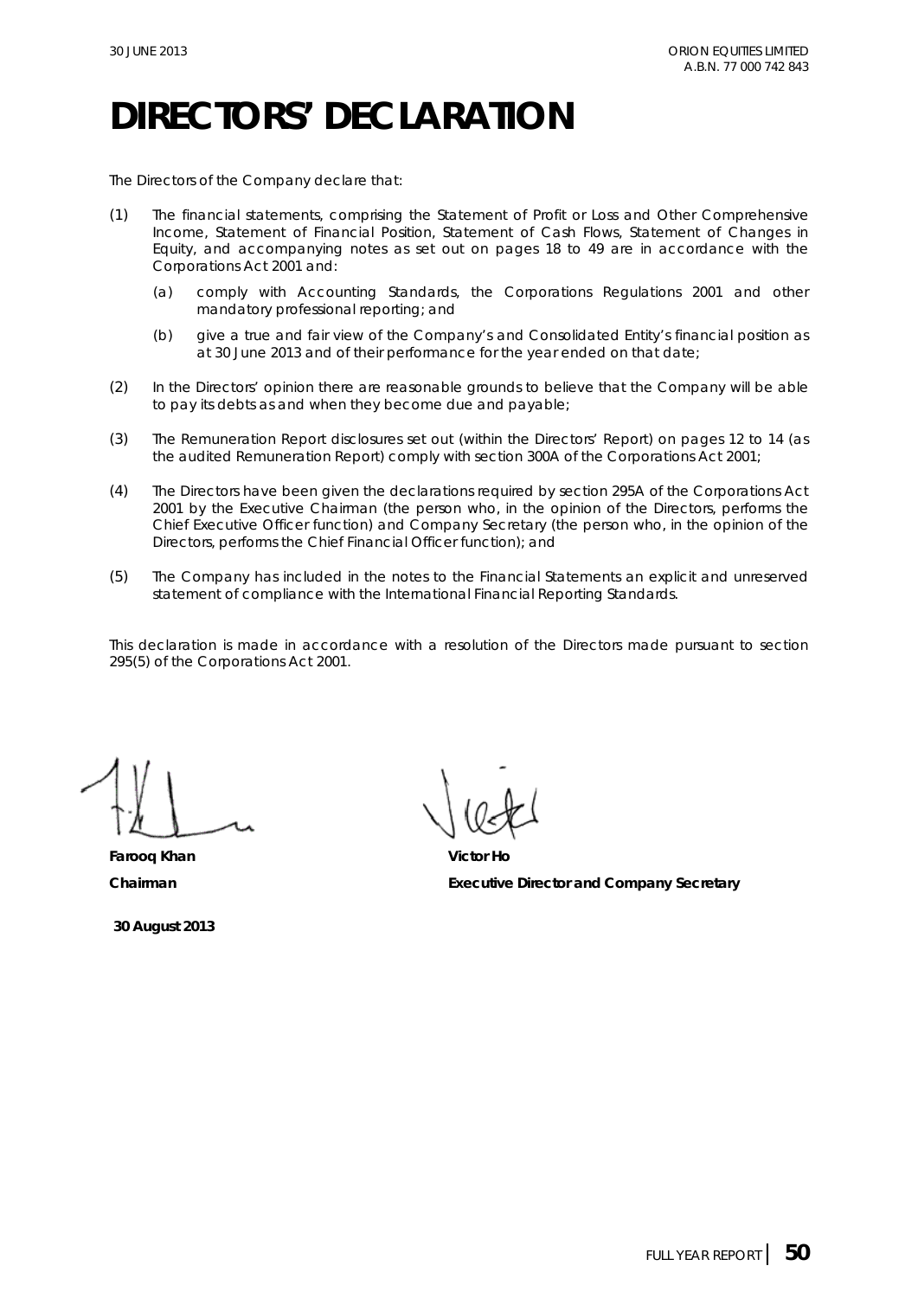# **DIRECTORS' DECLARATION**

The Directors of the Company declare that:

- (1) The financial statements, comprising the Statement of Profit or Loss and Other Comprehensive Income, Statement of Financial Position, Statement of Cash Flows, Statement of Changes in Equity, and accompanying notes as set out on pages 18 to 49 are in accordance with the *Corporations Act 2001* and:
	- (a) comply with Accounting Standards, the *Corporations Regulations 2001* and other mandatory professional reporting; and
	- (b) give a true and fair view of the Company's and Consolidated Entity's financial position as at 30 June 2013 and of their performance for the year ended on that date;
- (2) In the Directors' opinion there are reasonable grounds to believe that the Company will be able to pay its debts as and when they become due and payable;
- (3) The Remuneration Report disclosures set out (within the Directors' Report) on pages 12 to 14 (as the audited Remuneration Report) comply with section 300A of the *Corporations Act 2001*;
- (4) The Directors have been given the declarations required by section 295A of the *Corporations Act 2001* by the Executive Chairman (the person who, in the opinion of the Directors, performs the Chief Executive Officer function) and Company Secretary (the person who, in the opinion of the Directors, performs the Chief Financial Officer function); and
- (5) The Company has included in the notes to the Financial Statements an explicit and unreserved statement of compliance with the International Financial Reporting Standards.

This declaration is made in accordance with a resolution of the Directors made pursuant to section 295(5) of the *Corporations Act 2001*.

**Farooq Khan Victor Ho**

 **30 August 2013**

**Chairman Executive Director and Company Secretary**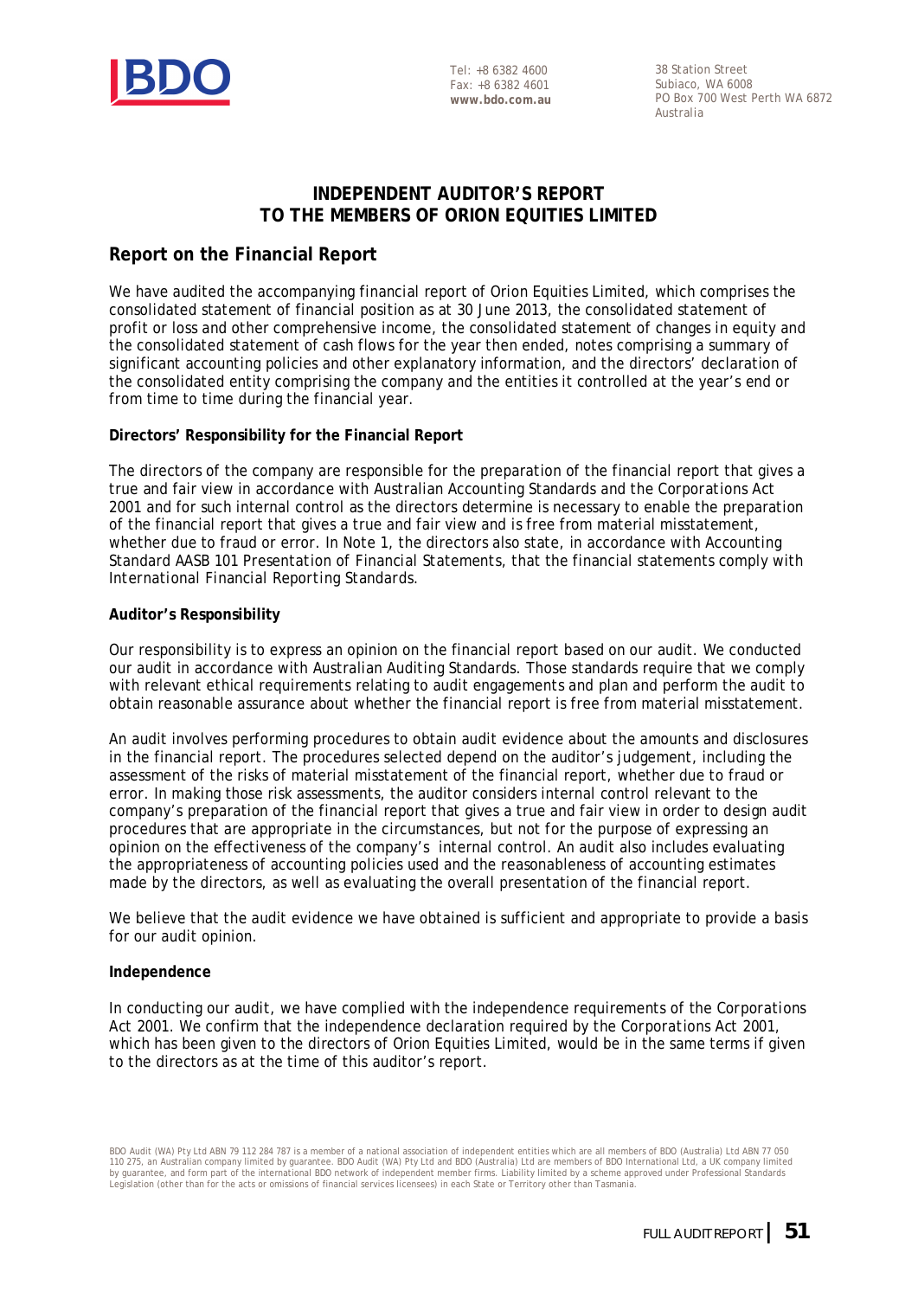

Tel: +8 6382 4600 Fax: +8 6382 4601 **www.bdo.com.au**

38 Station Street Subiaco, WA 6008 PO Box 700 West Perth WA 6872 Australia

# **INDEPENDENT AUDITOR'S REPORT TO THE MEMBERS OF ORION EQUITIES LIMITED**

## **Report on the Financial Report**

We have audited the accompanying financial report of Orion Equities Limited, which comprises the consolidated statement of financial position as at 30 June 2013, the consolidated statement of profit or loss and other comprehensive income, the consolidated statement of changes in equity and the consolidated statement of cash flows for the year then ended, notes comprising a summary of significant accounting policies and other explanatory information, and the directors' declaration of the consolidated entity comprising the company and the entities it controlled at the year's end or from time to time during the financial year.

## **Directors' Responsibility for the Financial Report**

The directors of the company are responsible for the preparation of the financial report that gives a true and fair view in accordance with Australian Accounting Standards and the *Corporations Act 2001* and for such internal control as the directors determine is necessary to enable the preparation of the financial report that gives a true and fair view and is free from material misstatement, whether due to fraud or error. In Note 1, the directors also state, in accordance with Accounting Standard AASB 101 *Presentation of Financial Statements*, that the financial statements comply with *International Financial Reporting Standards*.

## **Auditor's Responsibility**

Our responsibility is to express an opinion on the financial report based on our audit. We conducted our audit in accordance with Australian Auditing Standards. Those standards require that we comply with relevant ethical requirements relating to audit engagements and plan and perform the audit to obtain reasonable assurance about whether the financial report is free from material misstatement.

An audit involves performing procedures to obtain audit evidence about the amounts and disclosures in the financial report. The procedures selected depend on the auditor's judgement, including the assessment of the risks of material misstatement of the financial report, whether due to fraud or error. In making those risk assessments, the auditor considers internal control relevant to the company's preparation of the financial report that gives a true and fair view in order to design audit procedures that are appropriate in the circumstances, but not for the purpose of expressing an opinion on the effectiveness of the company's internal control. An audit also includes evaluating the appropriateness of accounting policies used and the reasonableness of accounting estimates made by the directors, as well as evaluating the overall presentation of the financial report.

We believe that the audit evidence we have obtained is sufficient and appropriate to provide a basis for our audit opinion.

### **Independence**

In conducting our audit, we have complied with the independence requirements of the *Corporations Act 2001*. We confirm that the independence declaration required by the *Corporations Act 2001*, which has been given to the directors of Orion Equities Limited, would be in the same terms if given to the directors as at the time of this auditor's report.

BDO Audit (WA) Pty Ltd ABN 79 112 284 787 is a member of a national association of independent entities which are all members of BDO (Australia) Ltd ABN 77 050 110 275, an Australian company limited by guarantee. BDO Audit (WA) Pty Ltd and BDO (Australia) Ltd are members of BDO International Ltd, a UK company limited<br>by guarantee, and form part of the international BDO network of Legislation (other than for the acts or omissions of financial services licensees) in each State or Territory other than Tasmania.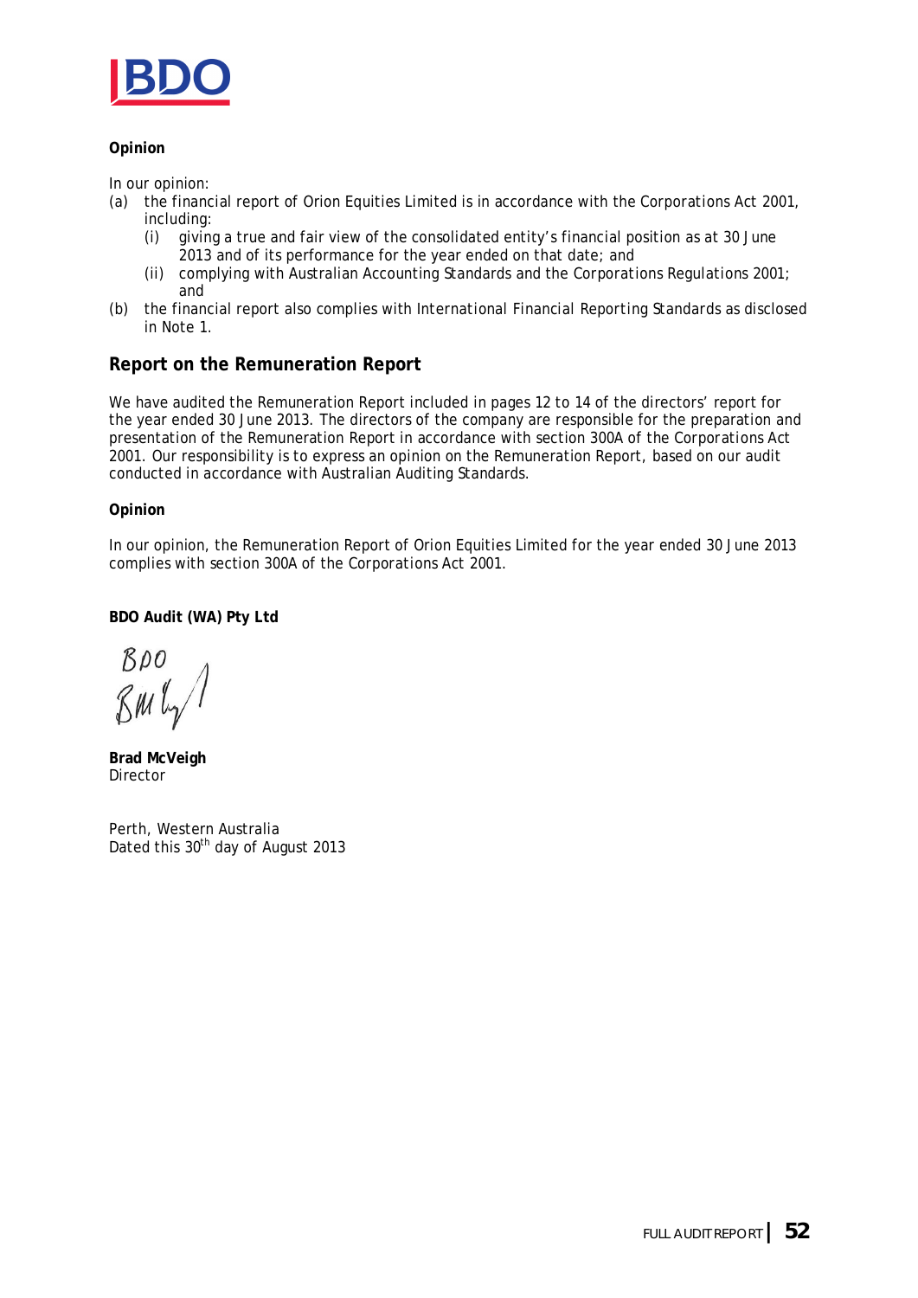

## **Opinion**

In our opinion:

- (a) the financial report of Orion Equities Limited is in accordance with the *Corporations Act 2001*, including:
	- (i) giving a true and fair view of the consolidated entity's financial position as at 30 June 2013 and of its performance for the year ended on that date; and
	- (ii) complying with Australian Accounting Standards and the *Corporations Regulations 2001*; and
- (b) the financial report also complies with *International Financial Reporting Standards* as disclosed in Note 1.

## **Report on the Remuneration Report**

We have audited the Remuneration Report included in pages 12 to 14 of the directors' report for the year ended 30 June 2013. The directors of the company are responsible for the preparation and presentation of the Remuneration Report in accordance with section 300A of the *Corporations Act 2001*. Our responsibility is to express an opinion on the Remuneration Report, based on our audit conducted in accordance with Australian Auditing Standards.

**Opinion**

In our opinion, the Remuneration Report of Orion Equities Limited for the year ended 30 June 2013 complies with section 300A of the *Corporations Act 2001*.

**BDO Audit (WA) Pty Ltd**

 $BDO$ BML,

**Brad McVeigh** Director

Perth, Western Australia Dated this 30<sup>th</sup> day of August 2013